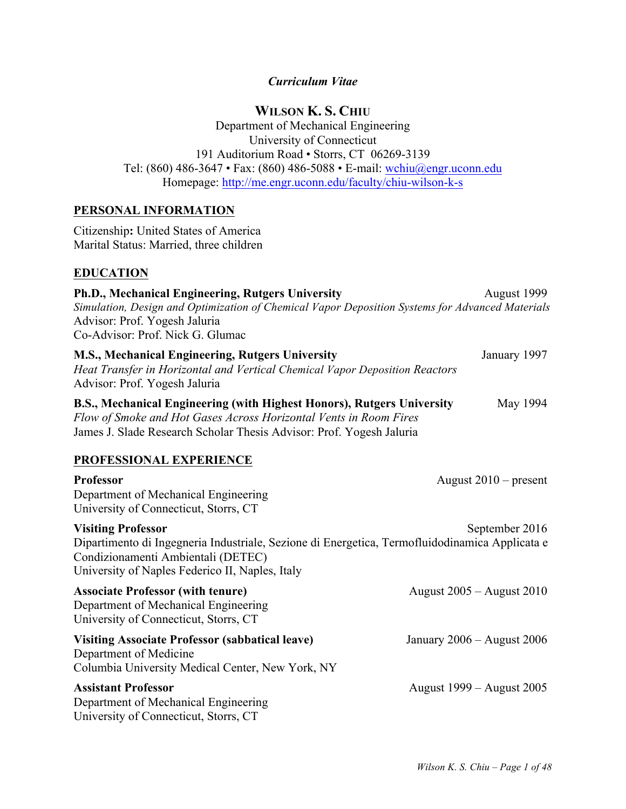#### *Curriculum Vitae*

## **WILSON K. S. CHIU**

Department of Mechanical Engineering University of Connecticut 191 Auditorium Road • Storrs, CT 06269-3139 Tel: (860) 486-3647 • Fax: (860) 486-5088 • E-mail: wchiu@engr.uconn.edu Homepage: http://me.engr.uconn.edu/faculty/chiu-wilson-k-s

#### **PERSONAL INFORMATION**

Citizenship**:** United States of America Marital Status: Married, three children

#### **EDUCATION**

| Ph.D., Mechanical Engineering, Rutgers University<br>Simulation, Design and Optimization of Chemical Vapor Deposition Systems for Advanced Materials<br>Advisor: Prof. Yogesh Jaluria<br>Co-Advisor: Prof. Nick G. Glumac                                                                                                                              | August 1999             |
|--------------------------------------------------------------------------------------------------------------------------------------------------------------------------------------------------------------------------------------------------------------------------------------------------------------------------------------------------------|-------------------------|
| M.S., Mechanical Engineering, Rutgers University<br>Heat Transfer in Horizontal and Vertical Chemical Vapor Deposition Reactors<br>Advisor: Prof. Yogesh Jaluria                                                                                                                                                                                       | January 1997            |
| B.S., Mechanical Engineering (with Highest Honors), Rutgers University<br>Flow of Smoke and Hot Gases Across Horizontal Vents in Room Fires<br>James J. Slade Research Scholar Thesis Advisor: Prof. Yogesh Jaluria                                                                                                                                    | May 1994                |
| PROFESSIONAL EXPERIENCE                                                                                                                                                                                                                                                                                                                                |                         |
| <b>Professor</b><br>$\mathbf{D}$ $\mathbf{I}$ $\mathbf{I}$ $\mathbf{I}$ $\mathbf{I}$ $\mathbf{I}$ $\mathbf{I}$ $\mathbf{I}$ $\mathbf{I}$ $\mathbf{I}$ $\mathbf{I}$ $\mathbf{I}$ $\mathbf{I}$ $\mathbf{I}$ $\mathbf{I}$ $\mathbf{I}$ $\mathbf{I}$ $\mathbf{I}$ $\mathbf{I}$ $\mathbf{I}$ $\mathbf{I}$ $\mathbf{I}$ $\mathbf{I}$ $\mathbf{I}$ $\mathbf{$ | August $2010$ – present |

Department of Mechanical Engineering University of Connecticut, Storrs, CT **Visiting Professor** September 2016 Dipartimento di Ingegneria Industriale, Sezione di Energetica, Termofluidodinamica Applicata e Condizionamenti Ambientali (DETEC) University of Naples Federico II, Naples, Italy **Associate Professor (with tenure)** August 2005 – August 2010 Department of Mechanical Engineering University of Connecticut, Storrs, CT **Visiting Associate Professor (sabbatical leave)** January 2006 – August 2006 Department of Medicine Columbia University Medical Center, New York, NY **Assistant Professor** August 1999 – August 2005 Department of Mechanical Engineering University of Connecticut, Storrs, CT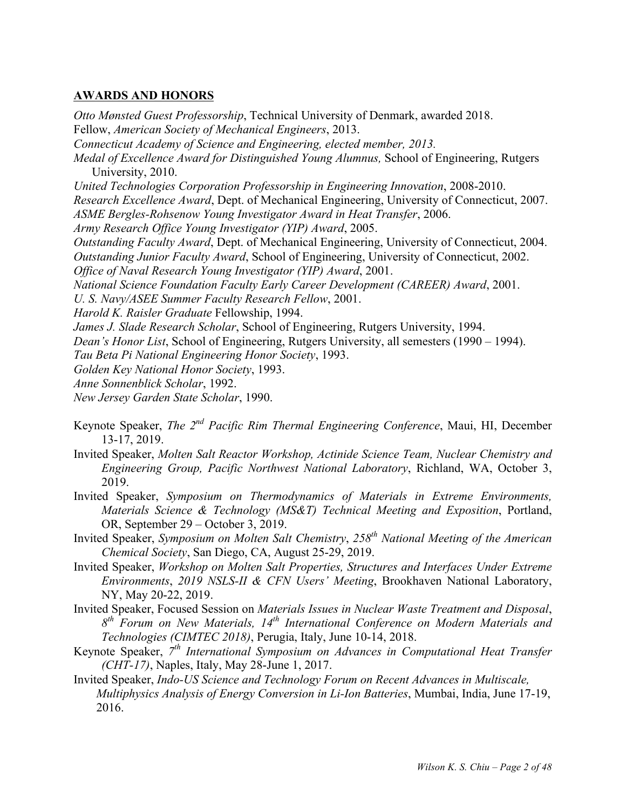#### **AWARDS AND HONORS**

*Otto Mønsted Guest Professorship*, Technical University of Denmark, awarded 2018. Fellow, *American Society of Mechanical Engineers*, 2013. *Connecticut Academy of Science and Engineering, elected member, 2013. Medal of Excellence Award for Distinguished Young Alumnus,* School of Engineering, Rutgers University, 2010. *United Technologies Corporation Professorship in Engineering Innovation*, 2008-2010. *Research Excellence Award*, Dept. of Mechanical Engineering, University of Connecticut, 2007. *ASME Bergles-Rohsenow Young Investigator Award in Heat Transfer*, 2006. *Army Research Office Young Investigator (YIP) Award*, 2005. *Outstanding Faculty Award*, Dept. of Mechanical Engineering, University of Connecticut, 2004. *Outstanding Junior Faculty Award*, School of Engineering, University of Connecticut, 2002. *Office of Naval Research Young Investigator (YIP) Award*, 2001. *National Science Foundation Faculty Early Career Development (CAREER) Award*, 2001. *U. S. Navy/ASEE Summer Faculty Research Fellow*, 2001. *Harold K. Raisler Graduate* Fellowship, 1994. *James J. Slade Research Scholar*, School of Engineering, Rutgers University, 1994. *Dean's Honor List*, School of Engineering, Rutgers University, all semesters (1990 – 1994). *Tau Beta Pi National Engineering Honor Society*, 1993. *Golden Key National Honor Society*, 1993. *Anne Sonnenblick Scholar*, 1992. *New Jersey Garden State Scholar*, 1990.

- Keynote Speaker, *The 2nd Pacific Rim Thermal Engineering Conference*, Maui, HI, December 13-17, 2019.
- Invited Speaker, *Molten Salt Reactor Workshop, Actinide Science Team, Nuclear Chemistry and Engineering Group, Pacific Northwest National Laboratory*, Richland, WA, October 3, 2019.
- Invited Speaker, *Symposium on Thermodynamics of Materials in Extreme Environments, Materials Science & Technology (MS&T) Technical Meeting and Exposition*, Portland, OR, September 29 – October 3, 2019.
- Invited Speaker, *Symposium on Molten Salt Chemistry*, *258th National Meeting of the American Chemical Society*, San Diego, CA, August 25-29, 2019.
- Invited Speaker, *Workshop on Molten Salt Properties, Structures and Interfaces Under Extreme Environments*, *2019 NSLS-II & CFN Users' Meeting*, Brookhaven National Laboratory, NY, May 20-22, 2019.
- Invited Speaker, Focused Session on *Materials Issues in Nuclear Waste Treatment and Disposal*, *8th Forum on New Materials, 14th International Conference on Modern Materials and Technologies (CIMTEC 2018)*, Perugia, Italy, June 10-14, 2018.
- Keynote Speaker, *7th International Symposium on Advances in Computational Heat Transfer (CHT-17)*, Naples, Italy, May 28-June 1, 2017.
- Invited Speaker, *Indo-US Science and Technology Forum on Recent Advances in Multiscale, Multiphysics Analysis of Energy Conversion in Li-Ion Batteries*, Mumbai, India, June 17-19, 2016.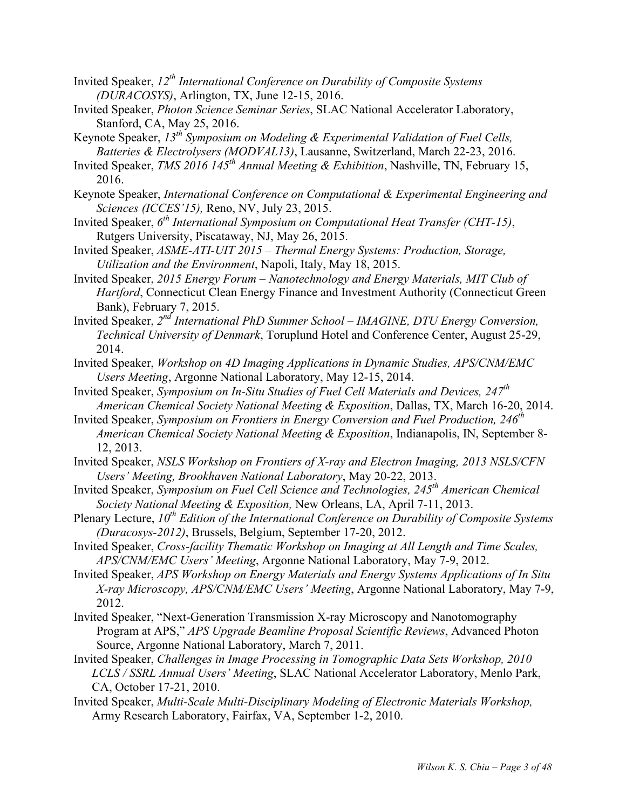Invited Speaker, *12th International Conference on Durability of Composite Systems (DURACOSYS)*, Arlington, TX, June 12-15, 2016.

- Invited Speaker, *Photon Science Seminar Series*, SLAC National Accelerator Laboratory, Stanford, CA, May 25, 2016.
- Keynote Speaker, *13th Symposium on Modeling & Experimental Validation of Fuel Cells, Batteries & Electrolysers (MODVAL13)*, Lausanne, Switzerland, March 22-23, 2016.
- Invited Speaker, *TMS 2016 145th Annual Meeting & Exhibition*, Nashville, TN, February 15, 2016.
- Keynote Speaker, *International Conference on Computational & Experimental Engineering and Sciences (ICCES'15),* Reno, NV, July 23, 2015.
- Invited Speaker, *6th International Symposium on Computational Heat Transfer (CHT-15)*, Rutgers University, Piscataway, NJ, May 26, 2015.
- Invited Speaker, *ASME-ATI-UIT 2015 – Thermal Energy Systems: Production, Storage, Utilization and the Environment*, Napoli, Italy, May 18, 2015.
- Invited Speaker, *2015 Energy Forum – Nanotechnology and Energy Materials, MIT Club of Hartford*, Connecticut Clean Energy Finance and Investment Authority (Connecticut Green Bank), February 7, 2015.
- Invited Speaker, *2nd International PhD Summer School – IMAGINE, DTU Energy Conversion, Technical University of Denmark*, Toruplund Hotel and Conference Center, August 25-29, 2014.
- Invited Speaker, *Workshop on 4D Imaging Applications in Dynamic Studies, APS/CNM/EMC Users Meeting*, Argonne National Laboratory, May 12-15, 2014.
- Invited Speaker, *Symposium on In-Situ Studies of Fuel Cell Materials and Devices, 247th American Chemical Society National Meeting & Exposition*, Dallas, TX, March 16-20, 2014.
- Invited Speaker, *Symposium on Frontiers in Energy Conversion and Fuel Production, 246th American Chemical Society National Meeting & Exposition*, Indianapolis, IN, September 8- 12, 2013.
- Invited Speaker, *NSLS Workshop on Frontiers of X-ray and Electron Imaging, 2013 NSLS/CFN Users' Meeting, Brookhaven National Laboratory*, May 20-22, 2013.
- Invited Speaker, *Symposium on Fuel Cell Science and Technologies, 245th American Chemical Society National Meeting & Exposition,* New Orleans, LA, April 7-11, 2013.
- Plenary Lecture, 10<sup>th</sup> *Edition of the International Conference on Durability of Composite Systems (Duracosys-2012)*, Brussels, Belgium, September 17-20, 2012.
- Invited Speaker, *Cross-facility Thematic Workshop on Imaging at All Length and Time Scales, APS/CNM/EMC Users' Meeting*, Argonne National Laboratory, May 7-9, 2012.
- Invited Speaker, *APS Workshop on Energy Materials and Energy Systems Applications of In Situ X-ray Microscopy, APS/CNM/EMC Users' Meeting*, Argonne National Laboratory, May 7-9, 2012.
- Invited Speaker, "Next-Generation Transmission X-ray Microscopy and Nanotomography Program at APS," *APS Upgrade Beamline Proposal Scientific Reviews*, Advanced Photon Source, Argonne National Laboratory, March 7, 2011.
- Invited Speaker, *Challenges in Image Processing in Tomographic Data Sets Workshop, 2010 LCLS / SSRL Annual Users' Meeting*, SLAC National Accelerator Laboratory, Menlo Park, CA, October 17-21, 2010.
- Invited Speaker, *Multi-Scale Multi-Disciplinary Modeling of Electronic Materials Workshop,* Army Research Laboratory, Fairfax, VA, September 1-2, 2010.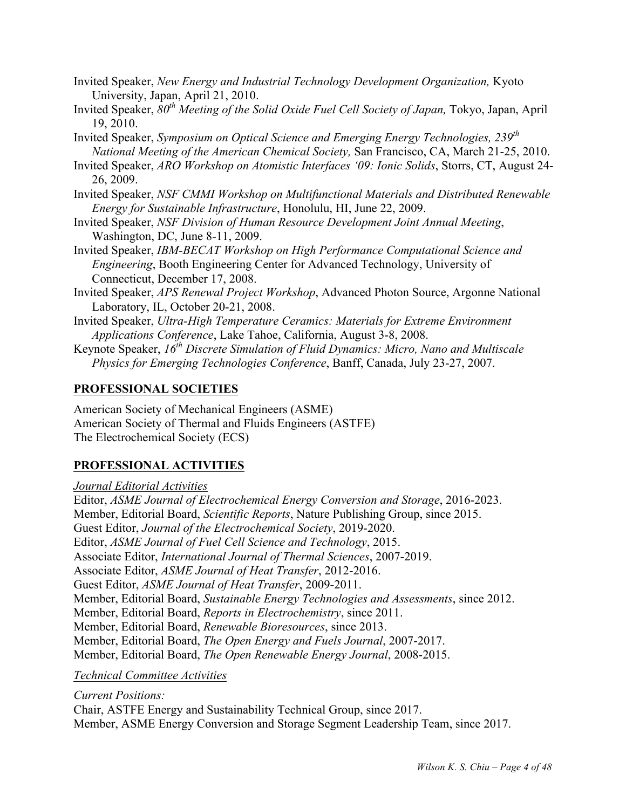- Invited Speaker, *New Energy and Industrial Technology Development Organization,* Kyoto University, Japan, April 21, 2010.
- Invited Speaker, *80th Meeting of the Solid Oxide Fuel Cell Society of Japan,* Tokyo, Japan, April 19, 2010.
- Invited Speaker, *Symposium on Optical Science and Emerging Energy Technologies, 239th National Meeting of the American Chemical Society,* San Francisco, CA, March 21-25, 2010.
- Invited Speaker, *ARO Workshop on Atomistic Interfaces '09: Ionic Solids*, Storrs, CT, August 24- 26, 2009.
- Invited Speaker, *NSF CMMI Workshop on Multifunctional Materials and Distributed Renewable Energy for Sustainable Infrastructure*, Honolulu, HI, June 22, 2009.
- Invited Speaker, *NSF Division of Human Resource Development Joint Annual Meeting*, Washington, DC, June 8-11, 2009.
- Invited Speaker, *IBM-BECAT Workshop on High Performance Computational Science and Engineering*, Booth Engineering Center for Advanced Technology, University of Connecticut, December 17, 2008.
- Invited Speaker, *APS Renewal Project Workshop*, Advanced Photon Source, Argonne National Laboratory, IL, October 20-21, 2008.
- Invited Speaker, *Ultra-High Temperature Ceramics: Materials for Extreme Environment Applications Conference*, Lake Tahoe, California, August 3-8, 2008.

Keynote Speaker,  $16^{th}$  *Discrete Simulation of Fluid Dynamics: Micro, Nano and Multiscale Physics for Emerging Technologies Conference*, Banff, Canada, July 23-27, 2007.

## **PROFESSIONAL SOCIETIES**

American Society of Mechanical Engineers (ASME) American Society of Thermal and Fluids Engineers (ASTFE) The Electrochemical Society (ECS)

# **PROFESSIONAL ACTIVITIES**

## *Journal Editorial Activities*

Editor, *ASME Journal of Electrochemical Energy Conversion and Storage*, 2016-2023. Member, Editorial Board, *Scientific Reports*, Nature Publishing Group, since 2015. Guest Editor, *Journal of the Electrochemical Society*, 2019-2020. Editor, *ASME Journal of Fuel Cell Science and Technology*, 2015. Associate Editor, *International Journal of Thermal Sciences*, 2007-2019. Associate Editor, *ASME Journal of Heat Transfer*, 2012-2016. Guest Editor, *ASME Journal of Heat Transfer*, 2009-2011. Member, Editorial Board, *Sustainable Energy Technologies and Assessments*, since 2012. Member, Editorial Board, *Reports in Electrochemistry*, since 2011. Member, Editorial Board, *Renewable Bioresources*, since 2013. Member, Editorial Board, *The Open Energy and Fuels Journal*, 2007-2017. Member, Editorial Board, *The Open Renewable Energy Journal*, 2008-2015.

## *Technical Committee Activities*

*Current Positions:* Chair, ASTFE Energy and Sustainability Technical Group, since 2017. Member, ASME Energy Conversion and Storage Segment Leadership Team, since 2017.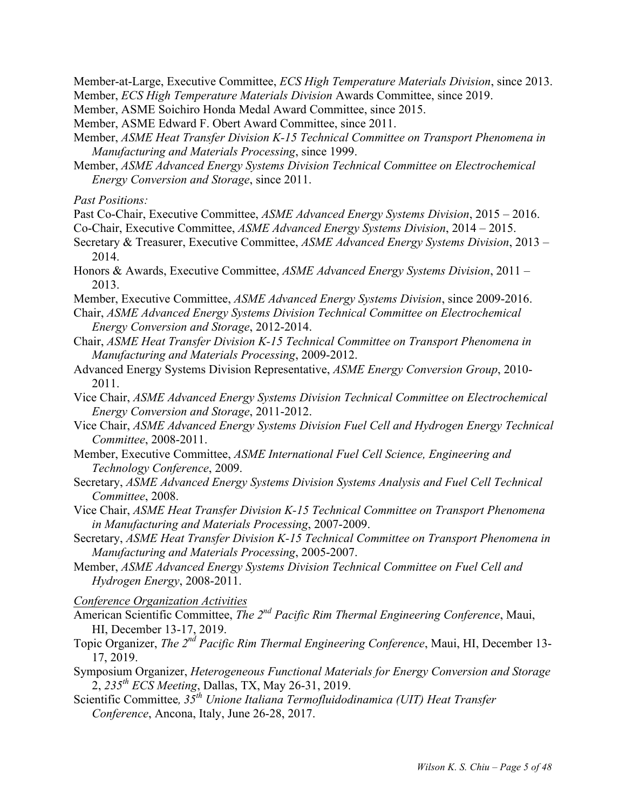Member-at-Large, Executive Committee, *ECS High Temperature Materials Division*, since 2013. Member, *ECS High Temperature Materials Division* Awards Committee, since 2019.

- Member, ASME Soichiro Honda Medal Award Committee, since 2015.
- Member, ASME Edward F. Obert Award Committee, since 2011.
- Member, *ASME Heat Transfer Division K-15 Technical Committee on Transport Phenomena in Manufacturing and Materials Processing*, since 1999.
- Member, *ASME Advanced Energy Systems Division Technical Committee on Electrochemical Energy Conversion and Storage*, since 2011.
- *Past Positions:*
- Past Co-Chair, Executive Committee, *ASME Advanced Energy Systems Division*, 2015 2016.
- Co-Chair, Executive Committee, *ASME Advanced Energy Systems Division*, 2014 2015.
- Secretary & Treasurer, Executive Committee, *ASME Advanced Energy Systems Division*, 2013 2014.
- Honors & Awards, Executive Committee, *ASME Advanced Energy Systems Division*, 2011 2013.
- Member, Executive Committee, *ASME Advanced Energy Systems Division*, since 2009-2016.
- Chair, *ASME Advanced Energy Systems Division Technical Committee on Electrochemical Energy Conversion and Storage*, 2012-2014.
- Chair, *ASME Heat Transfer Division K-15 Technical Committee on Transport Phenomena in Manufacturing and Materials Processing*, 2009-2012.
- Advanced Energy Systems Division Representative, *ASME Energy Conversion Group*, 2010- 2011.
- Vice Chair, *ASME Advanced Energy Systems Division Technical Committee on Electrochemical Energy Conversion and Storage*, 2011-2012.
- Vice Chair, *ASME Advanced Energy Systems Division Fuel Cell and Hydrogen Energy Technical Committee*, 2008-2011.
- Member, Executive Committee, *ASME International Fuel Cell Science, Engineering and Technology Conference*, 2009.
- Secretary, *ASME Advanced Energy Systems Division Systems Analysis and Fuel Cell Technical Committee*, 2008.
- Vice Chair, *ASME Heat Transfer Division K-15 Technical Committee on Transport Phenomena in Manufacturing and Materials Processing*, 2007-2009.
- Secretary, *ASME Heat Transfer Division K-15 Technical Committee on Transport Phenomena in Manufacturing and Materials Processing*, 2005-2007.
- Member, *ASME Advanced Energy Systems Division Technical Committee on Fuel Cell and Hydrogen Energy*, 2008-2011.

*Conference Organization Activities*

- American Scientific Committee, *The 2nd Pacific Rim Thermal Engineering Conference*, Maui, HI, December 13-17, 2019.
- Topic Organizer, *The 2nd Pacific Rim Thermal Engineering Conference*, Maui, HI, December 13- 17, 2019.
- Symposium Organizer, *Heterogeneous Functional Materials for Energy Conversion and Storage* 2, *235th ECS Meeting*, Dallas, TX, May 26-31, 2019.
- Scientific Committee*, 35th Unione Italiana Termofluidodinamica (UIT) Heat Transfer Conference*, Ancona, Italy, June 26-28, 2017.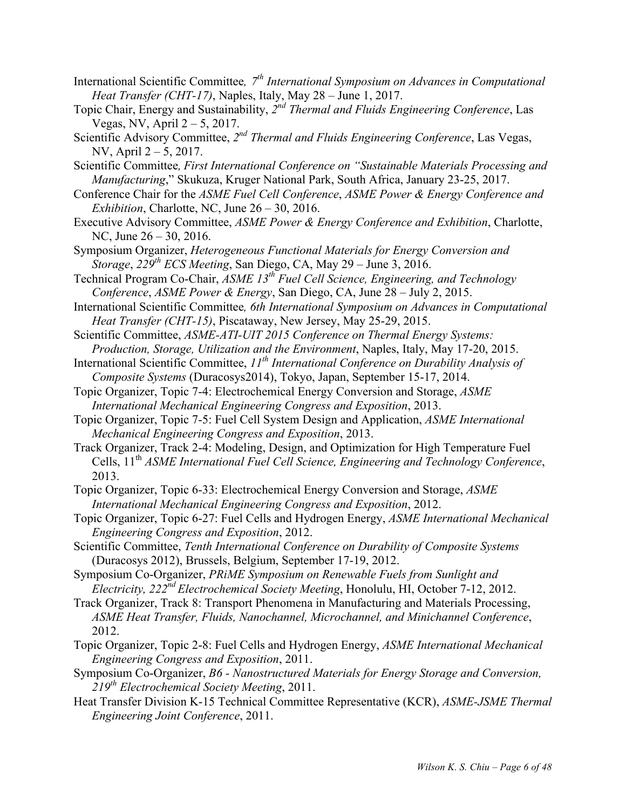- International Scientific Committee*, 7th International Symposium on Advances in Computational Heat Transfer (CHT-17)*, Naples, Italy, May 28 – June 1, 2017.
- Topic Chair, Energy and Sustainability, *2nd Thermal and Fluids Engineering Conference*, Las Vegas, NV, April 2 – 5, 2017.
- Scientific Advisory Committee, *2nd Thermal and Fluids Engineering Conference*, Las Vegas, NV, April 2 – 5, 2017.
- Scientific Committee*, First International Conference on "Sustainable Materials Processing and Manufacturing*," Skukuza, Kruger National Park, South Africa, January 23-25, 2017.
- Conference Chair for the *ASME Fuel Cell Conference*, *ASME Power & Energy Conference and Exhibition*, Charlotte, NC, June 26 – 30, 2016.
- Executive Advisory Committee, *ASME Power & Energy Conference and Exhibition*, Charlotte, NC, June 26 – 30, 2016.
- Symposium Organizer, *Heterogeneous Functional Materials for Energy Conversion and Storage*, *229th ECS Meeting*, San Diego, CA, May 29 – June 3, 2016.
- Technical Program Co-Chair, *ASME 13th Fuel Cell Science, Engineering, and Technology Conference*, *ASME Power & Energy*, San Diego, CA, June 28 – July 2, 2015.
- International Scientific Committee*, 6th International Symposium on Advances in Computational Heat Transfer (CHT-15)*, Piscataway, New Jersey, May 25-29, 2015.
- Scientific Committee, *ASME-ATI-UIT 2015 Conference on Thermal Energy Systems: Production, Storage, Utilization and the Environment*, Naples, Italy, May 17-20, 2015.
- International Scientific Committee, *11th International Conference on Durability Analysis of Composite Systems* (Duracosys2014), Tokyo, Japan, September 15-17, 2014.
- Topic Organizer, Topic 7-4: Electrochemical Energy Conversion and Storage, *ASME International Mechanical Engineering Congress and Exposition*, 2013.
- Topic Organizer, Topic 7-5: Fuel Cell System Design and Application, *ASME International Mechanical Engineering Congress and Exposition*, 2013.
- Track Organizer, Track 2-4: Modeling, Design, and Optimization for High Temperature Fuel Cells, 11th *ASME International Fuel Cell Science, Engineering and Technology Conference*, 2013.
- Topic Organizer, Topic 6-33: Electrochemical Energy Conversion and Storage, *ASME International Mechanical Engineering Congress and Exposition*, 2012.
- Topic Organizer, Topic 6-27: Fuel Cells and Hydrogen Energy, *ASME International Mechanical Engineering Congress and Exposition*, 2012.
- Scientific Committee, *Tenth International Conference on Durability of Composite Systems* (Duracosys 2012), Brussels, Belgium, September 17-19, 2012.
- Symposium Co-Organizer, *PRiME Symposium on Renewable Fuels from Sunlight and Electricity, 222nd Electrochemical Society Meeting*, Honolulu, HI, October 7-12, 2012.
- Track Organizer, Track 8: Transport Phenomena in Manufacturing and Materials Processing, *ASME Heat Transfer, Fluids, Nanochannel, Microchannel, and Minichannel Conference*, 2012.
- Topic Organizer, Topic 2-8: Fuel Cells and Hydrogen Energy, *ASME International Mechanical Engineering Congress and Exposition*, 2011.
- Symposium Co-Organizer, *B6 - Nanostructured Materials for Energy Storage and Conversion, 219th Electrochemical Society Meeting*, 2011.
- Heat Transfer Division K-15 Technical Committee Representative (KCR), *ASME-JSME Thermal Engineering Joint Conference*, 2011.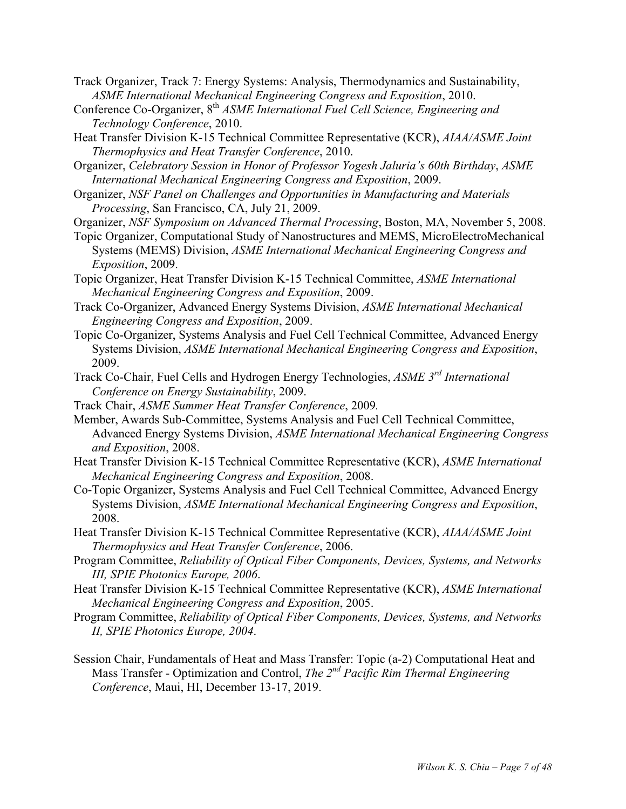Track Organizer, Track 7: Energy Systems: Analysis, Thermodynamics and Sustainability, *ASME International Mechanical Engineering Congress and Exposition*, 2010.

- Conference Co-Organizer, 8th *ASME International Fuel Cell Science, Engineering and Technology Conference*, 2010.
- Heat Transfer Division K-15 Technical Committee Representative (KCR), *AIAA/ASME Joint Thermophysics and Heat Transfer Conference*, 2010.

Organizer, *Celebratory Session in Honor of Professor Yogesh Jaluria's 60th Birthday*, *ASME International Mechanical Engineering Congress and Exposition*, 2009.

- Organizer, *NSF Panel on Challenges and Opportunities in Manufacturing and Materials Processing*, San Francisco, CA, July 21, 2009.
- Organizer, *NSF Symposium on Advanced Thermal Processing*, Boston, MA, November 5, 2008.
- Topic Organizer, Computational Study of Nanostructures and MEMS, MicroElectroMechanical Systems (MEMS) Division, *ASME International Mechanical Engineering Congress and Exposition*, 2009.

Topic Organizer, Heat Transfer Division K-15 Technical Committee, *ASME International Mechanical Engineering Congress and Exposition*, 2009.

- Track Co-Organizer, Advanced Energy Systems Division, *ASME International Mechanical Engineering Congress and Exposition*, 2009.
- Topic Co-Organizer, Systems Analysis and Fuel Cell Technical Committee, Advanced Energy Systems Division, *ASME International Mechanical Engineering Congress and Exposition*, 2009.
- Track Co-Chair, Fuel Cells and Hydrogen Energy Technologies, *ASME 3rd International Conference on Energy Sustainability*, 2009.
- Track Chair, *ASME Summer Heat Transfer Conference*, 2009*.*
- Member, Awards Sub-Committee, Systems Analysis and Fuel Cell Technical Committee, Advanced Energy Systems Division, *ASME International Mechanical Engineering Congress and Exposition*, 2008.
- Heat Transfer Division K-15 Technical Committee Representative (KCR), *ASME International Mechanical Engineering Congress and Exposition*, 2008.
- Co-Topic Organizer, Systems Analysis and Fuel Cell Technical Committee, Advanced Energy Systems Division, *ASME International Mechanical Engineering Congress and Exposition*, 2008.
- Heat Transfer Division K-15 Technical Committee Representative (KCR), *AIAA/ASME Joint Thermophysics and Heat Transfer Conference*, 2006.
- Program Committee, *Reliability of Optical Fiber Components, Devices, Systems, and Networks III, SPIE Photonics Europe, 2006*.
- Heat Transfer Division K-15 Technical Committee Representative (KCR), *ASME International Mechanical Engineering Congress and Exposition*, 2005.
- Program Committee, *Reliability of Optical Fiber Components, Devices, Systems, and Networks II, SPIE Photonics Europe, 2004*.
- Session Chair, Fundamentals of Heat and Mass Transfer: Topic (a-2) Computational Heat and Mass Transfer - Optimization and Control, *The 2nd Pacific Rim Thermal Engineering Conference*, Maui, HI, December 13-17, 2019.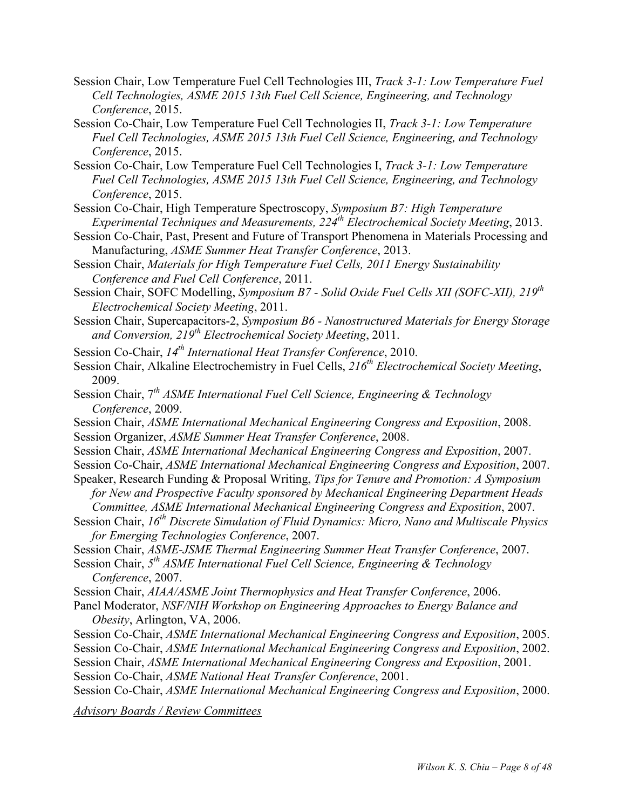- Session Chair, Low Temperature Fuel Cell Technologies III, *Track 3-1: Low Temperature Fuel Cell Technologies, ASME 2015 13th Fuel Cell Science, Engineering, and Technology Conference*, 2015.
- Session Co-Chair, Low Temperature Fuel Cell Technologies II, *Track 3-1: Low Temperature Fuel Cell Technologies, ASME 2015 13th Fuel Cell Science, Engineering, and Technology Conference*, 2015.
- Session Co-Chair, Low Temperature Fuel Cell Technologies I, *Track 3-1: Low Temperature Fuel Cell Technologies, ASME 2015 13th Fuel Cell Science, Engineering, and Technology Conference*, 2015.
- Session Co-Chair, High Temperature Spectroscopy, *Symposium B7: High Temperature Experimental Techniques and Measurements, 224th Electrochemical Society Meeting*, 2013.
- Session Co-Chair, Past, Present and Future of Transport Phenomena in Materials Processing and Manufacturing, *ASME Summer Heat Transfer Conference*, 2013.
- Session Chair, *Materials for High Temperature Fuel Cells, 2011 Energy Sustainability Conference and Fuel Cell Conference*, 2011.
- Session Chair, SOFC Modelling, *Symposium B7 - Solid Oxide Fuel Cells XII (SOFC-XII), 219th Electrochemical Society Meeting*, 2011.
- Session Chair, Supercapacitors-2, *Symposium B6 - Nanostructured Materials for Energy Storage and Conversion, 219th Electrochemical Society Meeting*, 2011.
- Session Co-Chair, *14th International Heat Transfer Conference*, 2010.
- Session Chair, Alkaline Electrochemistry in Fuel Cells, *216th Electrochemical Society Meeting*, 2009.
- Session Chair, 7*th ASME International Fuel Cell Science, Engineering & Technology Conference*, 2009.
- Session Chair, *ASME International Mechanical Engineering Congress and Exposition*, 2008. Session Organizer, *ASME Summer Heat Transfer Conference*, 2008.
- Session Chair, *ASME International Mechanical Engineering Congress and Exposition*, 2007.
- Session Co-Chair, *ASME International Mechanical Engineering Congress and Exposition*, 2007.
- Speaker, Research Funding & Proposal Writing, *Tips for Tenure and Promotion: A Symposium for New and Prospective Faculty sponsored by Mechanical Engineering Department Heads*
- *Committee, ASME International Mechanical Engineering Congress and Exposition*, 2007.
- Session Chair, *16th Discrete Simulation of Fluid Dynamics: Micro, Nano and Multiscale Physics for Emerging Technologies Conference*, 2007.
- Session Chair, *ASME-JSME Thermal Engineering Summer Heat Transfer Conference*, 2007.
- Session Chair, *5th ASME International Fuel Cell Science, Engineering & Technology Conference*, 2007.
- Session Chair, *AIAA/ASME Joint Thermophysics and Heat Transfer Conference*, 2006.
- Panel Moderator, *NSF/NIH Workshop on Engineering Approaches to Energy Balance and Obesity*, Arlington, VA, 2006.
- Session Co-Chair, *ASME International Mechanical Engineering Congress and Exposition*, 2005.
- Session Co-Chair, *ASME International Mechanical Engineering Congress and Exposition*, 2002. Session Chair, *ASME International Mechanical Engineering Congress and Exposition*, 2001.
- Session Co-Chair, *ASME National Heat Transfer Conference*, 2001.
- Session Co-Chair, *ASME International Mechanical Engineering Congress and Exposition*, 2000.

*Advisory Boards / Review Committees*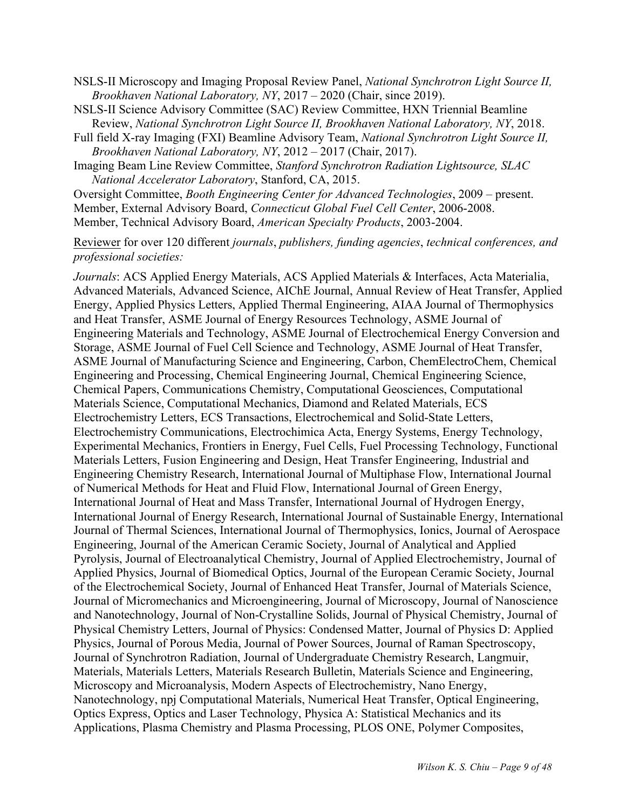NSLS-II Microscopy and Imaging Proposal Review Panel, *National Synchrotron Light Source II, Brookhaven National Laboratory, NY*, 2017 – 2020 (Chair, since 2019).

- NSLS-II Science Advisory Committee (SAC) Review Committee, HXN Triennial Beamline Review, *National Synchrotron Light Source II, Brookhaven National Laboratory, NY*, 2018.
- Full field X-ray Imaging (FXI) Beamline Advisory Team, *National Synchrotron Light Source II, Brookhaven National Laboratory, NY*, 2012 – 2017 (Chair, 2017).
- Imaging Beam Line Review Committee, *Stanford Synchrotron Radiation Lightsource, SLAC National Accelerator Laboratory*, Stanford, CA, 2015.

Oversight Committee, *Booth Engineering Center for Advanced Technologies*, 2009 – present. Member, External Advisory Board, *Connecticut Global Fuel Cell Center*, 2006-2008. Member, Technical Advisory Board, *American Specialty Products*, 2003-2004.

Reviewer for over 120 different *journals*, *publishers, funding agencies*, *technical conferences, and professional societies:*

*Journals*: ACS Applied Energy Materials, ACS Applied Materials & Interfaces, Acta Materialia, Advanced Materials, Advanced Science, AIChE Journal, Annual Review of Heat Transfer, Applied Energy, Applied Physics Letters, Applied Thermal Engineering, AIAA Journal of Thermophysics and Heat Transfer, ASME Journal of Energy Resources Technology, ASME Journal of Engineering Materials and Technology, ASME Journal of Electrochemical Energy Conversion and Storage, ASME Journal of Fuel Cell Science and Technology, ASME Journal of Heat Transfer, ASME Journal of Manufacturing Science and Engineering, Carbon, ChemElectroChem, Chemical Engineering and Processing, Chemical Engineering Journal, Chemical Engineering Science, Chemical Papers, Communications Chemistry, Computational Geosciences, Computational Materials Science, Computational Mechanics, Diamond and Related Materials, ECS Electrochemistry Letters, ECS Transactions, Electrochemical and Solid-State Letters, Electrochemistry Communications, Electrochimica Acta, Energy Systems, Energy Technology, Experimental Mechanics, Frontiers in Energy, Fuel Cells, Fuel Processing Technology, Functional Materials Letters, Fusion Engineering and Design, Heat Transfer Engineering, Industrial and Engineering Chemistry Research, International Journal of Multiphase Flow, International Journal of Numerical Methods for Heat and Fluid Flow, International Journal of Green Energy, International Journal of Heat and Mass Transfer, International Journal of Hydrogen Energy, International Journal of Energy Research, International Journal of Sustainable Energy, International Journal of Thermal Sciences, International Journal of Thermophysics, Ionics, Journal of Aerospace Engineering, Journal of the American Ceramic Society, Journal of Analytical and Applied Pyrolysis, Journal of Electroanalytical Chemistry, Journal of Applied Electrochemistry, Journal of Applied Physics, Journal of Biomedical Optics, Journal of the European Ceramic Society, Journal of the Electrochemical Society, Journal of Enhanced Heat Transfer, Journal of Materials Science, Journal of Micromechanics and Microengineering, Journal of Microscopy, Journal of Nanoscience and Nanotechnology, Journal of Non-Crystalline Solids, Journal of Physical Chemistry, Journal of Physical Chemistry Letters, Journal of Physics: Condensed Matter, Journal of Physics D: Applied Physics, Journal of Porous Media, Journal of Power Sources, Journal of Raman Spectroscopy, Journal of Synchrotron Radiation, Journal of Undergraduate Chemistry Research, Langmuir, Materials, Materials Letters, Materials Research Bulletin, Materials Science and Engineering, Microscopy and Microanalysis, Modern Aspects of Electrochemistry, Nano Energy, Nanotechnology, npj Computational Materials, Numerical Heat Transfer, Optical Engineering, Optics Express, Optics and Laser Technology, Physica A: Statistical Mechanics and its Applications, Plasma Chemistry and Plasma Processing, PLOS ONE, Polymer Composites,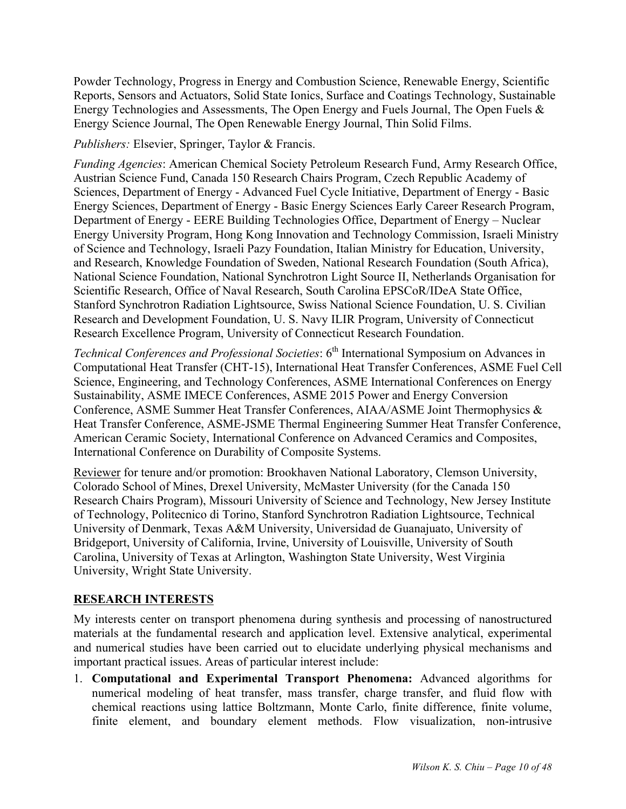Powder Technology, Progress in Energy and Combustion Science, Renewable Energy, Scientific Reports, Sensors and Actuators, Solid State Ionics, Surface and Coatings Technology, Sustainable Energy Technologies and Assessments, The Open Energy and Fuels Journal, The Open Fuels & Energy Science Journal, The Open Renewable Energy Journal, Thin Solid Films.

*Publishers:* Elsevier, Springer, Taylor & Francis.

*Funding Agencies*: American Chemical Society Petroleum Research Fund, Army Research Office, Austrian Science Fund, Canada 150 Research Chairs Program, Czech Republic Academy of Sciences, Department of Energy - Advanced Fuel Cycle Initiative, Department of Energy - Basic Energy Sciences, Department of Energy - Basic Energy Sciences Early Career Research Program, Department of Energy - EERE Building Technologies Office, Department of Energy – Nuclear Energy University Program, Hong Kong Innovation and Technology Commission, Israeli Ministry of Science and Technology, Israeli Pazy Foundation, Italian Ministry for Education, University, and Research, Knowledge Foundation of Sweden, National Research Foundation (South Africa), National Science Foundation, National Synchrotron Light Source II, Netherlands Organisation for Scientific Research, Office of Naval Research, South Carolina EPSCoR/IDeA State Office, Stanford Synchrotron Radiation Lightsource, Swiss National Science Foundation, U. S. Civilian Research and Development Foundation, U. S. Navy ILIR Program, University of Connecticut Research Excellence Program, University of Connecticut Research Foundation.

*Technical Conferences and Professional Societies*: 6<sup>th</sup> International Symposium on Advances in Computational Heat Transfer (CHT-15), International Heat Transfer Conferences, ASME Fuel Cell Science, Engineering, and Technology Conferences, ASME International Conferences on Energy Sustainability, ASME IMECE Conferences, ASME 2015 Power and Energy Conversion Conference, ASME Summer Heat Transfer Conferences, AIAA/ASME Joint Thermophysics & Heat Transfer Conference, ASME-JSME Thermal Engineering Summer Heat Transfer Conference, American Ceramic Society, International Conference on Advanced Ceramics and Composites, International Conference on Durability of Composite Systems.

Reviewer for tenure and/or promotion: Brookhaven National Laboratory, Clemson University, Colorado School of Mines, Drexel University, McMaster University (for the Canada 150 Research Chairs Program), Missouri University of Science and Technology, New Jersey Institute of Technology, Politecnico di Torino, Stanford Synchrotron Radiation Lightsource, Technical University of Denmark, Texas A&M University, Universidad de Guanajuato, University of Bridgeport, University of California, Irvine, University of Louisville, University of South Carolina, University of Texas at Arlington, Washington State University, West Virginia University, Wright State University.

### **RESEARCH INTERESTS**

My interests center on transport phenomena during synthesis and processing of nanostructured materials at the fundamental research and application level. Extensive analytical, experimental and numerical studies have been carried out to elucidate underlying physical mechanisms and important practical issues. Areas of particular interest include:

1. **Computational and Experimental Transport Phenomena:** Advanced algorithms for numerical modeling of heat transfer, mass transfer, charge transfer, and fluid flow with chemical reactions using lattice Boltzmann, Monte Carlo, finite difference, finite volume, finite element, and boundary element methods. Flow visualization, non-intrusive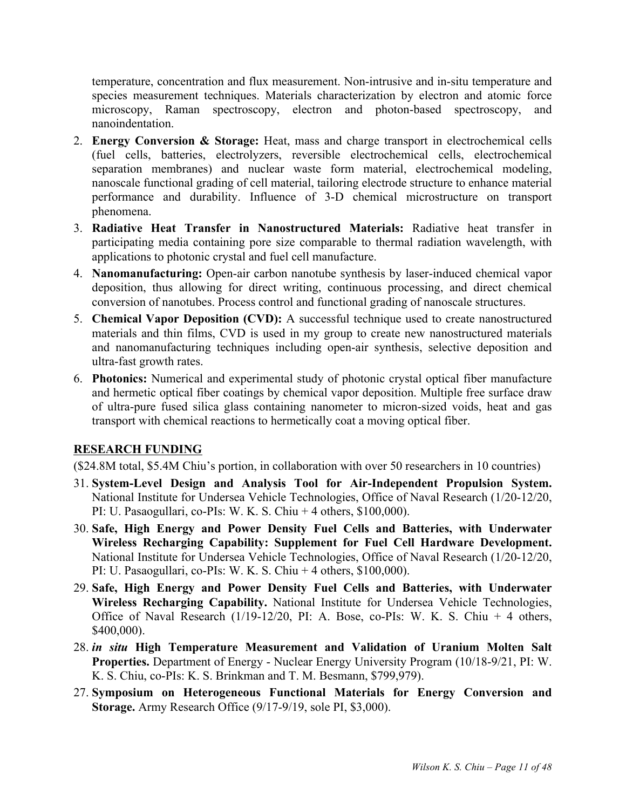temperature, concentration and flux measurement. Non-intrusive and in-situ temperature and species measurement techniques. Materials characterization by electron and atomic force microscopy, Raman spectroscopy, electron and photon-based spectroscopy, and nanoindentation.

- 2. **Energy Conversion & Storage:** Heat, mass and charge transport in electrochemical cells (fuel cells, batteries, electrolyzers, reversible electrochemical cells, electrochemical separation membranes) and nuclear waste form material, electrochemical modeling, nanoscale functional grading of cell material, tailoring electrode structure to enhance material performance and durability. Influence of 3-D chemical microstructure on transport phenomena.
- 3. **Radiative Heat Transfer in Nanostructured Materials:** Radiative heat transfer in participating media containing pore size comparable to thermal radiation wavelength, with applications to photonic crystal and fuel cell manufacture.
- 4. **Nanomanufacturing:** Open-air carbon nanotube synthesis by laser-induced chemical vapor deposition, thus allowing for direct writing, continuous processing, and direct chemical conversion of nanotubes. Process control and functional grading of nanoscale structures.
- 5. **Chemical Vapor Deposition (CVD):** A successful technique used to create nanostructured materials and thin films, CVD is used in my group to create new nanostructured materials and nanomanufacturing techniques including open-air synthesis, selective deposition and ultra-fast growth rates.
- 6. **Photonics:** Numerical and experimental study of photonic crystal optical fiber manufacture and hermetic optical fiber coatings by chemical vapor deposition. Multiple free surface draw of ultra-pure fused silica glass containing nanometer to micron-sized voids, heat and gas transport with chemical reactions to hermetically coat a moving optical fiber.

### **RESEARCH FUNDING**

(\$24.8M total, \$5.4M Chiu's portion, in collaboration with over 50 researchers in 10 countries)

- 31. **System-Level Design and Analysis Tool for Air-Independent Propulsion System.** National Institute for Undersea Vehicle Technologies, Office of Naval Research (1/20-12/20, PI: U. Pasaogullari, co-PIs: W. K. S. Chiu + 4 others, \$100,000).
- 30. **Safe, High Energy and Power Density Fuel Cells and Batteries, with Underwater Wireless Recharging Capability: Supplement for Fuel Cell Hardware Development.** National Institute for Undersea Vehicle Technologies, Office of Naval Research (1/20-12/20, PI: U. Pasaogullari, co-PIs: W. K. S. Chiu  $+$  4 others, \$100,000).
- 29. **Safe, High Energy and Power Density Fuel Cells and Batteries, with Underwater Wireless Recharging Capability.** National Institute for Undersea Vehicle Technologies, Office of Naval Research (1/19-12/20, PI: A. Bose, co-PIs: W. K. S. Chiu + 4 others, \$400,000).
- 28. *in situ* **High Temperature Measurement and Validation of Uranium Molten Salt Properties.** Department of Energy - Nuclear Energy University Program (10/18-9/21, PI: W. K. S. Chiu, co-PIs: K. S. Brinkman and T. M. Besmann, \$799,979).
- 27. **Symposium on Heterogeneous Functional Materials for Energy Conversion and Storage.** Army Research Office (9/17-9/19, sole PI, \$3,000).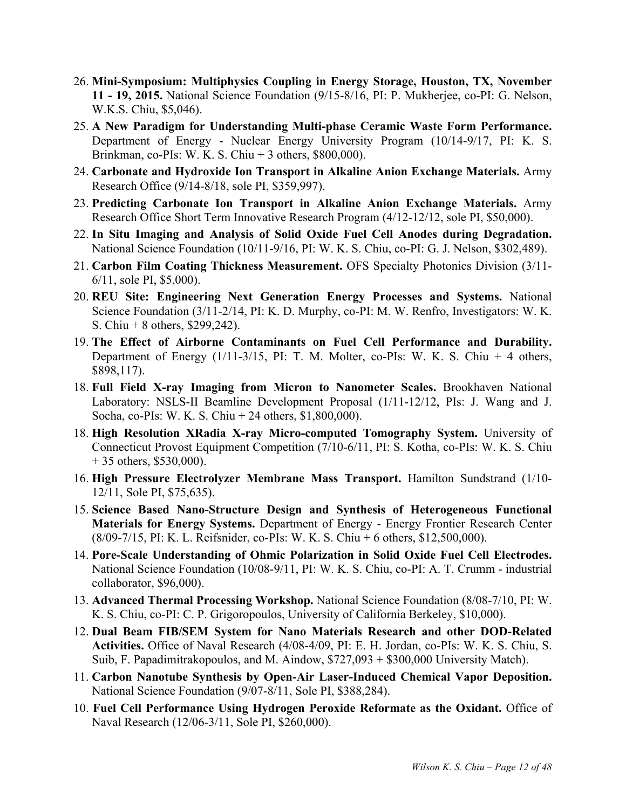- 26. **Mini-Symposium: Multiphysics Coupling in Energy Storage, Houston, TX, November 11 - 19, 2015.** National Science Foundation (9/15-8/16, PI: P. Mukherjee, co-PI: G. Nelson, W.K.S. Chiu, \$5,046).
- 25. **A New Paradigm for Understanding Multi-phase Ceramic Waste Form Performance.** Department of Energy - Nuclear Energy University Program (10/14-9/17, PI: K. S. Brinkman, co-PIs: W. K. S. Chiu + 3 others, \$800,000).
- 24. **Carbonate and Hydroxide Ion Transport in Alkaline Anion Exchange Materials.** Army Research Office (9/14-8/18, sole PI, \$359,997).
- 23. **Predicting Carbonate Ion Transport in Alkaline Anion Exchange Materials.** Army Research Office Short Term Innovative Research Program (4/12-12/12, sole PI, \$50,000).
- 22. **In Situ Imaging and Analysis of Solid Oxide Fuel Cell Anodes during Degradation.** National Science Foundation (10/11-9/16, PI: W. K. S. Chiu, co-PI: G. J. Nelson, \$302,489).
- 21. **Carbon Film Coating Thickness Measurement.** OFS Specialty Photonics Division (3/11- 6/11, sole PI, \$5,000).
- 20. **REU Site: Engineering Next Generation Energy Processes and Systems.** National Science Foundation (3/11-2/14, PI: K. D. Murphy, co-PI: M. W. Renfro, Investigators: W. K. S. Chiu + 8 others, \$299,242).
- 19. **The Effect of Airborne Contaminants on Fuel Cell Performance and Durability.** Department of Energy  $(1/11-3/15,$  PI: T. M. Molter, co-PIs: W. K. S. Chiu + 4 others, \$898,117).
- 18. **Full Field X-ray Imaging from Micron to Nanometer Scales.** Brookhaven National Laboratory: NSLS-II Beamline Development Proposal (1/11-12/12, PIs: J. Wang and J. Socha, co-PIs: W. K. S. Chiu + 24 others, \$1,800,000).
- 18. **High Resolution XRadia X-ray Micro-computed Tomography System.** University of Connecticut Provost Equipment Competition (7/10-6/11, PI: S. Kotha, co-PIs: W. K. S. Chiu  $+ 35$  others, \$530,000).
- 16. **High Pressure Electrolyzer Membrane Mass Transport.** Hamilton Sundstrand (1/10- 12/11, Sole PI, \$75,635).
- 15. **Science Based Nano-Structure Design and Synthesis of Heterogeneous Functional Materials for Energy Systems.** Department of Energy - Energy Frontier Research Center (8/09-7/15, PI: K. L. Reifsnider, co-PIs: W. K. S. Chiu + 6 others, \$12,500,000).
- 14. **Pore-Scale Understanding of Ohmic Polarization in Solid Oxide Fuel Cell Electrodes.** National Science Foundation (10/08-9/11, PI: W. K. S. Chiu, co-PI: A. T. Crumm - industrial collaborator, \$96,000).
- 13. **Advanced Thermal Processing Workshop.** National Science Foundation (8/08-7/10, PI: W. K. S. Chiu, co-PI: C. P. Grigoropoulos, University of California Berkeley, \$10,000).
- 12. **Dual Beam FIB/SEM System for Nano Materials Research and other DOD-Related Activities.** Office of Naval Research (4/08-4/09, PI: E. H. Jordan, co-PIs: W. K. S. Chiu, S. Suib, F. Papadimitrakopoulos, and M. Aindow, \$727,093 + \$300,000 University Match).
- 11. **Carbon Nanotube Synthesis by Open-Air Laser-Induced Chemical Vapor Deposition.** National Science Foundation (9/07-8/11, Sole PI, \$388,284).
- 10. **Fuel Cell Performance Using Hydrogen Peroxide Reformate as the Oxidant.** Office of Naval Research (12/06-3/11, Sole PI, \$260,000).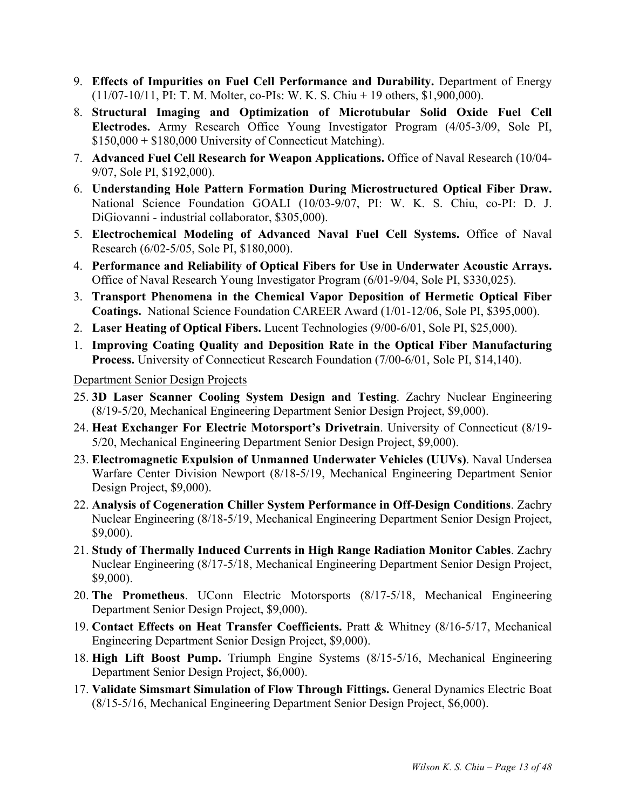- 9. **Effects of Impurities on Fuel Cell Performance and Durability.** Department of Energy (11/07-10/11, PI: T. M. Molter, co-PIs: W. K. S. Chiu + 19 others, \$1,900,000).
- 8. **Structural Imaging and Optimization of Microtubular Solid Oxide Fuel Cell Electrodes.** Army Research Office Young Investigator Program (4/05-3/09, Sole PI,  $$150,000 + $180,000$  University of Connecticut Matching).
- 7. **Advanced Fuel Cell Research for Weapon Applications.** Office of Naval Research (10/04- 9/07, Sole PI, \$192,000).
- 6. **Understanding Hole Pattern Formation During Microstructured Optical Fiber Draw.** National Science Foundation GOALI (10/03-9/07, PI: W. K. S. Chiu, co-PI: D. J. DiGiovanni - industrial collaborator, \$305,000).
- 5. **Electrochemical Modeling of Advanced Naval Fuel Cell Systems.** Office of Naval Research (6/02-5/05, Sole PI, \$180,000).
- 4. **Performance and Reliability of Optical Fibers for Use in Underwater Acoustic Arrays.** Office of Naval Research Young Investigator Program (6/01-9/04, Sole PI, \$330,025).
- 3. **Transport Phenomena in the Chemical Vapor Deposition of Hermetic Optical Fiber Coatings.** National Science Foundation CAREER Award (1/01-12/06, Sole PI, \$395,000).
- 2. **Laser Heating of Optical Fibers.** Lucent Technologies (9/00-6/01, Sole PI, \$25,000).
- 1. **Improving Coating Quality and Deposition Rate in the Optical Fiber Manufacturing Process.** University of Connecticut Research Foundation (7/00-6/01, Sole PI, \$14,140).

Department Senior Design Projects

- 25. **3D Laser Scanner Cooling System Design and Testing**. Zachry Nuclear Engineering (8/19-5/20, Mechanical Engineering Department Senior Design Project, \$9,000).
- 24. **Heat Exchanger For Electric Motorsport's Drivetrain**. University of Connecticut (8/19- 5/20, Mechanical Engineering Department Senior Design Project, \$9,000).
- 23. **Electromagnetic Expulsion of Unmanned Underwater Vehicles (UUVs)**. Naval Undersea Warfare Center Division Newport (8/18-5/19, Mechanical Engineering Department Senior Design Project, \$9,000).
- 22. **Analysis of Cogeneration Chiller System Performance in Off-Design Conditions**. Zachry Nuclear Engineering (8/18-5/19, Mechanical Engineering Department Senior Design Project, \$9,000).
- 21. **Study of Thermally Induced Currents in High Range Radiation Monitor Cables**. Zachry Nuclear Engineering (8/17-5/18, Mechanical Engineering Department Senior Design Project, \$9,000).
- 20. **The Prometheus**. UConn Electric Motorsports (8/17-5/18, Mechanical Engineering Department Senior Design Project, \$9,000).
- 19. **Contact Effects on Heat Transfer Coefficients.** Pratt & Whitney (8/16-5/17, Mechanical Engineering Department Senior Design Project, \$9,000).
- 18. **High Lift Boost Pump.** Triumph Engine Systems (8/15-5/16, Mechanical Engineering Department Senior Design Project, \$6,000).
- 17. **Validate Simsmart Simulation of Flow Through Fittings.** General Dynamics Electric Boat (8/15-5/16, Mechanical Engineering Department Senior Design Project, \$6,000).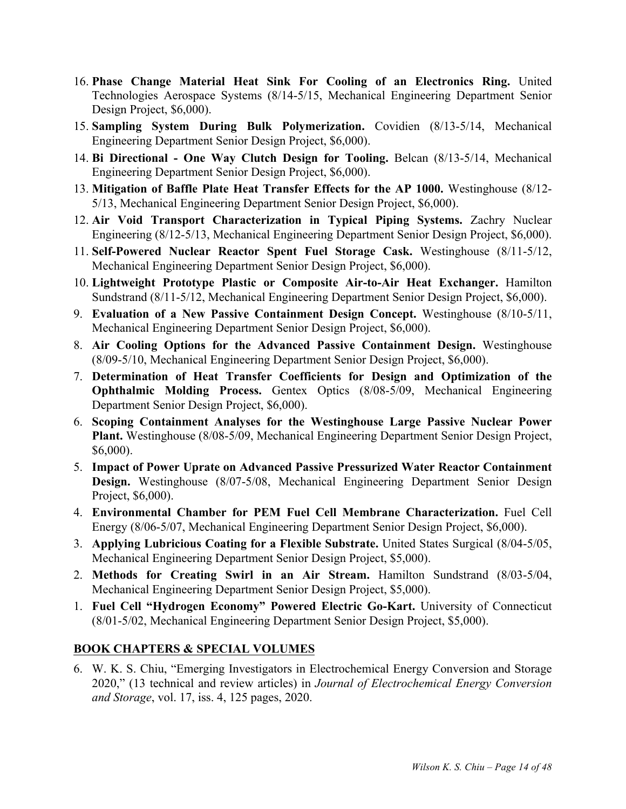- 16. **Phase Change Material Heat Sink For Cooling of an Electronics Ring.** United Technologies Aerospace Systems (8/14-5/15, Mechanical Engineering Department Senior Design Project, \$6,000).
- 15. **Sampling System During Bulk Polymerization.** Covidien (8/13-5/14, Mechanical Engineering Department Senior Design Project, \$6,000).
- 14. **Bi Directional - One Way Clutch Design for Tooling.** Belcan (8/13-5/14, Mechanical Engineering Department Senior Design Project, \$6,000).
- 13. **Mitigation of Baffle Plate Heat Transfer Effects for the AP 1000.** Westinghouse (8/12- 5/13, Mechanical Engineering Department Senior Design Project, \$6,000).
- 12. **Air Void Transport Characterization in Typical Piping Systems.** Zachry Nuclear Engineering (8/12-5/13, Mechanical Engineering Department Senior Design Project, \$6,000).
- 11. **Self-Powered Nuclear Reactor Spent Fuel Storage Cask.** Westinghouse (8/11-5/12, Mechanical Engineering Department Senior Design Project, \$6,000).
- 10. **Lightweight Prototype Plastic or Composite Air-to-Air Heat Exchanger.** Hamilton Sundstrand (8/11-5/12, Mechanical Engineering Department Senior Design Project, \$6,000).
- 9. **Evaluation of a New Passive Containment Design Concept.** Westinghouse (8/10-5/11, Mechanical Engineering Department Senior Design Project, \$6,000).
- 8. **Air Cooling Options for the Advanced Passive Containment Design.** Westinghouse (8/09-5/10, Mechanical Engineering Department Senior Design Project, \$6,000).
- 7. **Determination of Heat Transfer Coefficients for Design and Optimization of the Ophthalmic Molding Process.** Gentex Optics (8/08-5/09, Mechanical Engineering Department Senior Design Project, \$6,000).
- 6. **Scoping Containment Analyses for the Westinghouse Large Passive Nuclear Power Plant.** Westinghouse (8/08-5/09, Mechanical Engineering Department Senior Design Project, \$6,000).
- 5. **Impact of Power Uprate on Advanced Passive Pressurized Water Reactor Containment Design.** Westinghouse (8/07-5/08, Mechanical Engineering Department Senior Design Project, \$6,000).
- 4. **Environmental Chamber for PEM Fuel Cell Membrane Characterization.** Fuel Cell Energy (8/06-5/07, Mechanical Engineering Department Senior Design Project, \$6,000).
- 3. **Applying Lubricious Coating for a Flexible Substrate.** United States Surgical (8/04-5/05, Mechanical Engineering Department Senior Design Project, \$5,000).
- 2. **Methods for Creating Swirl in an Air Stream.** Hamilton Sundstrand (8/03-5/04, Mechanical Engineering Department Senior Design Project, \$5,000).
- 1. **Fuel Cell "Hydrogen Economy" Powered Electric Go-Kart.** University of Connecticut (8/01-5/02, Mechanical Engineering Department Senior Design Project, \$5,000).

### **BOOK CHAPTERS & SPECIAL VOLUMES**

6. W. K. S. Chiu, "Emerging Investigators in Electrochemical Energy Conversion and Storage 2020," (13 technical and review articles) in *Journal of Electrochemical Energy Conversion and Storage*, vol. 17, iss. 4, 125 pages, 2020.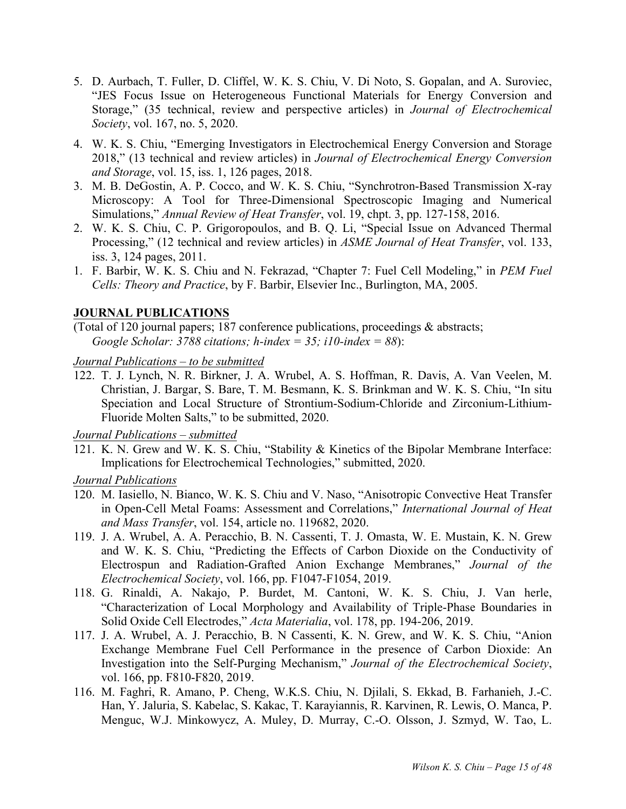- 5. D. Aurbach, T. Fuller, D. Cliffel, W. K. S. Chiu, V. Di Noto, S. Gopalan, and A. Suroviec, "JES Focus Issue on Heterogeneous Functional Materials for Energy Conversion and Storage," (35 technical, review and perspective articles) in *Journal of Electrochemical Society*, vol. 167, no. 5, 2020.
- 4. W. K. S. Chiu, "Emerging Investigators in Electrochemical Energy Conversion and Storage 2018," (13 technical and review articles) in *Journal of Electrochemical Energy Conversion and Storage*, vol. 15, iss. 1, 126 pages, 2018.
- 3. M. B. DeGostin, A. P. Cocco, and W. K. S. Chiu, "Synchrotron-Based Transmission X-ray Microscopy: A Tool for Three-Dimensional Spectroscopic Imaging and Numerical Simulations," *Annual Review of Heat Transfer*, vol. 19, chpt. 3, pp. 127-158, 2016.
- 2. W. K. S. Chiu, C. P. Grigoropoulos, and B. Q. Li, "Special Issue on Advanced Thermal Processing," (12 technical and review articles) in *ASME Journal of Heat Transfer*, vol. 133, iss. 3, 124 pages, 2011.
- 1. F. Barbir, W. K. S. Chiu and N. Fekrazad, "Chapter 7: Fuel Cell Modeling," in *PEM Fuel Cells: Theory and Practice*, by F. Barbir, Elsevier Inc., Burlington, MA, 2005.

### **JOURNAL PUBLICATIONS**

(Total of 120 journal papers; 187 conference publications, proceedings & abstracts; *Google Scholar: 3788 citations; h-index = 35; i10-index = 88*):

*Journal Publications – to be submitted*

122. T. J. Lynch, N. R. Birkner, J. A. Wrubel, A. S. Hoffman, R. Davis, A. Van Veelen, M. Christian, J. Bargar, S. Bare, T. M. Besmann, K. S. Brinkman and W. K. S. Chiu, "In situ Speciation and Local Structure of Strontium-Sodium-Chloride and Zirconium-Lithium-Fluoride Molten Salts," to be submitted, 2020.

*Journal Publications – submitted*

121. K. N. Grew and W. K. S. Chiu, "Stability & Kinetics of the Bipolar Membrane Interface: Implications for Electrochemical Technologies," submitted, 2020.

### *Journal Publications*

- 120. M. Iasiello, N. Bianco, W. K. S. Chiu and V. Naso, "Anisotropic Convective Heat Transfer in Open-Cell Metal Foams: Assessment and Correlations," *International Journal of Heat and Mass Transfer*, vol. 154, article no. 119682, 2020.
- 119. J. A. Wrubel, A. A. Peracchio, B. N. Cassenti, T. J. Omasta, W. E. Mustain, K. N. Grew and W. K. S. Chiu, "Predicting the Effects of Carbon Dioxide on the Conductivity of Electrospun and Radiation-Grafted Anion Exchange Membranes," *Journal of the Electrochemical Society*, vol. 166, pp. F1047-F1054, 2019.
- 118. G. Rinaldi, A. Nakajo, P. Burdet, M. Cantoni, W. K. S. Chiu, J. Van herle, "Characterization of Local Morphology and Availability of Triple-Phase Boundaries in Solid Oxide Cell Electrodes," *Acta Materialia*, vol. 178, pp. 194-206, 2019.
- 117. J. A. Wrubel, A. J. Peracchio, B. N Cassenti, K. N. Grew, and W. K. S. Chiu, "Anion Exchange Membrane Fuel Cell Performance in the presence of Carbon Dioxide: An Investigation into the Self-Purging Mechanism," *Journal of the Electrochemical Society*, vol. 166, pp. F810-F820, 2019.
- 116. M. Faghri, R. Amano, P. Cheng, W.K.S. Chiu, N. Djilali, S. Ekkad, B. Farhanieh, J.-C. Han, Y. Jaluria, S. Kabelac, S. Kakac, T. Karayiannis, R. Karvinen, R. Lewis, O. Manca, P. Menguc, W.J. Minkowycz, A. Muley, D. Murray, C.-O. Olsson, J. Szmyd, W. Tao, L.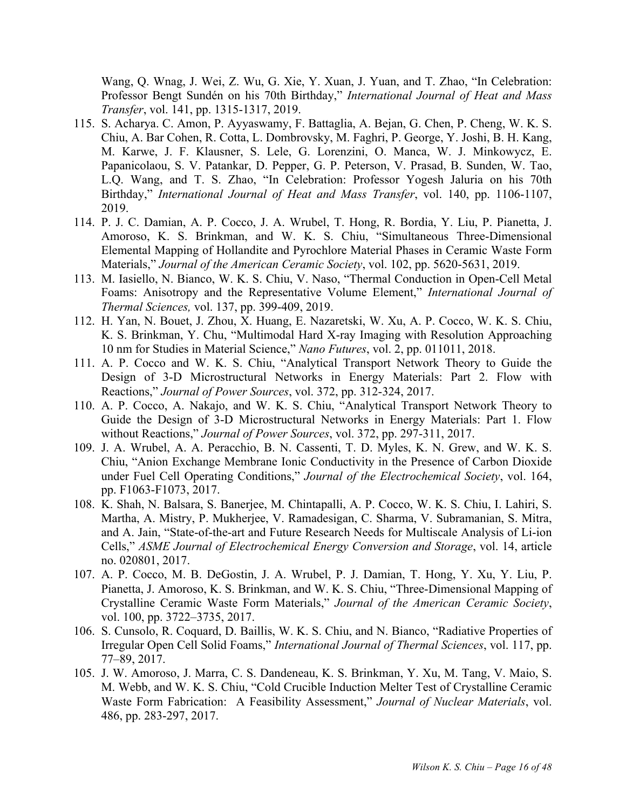Wang, Q. Wnag, J. Wei, Z. Wu, G. Xie, Y. Xuan, J. Yuan, and T. Zhao, "In Celebration: Professor Bengt Sundén on his 70th Birthday," *International Journal of Heat and Mass Transfer*, vol. 141, pp. 1315-1317, 2019.

- 115. S. Acharya. C. Amon, P. Ayyaswamy, F. Battaglia, A. Bejan, G. Chen, P. Cheng, W. K. S. Chiu, A. Bar Cohen, R. Cotta, L. Dombrovsky, M. Faghri, P. George, Y. Joshi, B. H. Kang, M. Karwe, J. F. Klausner, S. Lele, G. Lorenzini, O. Manca, W. J. Minkowycz, E. Papanicolaou, S. V. Patankar, D. Pepper, G. P. Peterson, V. Prasad, B. Sunden, W. Tao, L.Q. Wang, and T. S. Zhao, "In Celebration: Professor Yogesh Jaluria on his 70th Birthday," *International Journal of Heat and Mass Transfer*, vol. 140, pp. 1106-1107, 2019.
- 114. P. J. C. Damian, A. P. Cocco, J. A. Wrubel, T. Hong, R. Bordia, Y. Liu, P. Pianetta, J. Amoroso, K. S. Brinkman, and W. K. S. Chiu, "Simultaneous Three-Dimensional Elemental Mapping of Hollandite and Pyrochlore Material Phases in Ceramic Waste Form Materials," *Journal of the American Ceramic Society*, vol. 102, pp. 5620-5631, 2019.
- 113. M. Iasiello, N. Bianco, W. K. S. Chiu, V. Naso, "Thermal Conduction in Open-Cell Metal Foams: Anisotropy and the Representative Volume Element," *International Journal of Thermal Sciences,* vol. 137, pp. 399-409, 2019.
- 112. H. Yan, N. Bouet, J. Zhou, X. Huang, E. Nazaretski, W. Xu, A. P. Cocco, W. K. S. Chiu, K. S. Brinkman, Y. Chu, "Multimodal Hard X-ray Imaging with Resolution Approaching 10 nm for Studies in Material Science," *Nano Futures*, vol. 2, pp. 011011, 2018.
- 111. A. P. Cocco and W. K. S. Chiu, "Analytical Transport Network Theory to Guide the Design of 3-D Microstructural Networks in Energy Materials: Part 2. Flow with Reactions," *Journal of Power Sources*, vol. 372, pp. 312-324, 2017.
- 110. A. P. Cocco, A. Nakajo, and W. K. S. Chiu, "Analytical Transport Network Theory to Guide the Design of 3-D Microstructural Networks in Energy Materials: Part 1. Flow without Reactions," *Journal of Power Sources*, vol. 372, pp. 297-311, 2017.
- 109. J. A. Wrubel, A. A. Peracchio, B. N. Cassenti, T. D. Myles, K. N. Grew, and W. K. S. Chiu, "Anion Exchange Membrane Ionic Conductivity in the Presence of Carbon Dioxide under Fuel Cell Operating Conditions," *Journal of the Electrochemical Society*, vol. 164, pp. F1063-F1073, 2017.
- 108. K. Shah, N. Balsara, S. Banerjee, M. Chintapalli, A. P. Cocco, W. K. S. Chiu, I. Lahiri, S. Martha, A. Mistry, P. Mukherjee, V. Ramadesigan, C. Sharma, V. Subramanian, S. Mitra, and A. Jain, "State-of-the-art and Future Research Needs for Multiscale Analysis of Li-ion Cells," *ASME Journal of Electrochemical Energy Conversion and Storage*, vol. 14, article no. 020801, 2017.
- 107. A. P. Cocco, M. B. DeGostin, J. A. Wrubel, P. J. Damian, T. Hong, Y. Xu, Y. Liu, P. Pianetta, J. Amoroso, K. S. Brinkman, and W. K. S. Chiu, "Three-Dimensional Mapping of Crystalline Ceramic Waste Form Materials," *Journal of the American Ceramic Society*, vol. 100, pp. 3722–3735, 2017.
- 106. S. Cunsolo, R. Coquard, D. Baillis, W. K. S. Chiu, and N. Bianco, "Radiative Properties of Irregular Open Cell Solid Foams," *International Journal of Thermal Sciences*, vol. 117, pp. 77–89, 2017.
- 105. J. W. Amoroso, J. Marra, C. S. Dandeneau, K. S. Brinkman, Y. Xu, M. Tang, V. Maio, S. M. Webb, and W. K. S. Chiu, "Cold Crucible Induction Melter Test of Crystalline Ceramic Waste Form Fabrication: A Feasibility Assessment," *Journal of Nuclear Materials*, vol. 486, pp. 283-297, 2017.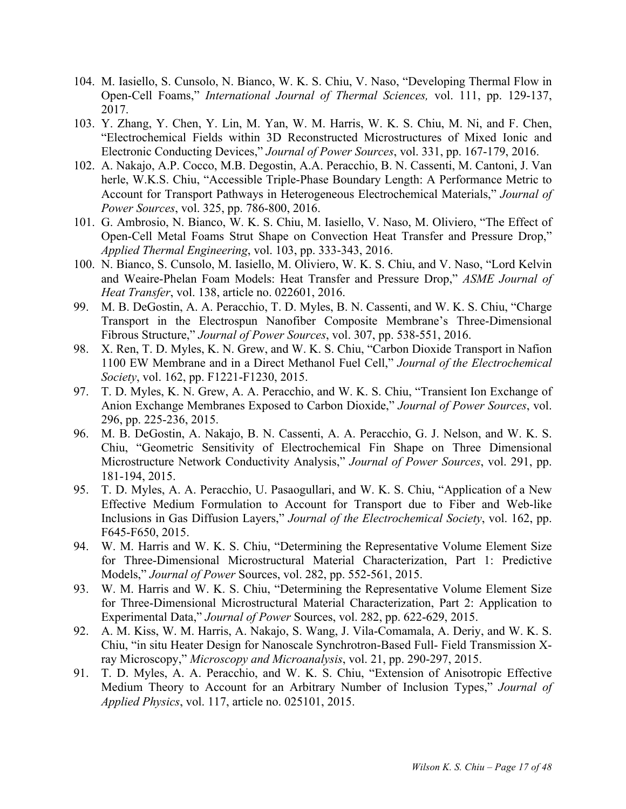- 104. M. Iasiello, S. Cunsolo, N. Bianco, W. K. S. Chiu, V. Naso, "Developing Thermal Flow in Open-Cell Foams," *International Journal of Thermal Sciences,* vol. 111, pp. 129-137, 2017.
- 103. Y. Zhang, Y. Chen, Y. Lin, M. Yan, W. M. Harris, W. K. S. Chiu, M. Ni, and F. Chen, "Electrochemical Fields within 3D Reconstructed Microstructures of Mixed Ionic and Electronic Conducting Devices," *Journal of Power Sources*, vol. 331, pp. 167-179, 2016.
- 102. A. Nakajo, A.P. Cocco, M.B. Degostin, A.A. Peracchio, B. N. Cassenti, M. Cantoni, J. Van herle, W.K.S. Chiu, "Accessible Triple-Phase Boundary Length: A Performance Metric to Account for Transport Pathways in Heterogeneous Electrochemical Materials," *Journal of Power Sources*, vol. 325, pp. 786-800, 2016.
- 101. G. Ambrosio, N. Bianco, W. K. S. Chiu, M. Iasiello, V. Naso, M. Oliviero, "The Effect of Open-Cell Metal Foams Strut Shape on Convection Heat Transfer and Pressure Drop," *Applied Thermal Engineering*, vol. 103, pp. 333-343, 2016.
- 100. N. Bianco, S. Cunsolo, M. Iasiello, M. Oliviero, W. K. S. Chiu, and V. Naso, "Lord Kelvin and Weaire-Phelan Foam Models: Heat Transfer and Pressure Drop," *ASME Journal of Heat Transfer*, vol. 138, article no. 022601, 2016.
- 99. M. B. DeGostin, A. A. Peracchio, T. D. Myles, B. N. Cassenti, and W. K. S. Chiu, "Charge Transport in the Electrospun Nanofiber Composite Membrane's Three-Dimensional Fibrous Structure," *Journal of Power Sources*, vol. 307, pp. 538-551, 2016.
- 98. X. Ren, T. D. Myles, K. N. Grew, and W. K. S. Chiu, "Carbon Dioxide Transport in Nafion 1100 EW Membrane and in a Direct Methanol Fuel Cell," *Journal of the Electrochemical Society*, vol. 162, pp. F1221-F1230, 2015.
- 97. T. D. Myles, K. N. Grew, A. A. Peracchio, and W. K. S. Chiu, "Transient Ion Exchange of Anion Exchange Membranes Exposed to Carbon Dioxide," *Journal of Power Sources*, vol. 296, pp. 225-236, 2015.
- 96. M. B. DeGostin, A. Nakajo, B. N. Cassenti, A. A. Peracchio, G. J. Nelson, and W. K. S. Chiu, "Geometric Sensitivity of Electrochemical Fin Shape on Three Dimensional Microstructure Network Conductivity Analysis," *Journal of Power Sources*, vol. 291, pp. 181-194, 2015.
- 95. T. D. Myles, A. A. Peracchio, U. Pasaogullari, and W. K. S. Chiu, "Application of a New Effective Medium Formulation to Account for Transport due to Fiber and Web-like Inclusions in Gas Diffusion Layers," *Journal of the Electrochemical Society*, vol. 162, pp. F645-F650, 2015.
- 94. W. M. Harris and W. K. S. Chiu, "Determining the Representative Volume Element Size for Three-Dimensional Microstructural Material Characterization, Part 1: Predictive Models," *Journal of Power* Sources, vol. 282, pp. 552-561, 2015.
- 93. W. M. Harris and W. K. S. Chiu, "Determining the Representative Volume Element Size for Three-Dimensional Microstructural Material Characterization, Part 2: Application to Experimental Data," *Journal of Power* Sources, vol. 282, pp. 622-629, 2015.
- 92. A. M. Kiss, W. M. Harris, A. Nakajo, S. Wang, J. Vila-Comamala, A. Deriy, and W. K. S. Chiu, "in situ Heater Design for Nanoscale Synchrotron-Based Full- Field Transmission Xray Microscopy," *Microscopy and Microanalysis*, vol. 21, pp. 290-297, 2015.
- 91. T. D. Myles, A. A. Peracchio, and W. K. S. Chiu, "Extension of Anisotropic Effective Medium Theory to Account for an Arbitrary Number of Inclusion Types," *Journal of Applied Physics*, vol. 117, article no. 025101, 2015.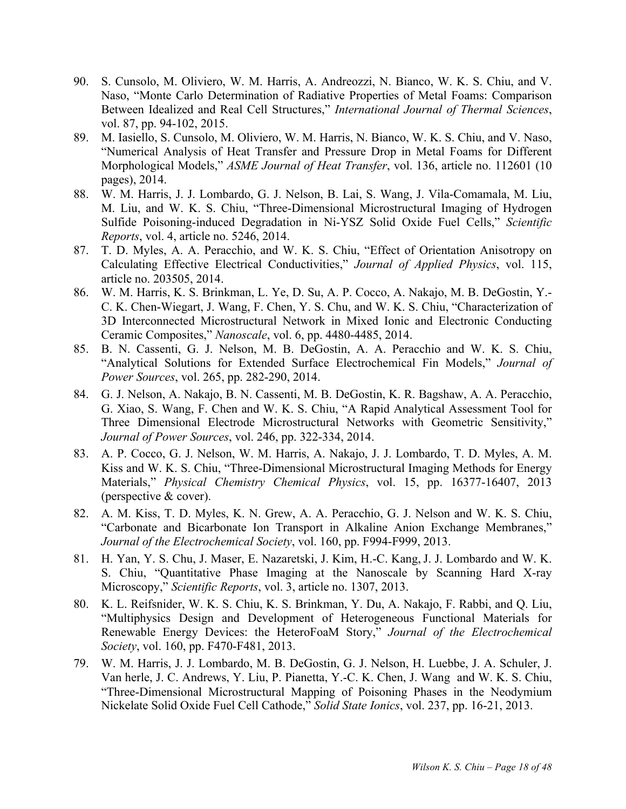- 90. S. Cunsolo, M. Oliviero, W. M. Harris, A. Andreozzi, N. Bianco, W. K. S. Chiu, and V. Naso, "Monte Carlo Determination of Radiative Properties of Metal Foams: Comparison Between Idealized and Real Cell Structures," *International Journal of Thermal Sciences*, vol. 87, pp. 94-102, 2015.
- 89. M. Iasiello, S. Cunsolo, M. Oliviero, W. M. Harris, N. Bianco, W. K. S. Chiu, and V. Naso, "Numerical Analysis of Heat Transfer and Pressure Drop in Metal Foams for Different Morphological Models," *ASME Journal of Heat Transfer*, vol. 136, article no. 112601 (10 pages), 2014.
- 88. W. M. Harris, J. J. Lombardo, G. J. Nelson, B. Lai, S. Wang, J. Vila-Comamala, M. Liu, M. Liu, and W. K. S. Chiu, "Three-Dimensional Microstructural Imaging of Hydrogen Sulfide Poisoning-induced Degradation in Ni-YSZ Solid Oxide Fuel Cells," *Scientific Reports*, vol. 4, article no. 5246, 2014.
- 87. T. D. Myles, A. A. Peracchio, and W. K. S. Chiu, "Effect of Orientation Anisotropy on Calculating Effective Electrical Conductivities," *Journal of Applied Physics*, vol. 115, article no. 203505, 2014.
- 86. W. M. Harris, K. S. Brinkman, L. Ye, D. Su, A. P. Cocco, A. Nakajo, M. B. DeGostin, Y.- C. K. Chen-Wiegart, J. Wang, F. Chen, Y. S. Chu, and W. K. S. Chiu, "Characterization of 3D Interconnected Microstructural Network in Mixed Ionic and Electronic Conducting Ceramic Composites," *Nanoscale*, vol. 6, pp. 4480-4485, 2014.
- 85. B. N. Cassenti, G. J. Nelson, M. B. DeGostin, A. A. Peracchio and W. K. S. Chiu, "Analytical Solutions for Extended Surface Electrochemical Fin Models," *Journal of Power Sources*, vol. 265, pp. 282-290, 2014.
- 84. G. J. Nelson, A. Nakajo, B. N. Cassenti, M. B. DeGostin, K. R. Bagshaw, A. A. Peracchio, G. Xiao, S. Wang, F. Chen and W. K. S. Chiu, "A Rapid Analytical Assessment Tool for Three Dimensional Electrode Microstructural Networks with Geometric Sensitivity," *Journal of Power Sources*, vol. 246, pp. 322-334, 2014.
- 83. A. P. Cocco, G. J. Nelson, W. M. Harris, A. Nakajo, J. J. Lombardo, T. D. Myles, A. M. Kiss and W. K. S. Chiu, "Three-Dimensional Microstructural Imaging Methods for Energy Materials," *Physical Chemistry Chemical Physics*, vol. 15, pp. 16377-16407, 2013 (perspective & cover).
- 82. A. M. Kiss, T. D. Myles, K. N. Grew, A. A. Peracchio, G. J. Nelson and W. K. S. Chiu, "Carbonate and Bicarbonate Ion Transport in Alkaline Anion Exchange Membranes," *Journal of the Electrochemical Society*, vol. 160, pp. F994-F999, 2013.
- 81. H. Yan, Y. S. Chu, J. Maser, E. Nazaretski, J. Kim, H.-C. Kang, J. J. Lombardo and W. K. S. Chiu, "Quantitative Phase Imaging at the Nanoscale by Scanning Hard X-ray Microscopy," *Scientific Reports*, vol. 3, article no. 1307, 2013.
- 80. K. L. Reifsnider, W. K. S. Chiu, K. S. Brinkman, Y. Du, A. Nakajo, F. Rabbi, and Q. Liu, "Multiphysics Design and Development of Heterogeneous Functional Materials for Renewable Energy Devices: the HeteroFoaM Story," *Journal of the Electrochemical Society*, vol. 160, pp. F470-F481, 2013.
- 79. W. M. Harris, J. J. Lombardo, M. B. DeGostin, G. J. Nelson, H. Luebbe, J. A. Schuler, J. Van herle, J. C. Andrews, Y. Liu, P. Pianetta, Y.-C. K. Chen, J. Wang and W. K. S. Chiu, "Three-Dimensional Microstructural Mapping of Poisoning Phases in the Neodymium Nickelate Solid Oxide Fuel Cell Cathode," *Solid State Ionics*, vol. 237, pp. 16-21, 2013.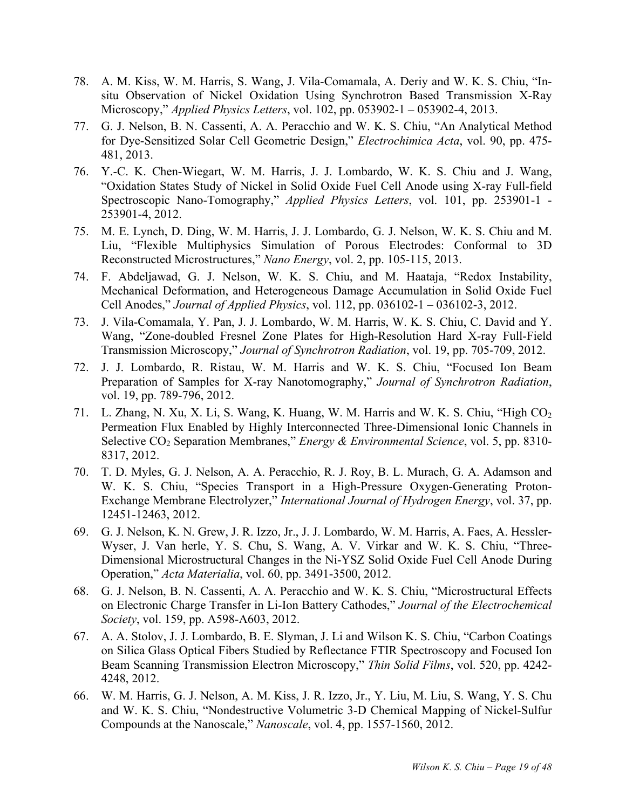- 78. A. M. Kiss, W. M. Harris, S. Wang, J. Vila-Comamala, A. Deriy and W. K. S. Chiu, "Insitu Observation of Nickel Oxidation Using Synchrotron Based Transmission X-Ray Microscopy," *Applied Physics Letters*, vol. 102, pp. 053902-1 – 053902-4, 2013.
- 77. G. J. Nelson, B. N. Cassenti, A. A. Peracchio and W. K. S. Chiu, "An Analytical Method for Dye-Sensitized Solar Cell Geometric Design," *Electrochimica Acta*, vol. 90, pp. 475- 481, 2013.
- 76. Y.-C. K. Chen-Wiegart, W. M. Harris, J. J. Lombardo, W. K. S. Chiu and J. Wang, "Oxidation States Study of Nickel in Solid Oxide Fuel Cell Anode using X-ray Full-field Spectroscopic Nano-Tomography," *Applied Physics Letters*, vol. 101, pp. 253901-1 - 253901-4, 2012.
- 75. M. E. Lynch, D. Ding, W. M. Harris, J. J. Lombardo, G. J. Nelson, W. K. S. Chiu and M. Liu, "Flexible Multiphysics Simulation of Porous Electrodes: Conformal to 3D Reconstructed Microstructures," *Nano Energy*, vol. 2, pp. 105-115, 2013.
- 74. F. Abdeljawad, G. J. Nelson, W. K. S. Chiu, and M. Haataja, "Redox Instability, Mechanical Deformation, and Heterogeneous Damage Accumulation in Solid Oxide Fuel Cell Anodes," *Journal of Applied Physics*, vol. 112, pp. 036102-1 – 036102-3, 2012.
- 73. J. Vila-Comamala, Y. Pan, J. J. Lombardo, W. M. Harris, W. K. S. Chiu, C. David and Y. Wang, "Zone-doubled Fresnel Zone Plates for High-Resolution Hard X-ray Full-Field Transmission Microscopy," *Journal of Synchrotron Radiation*, vol. 19, pp. 705-709, 2012.
- 72. J. J. Lombardo, R. Ristau, W. M. Harris and W. K. S. Chiu, "Focused Ion Beam Preparation of Samples for X-ray Nanotomography," *Journal of Synchrotron Radiation*, vol. 19, pp. 789-796, 2012.
- 71. L. Zhang, N. Xu, X. Li, S. Wang, K. Huang, W. M. Harris and W. K. S. Chiu, "High CO<sub>2</sub> Permeation Flux Enabled by Highly Interconnected Three-Dimensional Ionic Channels in Selective CO2 Separation Membranes," *Energy & Environmental Science*, vol. 5, pp. 8310- 8317, 2012.
- 70. T. D. Myles, G. J. Nelson, A. A. Peracchio, R. J. Roy, B. L. Murach, G. A. Adamson and W. K. S. Chiu, "Species Transport in a High-Pressure Oxygen-Generating Proton-Exchange Membrane Electrolyzer," *International Journal of Hydrogen Energy*, vol. 37, pp. 12451-12463, 2012.
- 69. G. J. Nelson, K. N. Grew, J. R. Izzo, Jr., J. J. Lombardo, W. M. Harris, A. Faes, A. Hessler-Wyser, J. Van herle, Y. S. Chu, S. Wang, A. V. Virkar and W. K. S. Chiu, "Three-Dimensional Microstructural Changes in the Ni-YSZ Solid Oxide Fuel Cell Anode During Operation," *Acta Materialia*, vol. 60, pp. 3491-3500, 2012.
- 68. G. J. Nelson, B. N. Cassenti, A. A. Peracchio and W. K. S. Chiu, "Microstructural Effects on Electronic Charge Transfer in Li-Ion Battery Cathodes," *Journal of the Electrochemical Society*, vol. 159, pp. A598-A603, 2012.
- 67. A. A. Stolov, J. J. Lombardo, B. E. Slyman, J. Li and Wilson K. S. Chiu, "Carbon Coatings on Silica Glass Optical Fibers Studied by Reflectance FTIR Spectroscopy and Focused Ion Beam Scanning Transmission Electron Microscopy," *Thin Solid Films*, vol. 520, pp. 4242- 4248, 2012.
- 66. W. M. Harris, G. J. Nelson, A. M. Kiss, J. R. Izzo, Jr., Y. Liu, M. Liu, S. Wang, Y. S. Chu and W. K. S. Chiu, "Nondestructive Volumetric 3-D Chemical Mapping of Nickel-Sulfur Compounds at the Nanoscale," *Nanoscale*, vol. 4, pp. 1557-1560, 2012.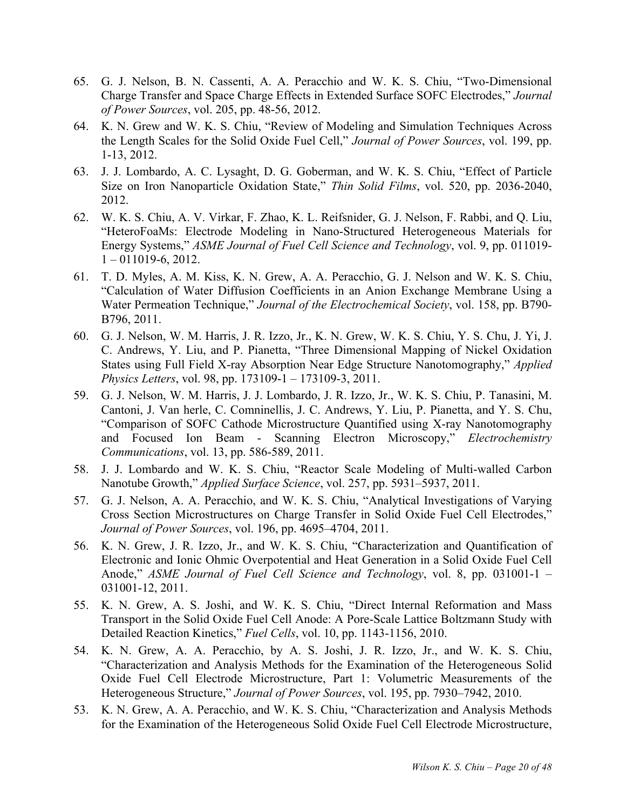- 65. G. J. Nelson, B. N. Cassenti, A. A. Peracchio and W. K. S. Chiu, "Two-Dimensional Charge Transfer and Space Charge Effects in Extended Surface SOFC Electrodes," *Journal of Power Sources*, vol. 205, pp. 48-56, 2012.
- 64. K. N. Grew and W. K. S. Chiu, "Review of Modeling and Simulation Techniques Across the Length Scales for the Solid Oxide Fuel Cell," *Journal of Power Sources*, vol. 199, pp. 1-13, 2012.
- 63. J. J. Lombardo, A. C. Lysaght, D. G. Goberman, and W. K. S. Chiu, "Effect of Particle Size on Iron Nanoparticle Oxidation State," *Thin Solid Films*, vol. 520, pp. 2036-2040, 2012.
- 62. W. K. S. Chiu, A. V. Virkar, F. Zhao, K. L. Reifsnider, G. J. Nelson, F. Rabbi, and Q. Liu, "HeteroFoaMs: Electrode Modeling in Nano-Structured Heterogeneous Materials for Energy Systems," *ASME Journal of Fuel Cell Science and Technology*, vol. 9, pp. 011019-  $1 - 011019 - 6, 2012$ .
- 61. T. D. Myles, A. M. Kiss, K. N. Grew, A. A. Peracchio, G. J. Nelson and W. K. S. Chiu, "Calculation of Water Diffusion Coefficients in an Anion Exchange Membrane Using a Water Permeation Technique," *Journal of the Electrochemical Society*, vol. 158, pp. B790- B796, 2011.
- 60. G. J. Nelson, W. M. Harris, J. R. Izzo, Jr., K. N. Grew, W. K. S. Chiu, Y. S. Chu, J. Yi, J. C. Andrews, Y. Liu, and P. Pianetta, "Three Dimensional Mapping of Nickel Oxidation States using Full Field X-ray Absorption Near Edge Structure Nanotomography," *Applied Physics Letters*, vol. 98, pp. 173109-1 – 173109-3, 2011.
- 59. G. J. Nelson, W. M. Harris, J. J. Lombardo, J. R. Izzo, Jr., W. K. S. Chiu, P. Tanasini, M. Cantoni, J. Van herle, C. Comninellis, J. C. Andrews, Y. Liu, P. Pianetta, and Y. S. Chu, "Comparison of SOFC Cathode Microstructure Quantified using X-ray Nanotomography and Focused Ion Beam - Scanning Electron Microscopy," *Electrochemistry Communications*, vol. 13, pp. 586-589, 2011.
- 58. J. J. Lombardo and W. K. S. Chiu, "Reactor Scale Modeling of Multi-walled Carbon Nanotube Growth," *Applied Surface Science*, vol. 257, pp. 5931–5937, 2011.
- 57. G. J. Nelson, A. A. Peracchio, and W. K. S. Chiu, "Analytical Investigations of Varying Cross Section Microstructures on Charge Transfer in Solid Oxide Fuel Cell Electrodes," *Journal of Power Sources*, vol. 196, pp. 4695–4704, 2011.
- 56. K. N. Grew, J. R. Izzo, Jr., and W. K. S. Chiu, "Characterization and Quantification of Electronic and Ionic Ohmic Overpotential and Heat Generation in a Solid Oxide Fuel Cell Anode," *ASME Journal of Fuel Cell Science and Technology*, vol. 8, pp. 031001-1 – 031001-12, 2011.
- 55. K. N. Grew, A. S. Joshi, and W. K. S. Chiu, "Direct Internal Reformation and Mass Transport in the Solid Oxide Fuel Cell Anode: A Pore-Scale Lattice Boltzmann Study with Detailed Reaction Kinetics," *Fuel Cells*, vol. 10, pp. 1143-1156, 2010.
- 54. K. N. Grew, A. A. Peracchio, by A. S. Joshi, J. R. Izzo, Jr., and W. K. S. Chiu, "Characterization and Analysis Methods for the Examination of the Heterogeneous Solid Oxide Fuel Cell Electrode Microstructure, Part 1: Volumetric Measurements of the Heterogeneous Structure," *Journal of Power Sources*, vol. 195, pp. 7930–7942, 2010.
- 53. K. N. Grew, A. A. Peracchio, and W. K. S. Chiu, "Characterization and Analysis Methods for the Examination of the Heterogeneous Solid Oxide Fuel Cell Electrode Microstructure,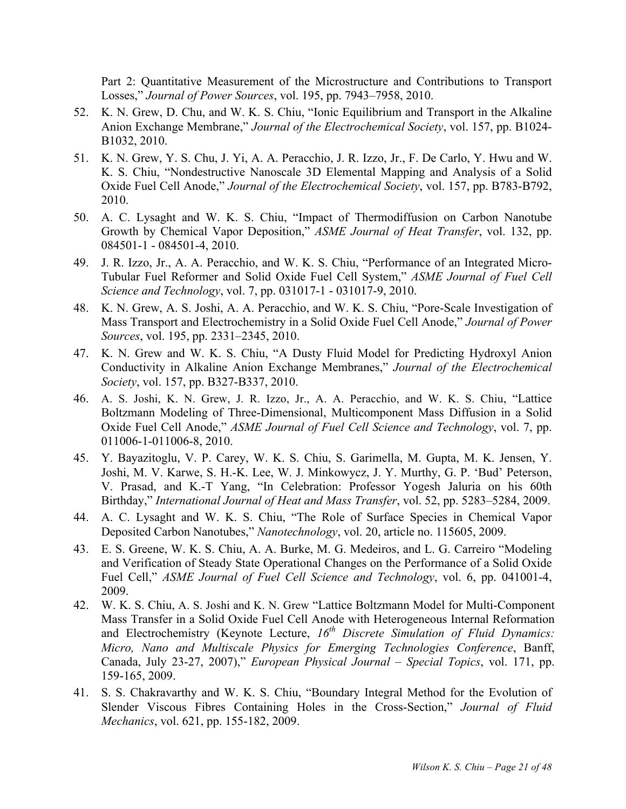Part 2: Quantitative Measurement of the Microstructure and Contributions to Transport Losses," *Journal of Power Sources*, vol. 195, pp. 7943–7958, 2010.

- 52. K. N. Grew, D. Chu, and W. K. S. Chiu, "Ionic Equilibrium and Transport in the Alkaline Anion Exchange Membrane," *Journal of the Electrochemical Society*, vol. 157, pp. B1024- B1032, 2010.
- 51. K. N. Grew, Y. S. Chu, J. Yi, A. A. Peracchio, J. R. Izzo, Jr., F. De Carlo, Y. Hwu and W. K. S. Chiu, "Nondestructive Nanoscale 3D Elemental Mapping and Analysis of a Solid Oxide Fuel Cell Anode," *Journal of the Electrochemical Society*, vol. 157, pp. B783-B792, 2010.
- 50. A. C. Lysaght and W. K. S. Chiu, "Impact of Thermodiffusion on Carbon Nanotube Growth by Chemical Vapor Deposition," *ASME Journal of Heat Transfer*, vol. 132, pp. 084501-1 - 084501-4, 2010.
- 49. J. R. Izzo, Jr., A. A. Peracchio, and W. K. S. Chiu, "Performance of an Integrated Micro-Tubular Fuel Reformer and Solid Oxide Fuel Cell System," *ASME Journal of Fuel Cell Science and Technology*, vol. 7, pp. 031017-1 - 031017-9, 2010.
- 48. K. N. Grew, A. S. Joshi, A. A. Peracchio, and W. K. S. Chiu, "Pore-Scale Investigation of Mass Transport and Electrochemistry in a Solid Oxide Fuel Cell Anode," *Journal of Power Sources*, vol. 195, pp. 2331–2345, 2010.
- 47. K. N. Grew and W. K. S. Chiu, "A Dusty Fluid Model for Predicting Hydroxyl Anion Conductivity in Alkaline Anion Exchange Membranes," *Journal of the Electrochemical Society*, vol. 157, pp. B327-B337, 2010.
- 46. A. S. Joshi, K. N. Grew, J. R. Izzo, Jr., A. A. Peracchio, and W. K. S. Chiu, "Lattice Boltzmann Modeling of Three-Dimensional, Multicomponent Mass Diffusion in a Solid Oxide Fuel Cell Anode," *ASME Journal of Fuel Cell Science and Technology*, vol. 7, pp. 011006-1-011006-8, 2010.
- 45. Y. Bayazitoglu, V. P. Carey, W. K. S. Chiu, S. Garimella, M. Gupta, M. K. Jensen, Y. Joshi, M. V. Karwe, S. H.-K. Lee, W. J. Minkowycz, J. Y. Murthy, G. P. 'Bud' Peterson, V. Prasad, and K.-T Yang, "In Celebration: Professor Yogesh Jaluria on his 60th Birthday," *International Journal of Heat and Mass Transfer*, vol. 52, pp. 5283–5284, 2009.
- 44. A. C. Lysaght and W. K. S. Chiu, "The Role of Surface Species in Chemical Vapor Deposited Carbon Nanotubes," *Nanotechnology*, vol. 20, article no. 115605, 2009.
- 43. E. S. Greene, W. K. S. Chiu, A. A. Burke, M. G. Medeiros, and L. G. Carreiro "Modeling and Verification of Steady State Operational Changes on the Performance of a Solid Oxide Fuel Cell," *ASME Journal of Fuel Cell Science and Technology*, vol. 6, pp. 041001-4, 2009.
- 42. W. K. S. Chiu, A. S. Joshi and K. N. Grew "Lattice Boltzmann Model for Multi-Component Mass Transfer in a Solid Oxide Fuel Cell Anode with Heterogeneous Internal Reformation and Electrochemistry (Keynote Lecture,  $16^{th}$  *Discrete Simulation of Fluid Dynamics: Micro, Nano and Multiscale Physics for Emerging Technologies Conference*, Banff, Canada, July 23-27, 2007)," *European Physical Journal – Special Topics*, vol. 171, pp. 159-165, 2009.
- 41. S. S. Chakravarthy and W. K. S. Chiu, "Boundary Integral Method for the Evolution of Slender Viscous Fibres Containing Holes in the Cross-Section," *Journal of Fluid Mechanics*, vol. 621, pp. 155-182, 2009.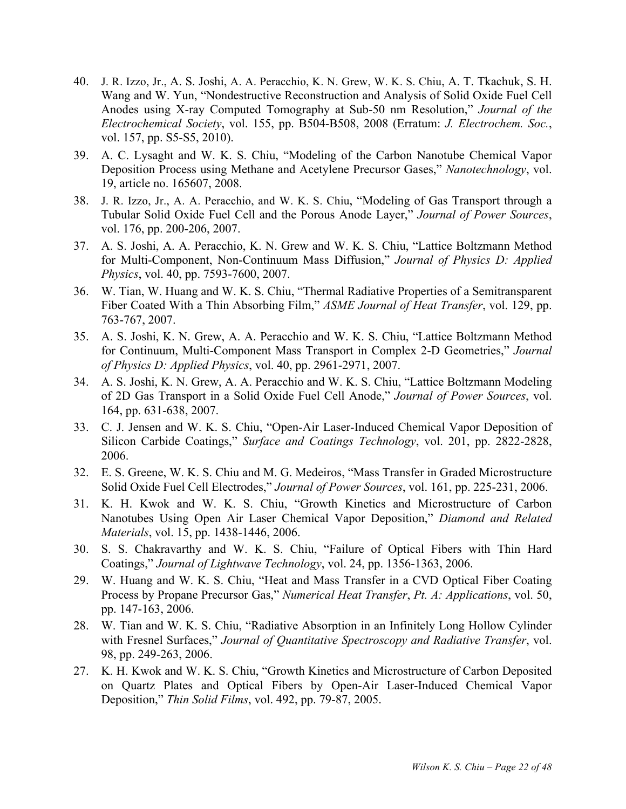- 40. J. R. Izzo, Jr., A. S. Joshi, A. A. Peracchio, K. N. Grew, W. K. S. Chiu, A. T. Tkachuk, S. H. Wang and W. Yun, "Nondestructive Reconstruction and Analysis of Solid Oxide Fuel Cell Anodes using X-ray Computed Tomography at Sub-50 nm Resolution," *Journal of the Electrochemical Society*, vol. 155, pp. B504-B508, 2008 (Erratum: *J. Electrochem. Soc.*, vol. 157, pp. S5-S5, 2010).
- 39. A. C. Lysaght and W. K. S. Chiu, "Modeling of the Carbon Nanotube Chemical Vapor Deposition Process using Methane and Acetylene Precursor Gases," *Nanotechnology*, vol. 19, article no. 165607, 2008.
- 38. J. R. Izzo, Jr., A. A. Peracchio, and W. K. S. Chiu, "Modeling of Gas Transport through a Tubular Solid Oxide Fuel Cell and the Porous Anode Layer," *Journal of Power Sources*, vol. 176, pp. 200-206, 2007.
- 37. A. S. Joshi, A. A. Peracchio, K. N. Grew and W. K. S. Chiu, "Lattice Boltzmann Method for Multi-Component, Non-Continuum Mass Diffusion," *Journal of Physics D: Applied Physics*, vol. 40, pp. 7593-7600, 2007.
- 36. W. Tian, W. Huang and W. K. S. Chiu, "Thermal Radiative Properties of a Semitransparent Fiber Coated With a Thin Absorbing Film," *ASME Journal of Heat Transfer*, vol. 129, pp. 763-767, 2007.
- 35. A. S. Joshi, K. N. Grew, A. A. Peracchio and W. K. S. Chiu, "Lattice Boltzmann Method for Continuum, Multi-Component Mass Transport in Complex 2-D Geometries," *Journal of Physics D: Applied Physics*, vol. 40, pp. 2961-2971, 2007.
- 34. A. S. Joshi, K. N. Grew, A. A. Peracchio and W. K. S. Chiu, "Lattice Boltzmann Modeling of 2D Gas Transport in a Solid Oxide Fuel Cell Anode," *Journal of Power Sources*, vol. 164, pp. 631-638, 2007.
- 33. C. J. Jensen and W. K. S. Chiu, "Open-Air Laser-Induced Chemical Vapor Deposition of Silicon Carbide Coatings," *Surface and Coatings Technology*, vol. 201, pp. 2822-2828, 2006.
- 32. E. S. Greene, W. K. S. Chiu and M. G. Medeiros, "Mass Transfer in Graded Microstructure Solid Oxide Fuel Cell Electrodes," *Journal of Power Sources*, vol. 161, pp. 225-231, 2006.
- 31. K. H. Kwok and W. K. S. Chiu, "Growth Kinetics and Microstructure of Carbon Nanotubes Using Open Air Laser Chemical Vapor Deposition," *Diamond and Related Materials*, vol. 15, pp. 1438-1446, 2006.
- 30. S. S. Chakravarthy and W. K. S. Chiu, "Failure of Optical Fibers with Thin Hard Coatings," *Journal of Lightwave Technology*, vol. 24, pp. 1356-1363, 2006.
- 29. W. Huang and W. K. S. Chiu, "Heat and Mass Transfer in a CVD Optical Fiber Coating Process by Propane Precursor Gas," *Numerical Heat Transfer*, *Pt. A: Applications*, vol. 50, pp. 147-163, 2006.
- 28. W. Tian and W. K. S. Chiu, "Radiative Absorption in an Infinitely Long Hollow Cylinder with Fresnel Surfaces," *Journal of Quantitative Spectroscopy and Radiative Transfer*, vol. 98, pp. 249-263, 2006.
- 27. K. H. Kwok and W. K. S. Chiu, "Growth Kinetics and Microstructure of Carbon Deposited on Quartz Plates and Optical Fibers by Open-Air Laser-Induced Chemical Vapor Deposition," *Thin Solid Films*, vol. 492, pp. 79-87, 2005.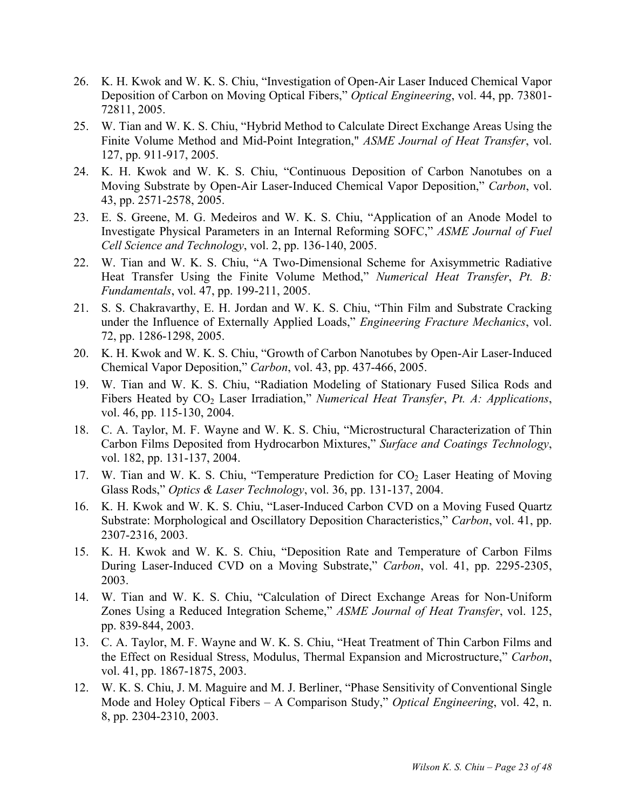- 26. K. H. Kwok and W. K. S. Chiu, "Investigation of Open-Air Laser Induced Chemical Vapor Deposition of Carbon on Moving Optical Fibers," *Optical Engineering*, vol. 44, pp. 73801- 72811, 2005.
- 25. W. Tian and W. K. S. Chiu, "Hybrid Method to Calculate Direct Exchange Areas Using the Finite Volume Method and Mid-Point Integration," *ASME Journal of Heat Transfer*, vol. 127, pp. 911-917, 2005.
- 24. K. H. Kwok and W. K. S. Chiu, "Continuous Deposition of Carbon Nanotubes on a Moving Substrate by Open-Air Laser-Induced Chemical Vapor Deposition," *Carbon*, vol. 43, pp. 2571-2578, 2005.
- 23. E. S. Greene, M. G. Medeiros and W. K. S. Chiu, "Application of an Anode Model to Investigate Physical Parameters in an Internal Reforming SOFC," *ASME Journal of Fuel Cell Science and Technology*, vol. 2, pp. 136-140, 2005.
- 22. W. Tian and W. K. S. Chiu, "A Two-Dimensional Scheme for Axisymmetric Radiative Heat Transfer Using the Finite Volume Method," *Numerical Heat Transfer*, *Pt. B: Fundamentals*, vol. 47, pp. 199-211, 2005.
- 21. S. S. Chakravarthy, E. H. Jordan and W. K. S. Chiu, "Thin Film and Substrate Cracking under the Influence of Externally Applied Loads," *Engineering Fracture Mechanics*, vol. 72, pp. 1286-1298, 2005.
- 20. K. H. Kwok and W. K. S. Chiu, "Growth of Carbon Nanotubes by Open-Air Laser-Induced Chemical Vapor Deposition," *Carbon*, vol. 43, pp. 437-466, 2005.
- 19. W. Tian and W. K. S. Chiu, "Radiation Modeling of Stationary Fused Silica Rods and Fibers Heated by CO2 Laser Irradiation," *Numerical Heat Transfer*, *Pt. A: Applications*, vol. 46, pp. 115-130, 2004.
- 18. C. A. Taylor, M. F. Wayne and W. K. S. Chiu, "Microstructural Characterization of Thin Carbon Films Deposited from Hydrocarbon Mixtures," *Surface and Coatings Technology*, vol. 182, pp. 131-137, 2004.
- 17. W. Tian and W. K. S. Chiu, "Temperature Prediction for CO<sub>2</sub> Laser Heating of Moving Glass Rods," *Optics & Laser Technology*, vol. 36, pp. 131-137, 2004.
- 16. K. H. Kwok and W. K. S. Chiu, "Laser-Induced Carbon CVD on a Moving Fused Quartz Substrate: Morphological and Oscillatory Deposition Characteristics," *Carbon*, vol. 41, pp. 2307-2316, 2003.
- 15. K. H. Kwok and W. K. S. Chiu, "Deposition Rate and Temperature of Carbon Films During Laser-Induced CVD on a Moving Substrate," *Carbon*, vol. 41, pp. 2295-2305, 2003.
- 14. W. Tian and W. K. S. Chiu, "Calculation of Direct Exchange Areas for Non-Uniform Zones Using a Reduced Integration Scheme," *ASME Journal of Heat Transfer*, vol. 125, pp. 839-844, 2003.
- 13. C. A. Taylor, M. F. Wayne and W. K. S. Chiu, "Heat Treatment of Thin Carbon Films and the Effect on Residual Stress, Modulus, Thermal Expansion and Microstructure," *Carbon*, vol. 41, pp. 1867-1875, 2003.
- 12. W. K. S. Chiu, J. M. Maguire and M. J. Berliner, "Phase Sensitivity of Conventional Single Mode and Holey Optical Fibers – A Comparison Study," *Optical Engineering*, vol. 42, n. 8, pp. 2304-2310, 2003.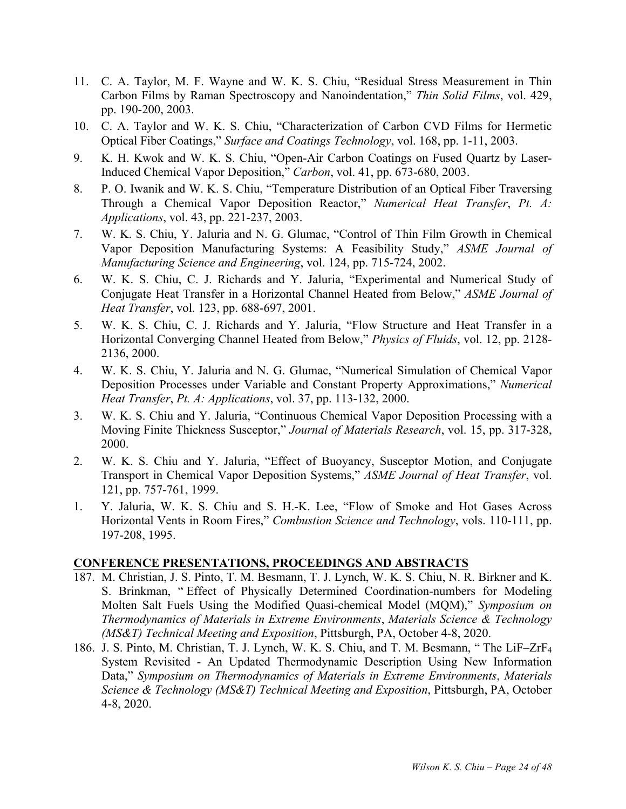- 11. C. A. Taylor, M. F. Wayne and W. K. S. Chiu, "Residual Stress Measurement in Thin Carbon Films by Raman Spectroscopy and Nanoindentation," *Thin Solid Films*, vol. 429, pp. 190-200, 2003.
- 10. C. A. Taylor and W. K. S. Chiu, "Characterization of Carbon CVD Films for Hermetic Optical Fiber Coatings," *Surface and Coatings Technology*, vol. 168, pp. 1-11, 2003.
- 9. K. H. Kwok and W. K. S. Chiu, "Open-Air Carbon Coatings on Fused Quartz by Laser-Induced Chemical Vapor Deposition," *Carbon*, vol. 41, pp. 673-680, 2003.
- 8. P. O. Iwanik and W. K. S. Chiu, "Temperature Distribution of an Optical Fiber Traversing Through a Chemical Vapor Deposition Reactor," *Numerical Heat Transfer*, *Pt. A: Applications*, vol. 43, pp. 221-237, 2003.
- 7. W. K. S. Chiu, Y. Jaluria and N. G. Glumac, "Control of Thin Film Growth in Chemical Vapor Deposition Manufacturing Systems: A Feasibility Study," *ASME Journal of Manufacturing Science and Engineering*, vol. 124, pp. 715-724, 2002.
- 6. W. K. S. Chiu, C. J. Richards and Y. Jaluria, "Experimental and Numerical Study of Conjugate Heat Transfer in a Horizontal Channel Heated from Below," *ASME Journal of Heat Transfer*, vol. 123, pp. 688-697, 2001.
- 5. W. K. S. Chiu, C. J. Richards and Y. Jaluria, "Flow Structure and Heat Transfer in a Horizontal Converging Channel Heated from Below," *Physics of Fluids*, vol. 12, pp. 2128- 2136, 2000.
- 4. W. K. S. Chiu, Y. Jaluria and N. G. Glumac, "Numerical Simulation of Chemical Vapor Deposition Processes under Variable and Constant Property Approximations," *Numerical Heat Transfer*, *Pt. A: Applications*, vol. 37, pp. 113-132, 2000.
- 3. W. K. S. Chiu and Y. Jaluria, "Continuous Chemical Vapor Deposition Processing with a Moving Finite Thickness Susceptor," *Journal of Materials Research*, vol. 15, pp. 317-328, 2000.
- 2. W. K. S. Chiu and Y. Jaluria, "Effect of Buoyancy, Susceptor Motion, and Conjugate Transport in Chemical Vapor Deposition Systems," *ASME Journal of Heat Transfer*, vol. 121, pp. 757-761, 1999.
- 1. Y. Jaluria, W. K. S. Chiu and S. H.-K. Lee, "Flow of Smoke and Hot Gases Across Horizontal Vents in Room Fires," *Combustion Science and Technology*, vols. 110-111, pp. 197-208, 1995.

#### **CONFERENCE PRESENTATIONS, PROCEEDINGS AND ABSTRACTS**

- 187. M. Christian, J. S. Pinto, T. M. Besmann, T. J. Lynch, W. K. S. Chiu, N. R. Birkner and K. S. Brinkman, " Effect of Physically Determined Coordination-numbers for Modeling Molten Salt Fuels Using the Modified Quasi-chemical Model (MQM)," *Symposium on Thermodynamics of Materials in Extreme Environments*, *Materials Science & Technology (MS&T) Technical Meeting and Exposition*, Pittsburgh, PA, October 4-8, 2020.
- 186. J. S. Pinto, M. Christian, T. J. Lynch, W. K. S. Chiu, and T. M. Besmann, " The LiF–ZrF4 System Revisited - An Updated Thermodynamic Description Using New Information Data," *Symposium on Thermodynamics of Materials in Extreme Environments*, *Materials Science & Technology (MS&T) Technical Meeting and Exposition*, Pittsburgh, PA, October 4-8, 2020.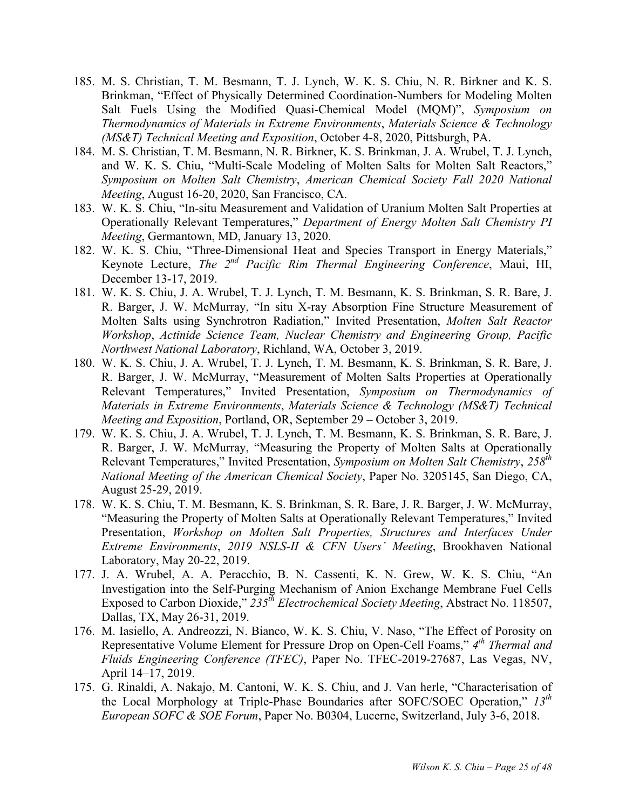- 185. M. S. Christian, T. M. Besmann, T. J. Lynch, W. K. S. Chiu, N. R. Birkner and K. S. Brinkman, "Effect of Physically Determined Coordination-Numbers for Modeling Molten Salt Fuels Using the Modified Quasi-Chemical Model (MQM)", *Symposium on Thermodynamics of Materials in Extreme Environments*, *Materials Science & Technology (MS&T) Technical Meeting and Exposition*, October 4-8, 2020, Pittsburgh, PA.
- 184. M. S. Christian, T. M. Besmann, N. R. Birkner, K. S. Brinkman, J. A. Wrubel, T. J. Lynch, and W. K. S. Chiu, "Multi-Scale Modeling of Molten Salts for Molten Salt Reactors," *Symposium on Molten Salt Chemistry*, *American Chemical Society Fall 2020 National Meeting*, August 16-20, 2020, San Francisco, CA.
- 183. W. K. S. Chiu, "In-situ Measurement and Validation of Uranium Molten Salt Properties at Operationally Relevant Temperatures," *Department of Energy Molten Salt Chemistry PI Meeting*, Germantown, MD, January 13, 2020.
- 182. W. K. S. Chiu, "Three-Dimensional Heat and Species Transport in Energy Materials," Keynote Lecture, *The 2nd Pacific Rim Thermal Engineering Conference*, Maui, HI, December 13-17, 2019.
- 181. W. K. S. Chiu, J. A. Wrubel, T. J. Lynch, T. M. Besmann, K. S. Brinkman, S. R. Bare, J. R. Barger, J. W. McMurray, "In situ X-ray Absorption Fine Structure Measurement of Molten Salts using Synchrotron Radiation," Invited Presentation, *Molten Salt Reactor Workshop*, *Actinide Science Team, Nuclear Chemistry and Engineering Group, Pacific Northwest National Laboratory*, Richland, WA, October 3, 2019.
- 180. W. K. S. Chiu, J. A. Wrubel, T. J. Lynch, T. M. Besmann, K. S. Brinkman, S. R. Bare, J. R. Barger, J. W. McMurray, "Measurement of Molten Salts Properties at Operationally Relevant Temperatures," Invited Presentation, *Symposium on Thermodynamics of Materials in Extreme Environments*, *Materials Science & Technology (MS&T) Technical Meeting and Exposition*, Portland, OR, September 29 – October 3, 2019.
- 179. W. K. S. Chiu, J. A. Wrubel, T. J. Lynch, T. M. Besmann, K. S. Brinkman, S. R. Bare, J. R. Barger, J. W. McMurray, "Measuring the Property of Molten Salts at Operationally Relevant Temperatures," Invited Presentation, *Symposium on Molten Salt Chemistry*, 258<sup>th</sup> *National Meeting of the American Chemical Society*, Paper No. 3205145, San Diego, CA, August 25-29, 2019.
- 178. W. K. S. Chiu, T. M. Besmann, K. S. Brinkman, S. R. Bare, J. R. Barger, J. W. McMurray, "Measuring the Property of Molten Salts at Operationally Relevant Temperatures," Invited Presentation, *Workshop on Molten Salt Properties, Structures and Interfaces Under Extreme Environments*, *2019 NSLS-II & CFN Users' Meeting*, Brookhaven National Laboratory, May 20-22, 2019.
- 177. J. A. Wrubel, A. A. Peracchio, B. N. Cassenti, K. N. Grew, W. K. S. Chiu, "An Investigation into the Self-Purging Mechanism of Anion Exchange Membrane Fuel Cells Exposed to Carbon Dioxide," *235th Electrochemical Society Meeting*, Abstract No. 118507, Dallas, TX, May 26-31, 2019.
- 176. M. Iasiello, A. Andreozzi, N. Bianco, W. K. S. Chiu, V. Naso, "The Effect of Porosity on Representative Volume Element for Pressure Drop on Open-Cell Foams," *4th Thermal and Fluids Engineering Conference (TFEC)*, Paper No. TFEC-2019-27687, Las Vegas, NV, April 14–17, 2019.
- 175. G. Rinaldi, A. Nakajo, M. Cantoni, W. K. S. Chiu, and J. Van herle, "Characterisation of the Local Morphology at Triple-Phase Boundaries after SOFC/SOEC Operation," *13th European SOFC & SOE Forum*, Paper No. B0304, Lucerne, Switzerland, July 3-6, 2018.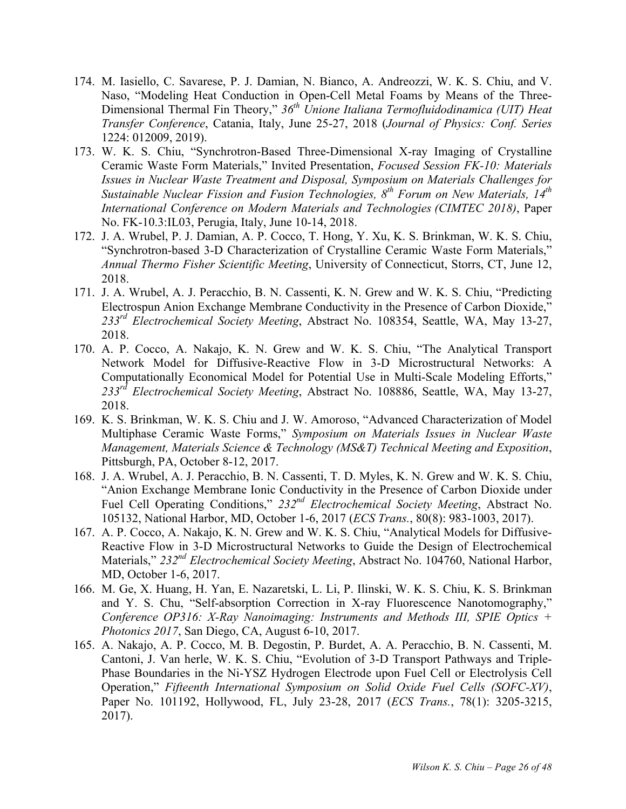- 174. M. Iasiello, C. Savarese, P. J. Damian, N. Bianco, A. Andreozzi, W. K. S. Chiu, and V. Naso, "Modeling Heat Conduction in Open-Cell Metal Foams by Means of the Three-Dimensional Thermal Fin Theory," *36th Unione Italiana Termofluidodinamica (UIT) Heat Transfer Conference*, Catania, Italy, June 25-27, 2018 (*Journal of Physics: Conf. Series* 1224: 012009, 2019).
- 173. W. K. S. Chiu, "Synchrotron-Based Three-Dimensional X-ray Imaging of Crystalline Ceramic Waste Form Materials," Invited Presentation, *Focused Session FK-10: Materials Issues in Nuclear Waste Treatment and Disposal, Symposium on Materials Challenges for Sustainable Nuclear Fission and Fusion Technologies, 8th Forum on New Materials, 14th International Conference on Modern Materials and Technologies (CIMTEC 2018)*, Paper No. FK-10.3:IL03, Perugia, Italy, June 10-14, 2018.
- 172. J. A. Wrubel, P. J. Damian, A. P. Cocco, T. Hong, Y. Xu, K. S. Brinkman, W. K. S. Chiu, "Synchrotron-based 3-D Characterization of Crystalline Ceramic Waste Form Materials," *Annual Thermo Fisher Scientific Meeting*, University of Connecticut, Storrs, CT, June 12, 2018.
- 171. J. A. Wrubel, A. J. Peracchio, B. N. Cassenti, K. N. Grew and W. K. S. Chiu, "Predicting Electrospun Anion Exchange Membrane Conductivity in the Presence of Carbon Dioxide," *233rd Electrochemical Society Meeting*, Abstract No. 108354, Seattle, WA, May 13-27, 2018.
- 170. A. P. Cocco, A. Nakajo, K. N. Grew and W. K. S. Chiu, "The Analytical Transport Network Model for Diffusive-Reactive Flow in 3-D Microstructural Networks: A Computationally Economical Model for Potential Use in Multi-Scale Modeling Efforts," *233rd Electrochemical Society Meeting*, Abstract No. 108886, Seattle, WA, May 13-27, 2018.
- 169. K. S. Brinkman, W. K. S. Chiu and J. W. Amoroso, "Advanced Characterization of Model Multiphase Ceramic Waste Forms," *Symposium on Materials Issues in Nuclear Waste Management, Materials Science & Technology (MS&T) Technical Meeting and Exposition*, Pittsburgh, PA, October 8-12, 2017.
- 168. J. A. Wrubel, A. J. Peracchio, B. N. Cassenti, T. D. Myles, K. N. Grew and W. K. S. Chiu, "Anion Exchange Membrane Ionic Conductivity in the Presence of Carbon Dioxide under Fuel Cell Operating Conditions," *232nd Electrochemical Society Meeting*, Abstract No. 105132, National Harbor, MD, October 1-6, 2017 (*ECS Trans.*, 80(8): 983-1003, 2017).
- 167. A. P. Cocco, A. Nakajo, K. N. Grew and W. K. S. Chiu, "Analytical Models for Diffusive-Reactive Flow in 3-D Microstructural Networks to Guide the Design of Electrochemical Materials," *232nd Electrochemical Society Meeting*, Abstract No. 104760, National Harbor, MD, October 1-6, 2017.
- 166. M. Ge, X. Huang, H. Yan, E. Nazaretski, L. Li, P. Ilinski, W. K. S. Chiu, K. S. Brinkman and Y. S. Chu, "Self-absorption Correction in X-ray Fluorescence Nanotomography," *Conference OP316: X-Ray Nanoimaging: Instruments and Methods III, SPIE Optics + Photonics 2017*, San Diego, CA, August 6-10, 2017.
- 165. A. Nakajo, A. P. Cocco, M. B. Degostin, P. Burdet, A. A. Peracchio, B. N. Cassenti, M. Cantoni, J. Van herle, W. K. S. Chiu, "Evolution of 3-D Transport Pathways and Triple-Phase Boundaries in the Ni-YSZ Hydrogen Electrode upon Fuel Cell or Electrolysis Cell Operation," *Fifteenth International Symposium on Solid Oxide Fuel Cells (SOFC-XV)*, Paper No. 101192, Hollywood, FL, July 23-28, 2017 (*ECS Trans.*, 78(1): 3205-3215, 2017).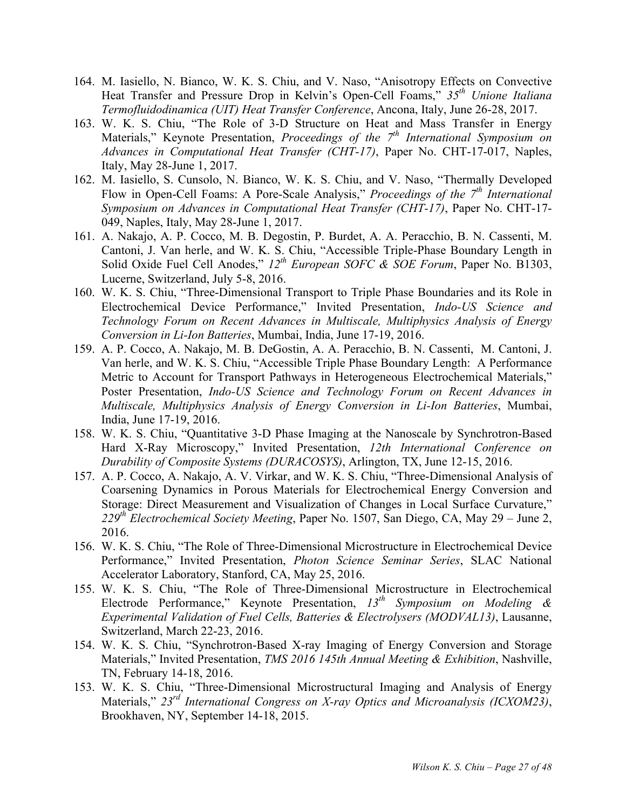- 164. M. Iasiello, N. Bianco, W. K. S. Chiu, and V. Naso, "Anisotropy Effects on Convective Heat Transfer and Pressure Drop in Kelvin's Open-Cell Foams," *35th Unione Italiana Termofluidodinamica (UIT) Heat Transfer Conference*, Ancona, Italy, June 26-28, 2017.
- 163. W. K. S. Chiu, "The Role of 3-D Structure on Heat and Mass Transfer in Energy Materials," Keynote Presentation, *Proceedings of the* 7<sup>th</sup> *International Symposium on Advances in Computational Heat Transfer (CHT-17)*, Paper No. CHT-17-017, Naples, Italy, May 28-June 1, 2017.
- 162. M. Iasiello, S. Cunsolo, N. Bianco, W. K. S. Chiu, and V. Naso, "Thermally Developed Flow in Open-Cell Foams: A Pore-Scale Analysis," *Proceedings of the 7th International Symposium on Advances in Computational Heat Transfer (CHT-17)*, Paper No. CHT-17- 049, Naples, Italy, May 28-June 1, 2017.
- 161. A. Nakajo, A. P. Cocco, M. B. Degostin, P. Burdet, A. A. Peracchio, B. N. Cassenti, M. Cantoni, J. Van herle, and W. K. S. Chiu, "Accessible Triple-Phase Boundary Length in Solid Oxide Fuel Cell Anodes," *12th European SOFC & SOE Forum*, Paper No. B1303, Lucerne, Switzerland, July 5-8, 2016.
- 160. W. K. S. Chiu, "Three-Dimensional Transport to Triple Phase Boundaries and its Role in Electrochemical Device Performance," Invited Presentation, *Indo-US Science and Technology Forum on Recent Advances in Multiscale, Multiphysics Analysis of Energy Conversion in Li-Ion Batteries*, Mumbai, India, June 17-19, 2016.
- 159. A. P. Cocco, A. Nakajo, M. B. DeGostin, A. A. Peracchio, B. N. Cassenti, M. Cantoni, J. Van herle, and W. K. S. Chiu, "Accessible Triple Phase Boundary Length: A Performance Metric to Account for Transport Pathways in Heterogeneous Electrochemical Materials," Poster Presentation, *Indo-US Science and Technology Forum on Recent Advances in Multiscale, Multiphysics Analysis of Energy Conversion in Li-Ion Batteries*, Mumbai, India, June 17-19, 2016.
- 158. W. K. S. Chiu, "Quantitative 3-D Phase Imaging at the Nanoscale by Synchrotron-Based Hard X-Ray Microscopy," Invited Presentation, *12th International Conference on Durability of Composite Systems (DURACOSYS)*, Arlington, TX, June 12-15, 2016.
- 157. A. P. Cocco, A. Nakajo, A. V. Virkar, and W. K. S. Chiu, "Three-Dimensional Analysis of Coarsening Dynamics in Porous Materials for Electrochemical Energy Conversion and Storage: Direct Measurement and Visualization of Changes in Local Surface Curvature," *229th Electrochemical Society Meeting*, Paper No. 1507, San Diego, CA, May 29 – June 2, 2016.
- 156. W. K. S. Chiu, "The Role of Three-Dimensional Microstructure in Electrochemical Device Performance," Invited Presentation, *Photon Science Seminar Series*, SLAC National Accelerator Laboratory, Stanford, CA, May 25, 2016.
- 155. W. K. S. Chiu, "The Role of Three-Dimensional Microstructure in Electrochemical Electrode Performance," Keynote Presentation, *13th Symposium on Modeling & Experimental Validation of Fuel Cells, Batteries & Electrolysers (MODVAL13)*, Lausanne, Switzerland, March 22-23, 2016.
- 154. W. K. S. Chiu, "Synchrotron-Based X-ray Imaging of Energy Conversion and Storage Materials," Invited Presentation, *TMS 2016 145th Annual Meeting & Exhibition*, Nashville, TN, February 14-18, 2016.
- 153. W. K. S. Chiu, "Three-Dimensional Microstructural Imaging and Analysis of Energy Materials," *23rd International Congress on X-ray Optics and Microanalysis (ICXOM23)*, Brookhaven, NY, September 14-18, 2015.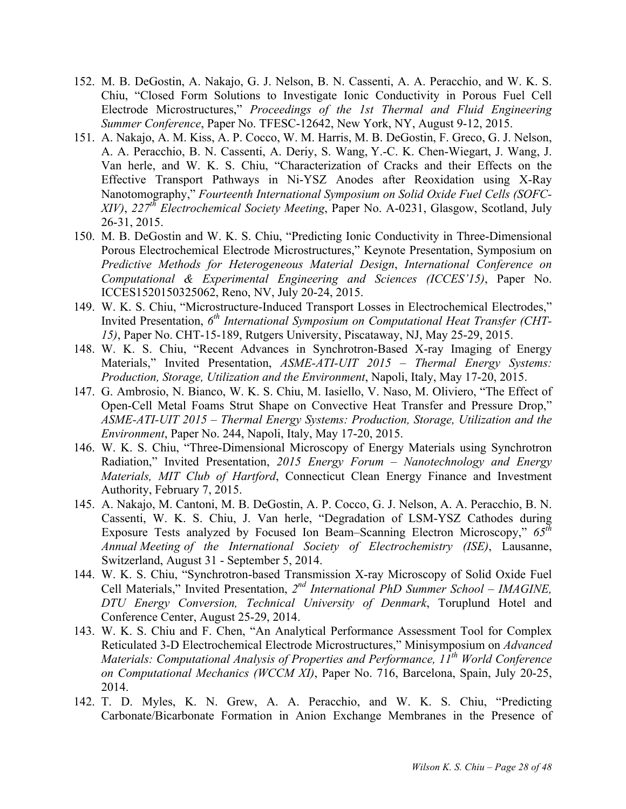- 152. M. B. DeGostin, A. Nakajo, G. J. Nelson, B. N. Cassenti, A. A. Peracchio, and W. K. S. Chiu, "Closed Form Solutions to Investigate Ionic Conductivity in Porous Fuel Cell Electrode Microstructures," *Proceedings of the 1st Thermal and Fluid Engineering Summer Conference*, Paper No. TFESC-12642, New York, NY, August 9-12, 2015.
- 151. A. Nakajo, A. M. Kiss, A. P. Cocco, W. M. Harris, M. B. DeGostin, F. Greco, G. J. Nelson, A. A. Peracchio, B. N. Cassenti, A. Deriy, S. Wang, Y.-C. K. Chen-Wiegart, J. Wang, J. Van herle, and W. K. S. Chiu, "Characterization of Cracks and their Effects on the Effective Transport Pathways in Ni-YSZ Anodes after Reoxidation using X-Ray Nanotomography," *Fourteenth International Symposium on Solid Oxide Fuel Cells (SOFC-XIV)*, *227th Electrochemical Society Meeting*, Paper No. A-0231, Glasgow, Scotland, July 26-31, 2015.
- 150. M. B. DeGostin and W. K. S. Chiu, "Predicting Ionic Conductivity in Three-Dimensional Porous Electrochemical Electrode Microstructures," Keynote Presentation, Symposium on *Predictive Methods for Heterogeneous Material Design*, *International Conference on Computational & Experimental Engineering and Sciences (ICCES'15)*, Paper No. ICCES1520150325062, Reno, NV, July 20-24, 2015.
- 149. W. K. S. Chiu, "Microstructure-Induced Transport Losses in Electrochemical Electrodes," Invited Presentation, *6th International Symposium on Computational Heat Transfer (CHT-15)*, Paper No. CHT-15-189, Rutgers University, Piscataway, NJ, May 25-29, 2015.
- 148. W. K. S. Chiu, "Recent Advances in Synchrotron-Based X-ray Imaging of Energy Materials," Invited Presentation, *ASME-ATI-UIT 2015 – Thermal Energy Systems: Production, Storage, Utilization and the Environment*, Napoli, Italy, May 17-20, 2015.
- 147. G. Ambrosio, N. Bianco, W. K. S. Chiu, M. Iasiello, V. Naso, M. Oliviero, "The Effect of Open-Cell Metal Foams Strut Shape on Convective Heat Transfer and Pressure Drop," *ASME-ATI-UIT 2015 – Thermal Energy Systems: Production, Storage, Utilization and the Environment*, Paper No. 244, Napoli, Italy, May 17-20, 2015.
- 146. W. K. S. Chiu, "Three-Dimensional Microscopy of Energy Materials using Synchrotron Radiation," Invited Presentation, *2015 Energy Forum – Nanotechnology and Energy Materials, MIT Club of Hartford*, Connecticut Clean Energy Finance and Investment Authority, February 7, 2015.
- 145. A. Nakajo, M. Cantoni, M. B. DeGostin, A. P. Cocco, G. J. Nelson, A. A. Peracchio, B. N. Cassenti, W. K. S. Chiu, J. Van herle, "Degradation of LSM-YSZ Cathodes during Exposure Tests analyzed by Focused Ion Beam–Scanning Electron Microscopy," *65th Annual Meeting of the International Society of Electrochemistry (ISE)*, Lausanne, Switzerland, August 31 - September 5, 2014.
- 144. W. K. S. Chiu, "Synchrotron-based Transmission X-ray Microscopy of Solid Oxide Fuel Cell Materials," Invited Presentation, *2nd International PhD Summer School – IMAGINE, DTU Energy Conversion, Technical University of Denmark*, Toruplund Hotel and Conference Center, August 25-29, 2014.
- 143. W. K. S. Chiu and F. Chen, "An Analytical Performance Assessment Tool for Complex Reticulated 3-D Electrochemical Electrode Microstructures," Minisymposium on *Advanced Materials: Computational Analysis of Properties and Performance, 11th World Conference on Computational Mechanics (WCCM XI)*, Paper No. 716, Barcelona, Spain, July 20-25, 2014.
- 142. T. D. Myles, K. N. Grew, A. A. Peracchio, and W. K. S. Chiu, "Predicting Carbonate/Bicarbonate Formation in Anion Exchange Membranes in the Presence of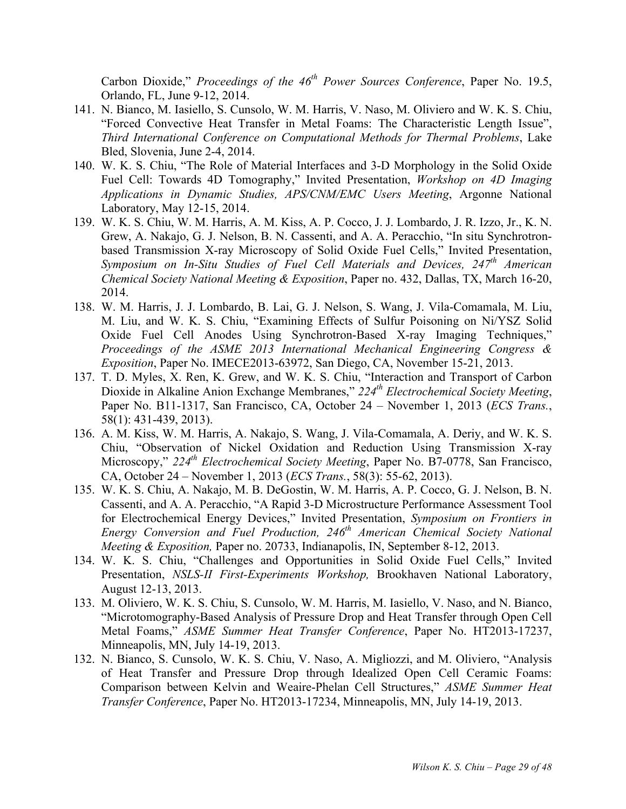Carbon Dioxide," *Proceedings of the 46<sup>th</sup> Power Sources Conference*, Paper No. 19.5, Orlando, FL, June 9-12, 2014.

- 141. N. Bianco, M. Iasiello, S. Cunsolo, W. M. Harris, V. Naso, M. Oliviero and W. K. S. Chiu, "Forced Convective Heat Transfer in Metal Foams: The Characteristic Length Issue", *Third International Conference on Computational Methods for Thermal Problems*, Lake Bled, Slovenia, June 2-4, 2014.
- 140. W. K. S. Chiu, "The Role of Material Interfaces and 3-D Morphology in the Solid Oxide Fuel Cell: Towards 4D Tomography," Invited Presentation, *Workshop on 4D Imaging Applications in Dynamic Studies, APS/CNM/EMC Users Meeting*, Argonne National Laboratory, May 12-15, 2014.
- 139. W. K. S. Chiu, W. M. Harris, A. M. Kiss, A. P. Cocco, J. J. Lombardo, J. R. Izzo, Jr., K. N. Grew, A. Nakajo, G. J. Nelson, B. N. Cassenti, and A. A. Peracchio, "In situ Synchrotronbased Transmission X-ray Microscopy of Solid Oxide Fuel Cells," Invited Presentation, *Symposium on In-Situ Studies of Fuel Cell Materials and Devices, 247th American Chemical Society National Meeting & Exposition*, Paper no. 432, Dallas, TX, March 16-20, 2014.
- 138. W. M. Harris, J. J. Lombardo, B. Lai, G. J. Nelson, S. Wang, J. Vila-Comamala, M. Liu, M. Liu, and W. K. S. Chiu, "Examining Effects of Sulfur Poisoning on Ni/YSZ Solid Oxide Fuel Cell Anodes Using Synchrotron-Based X-ray Imaging Techniques," *Proceedings of the ASME 2013 International Mechanical Engineering Congress & Exposition*, Paper No. IMECE2013-63972, San Diego, CA, November 15-21, 2013.
- 137. T. D. Myles, X. Ren, K. Grew, and W. K. S. Chiu, "Interaction and Transport of Carbon Dioxide in Alkaline Anion Exchange Membranes," *224th Electrochemical Society Meeting*, Paper No. B11-1317, San Francisco, CA, October 24 – November 1, 2013 (*ECS Trans.*, 58(1): 431-439, 2013).
- 136. A. M. Kiss, W. M. Harris, A. Nakajo, S. Wang, J. Vila-Comamala, A. Deriy, and W. K. S. Chiu, "Observation of Nickel Oxidation and Reduction Using Transmission X-ray Microscopy," *224th Electrochemical Society Meeting*, Paper No. B7-0778, San Francisco, CA, October 24 – November 1, 2013 (*ECS Trans.*, 58(3): 55-62, 2013).
- 135. W. K. S. Chiu, A. Nakajo, M. B. DeGostin, W. M. Harris, A. P. Cocco, G. J. Nelson, B. N. Cassenti, and A. A. Peracchio, "A Rapid 3-D Microstructure Performance Assessment Tool for Electrochemical Energy Devices," Invited Presentation, *Symposium on Frontiers in Energy Conversion and Fuel Production, 246th American Chemical Society National Meeting & Exposition,* Paper no. 20733, Indianapolis, IN, September 8-12, 2013.
- 134. W. K. S. Chiu, "Challenges and Opportunities in Solid Oxide Fuel Cells," Invited Presentation, *NSLS-II First-Experiments Workshop,* Brookhaven National Laboratory, August 12-13, 2013.
- 133. M. Oliviero, W. K. S. Chiu, S. Cunsolo, W. M. Harris, M. Iasiello, V. Naso, and N. Bianco, "Microtomography-Based Analysis of Pressure Drop and Heat Transfer through Open Cell Metal Foams," *ASME Summer Heat Transfer Conference*, Paper No. HT2013-17237, Minneapolis, MN, July 14-19, 2013.
- 132. N. Bianco, S. Cunsolo, W. K. S. Chiu, V. Naso, A. Migliozzi, and M. Oliviero, "Analysis of Heat Transfer and Pressure Drop through Idealized Open Cell Ceramic Foams: Comparison between Kelvin and Weaire-Phelan Cell Structures," *ASME Summer Heat Transfer Conference*, Paper No. HT2013-17234, Minneapolis, MN, July 14-19, 2013.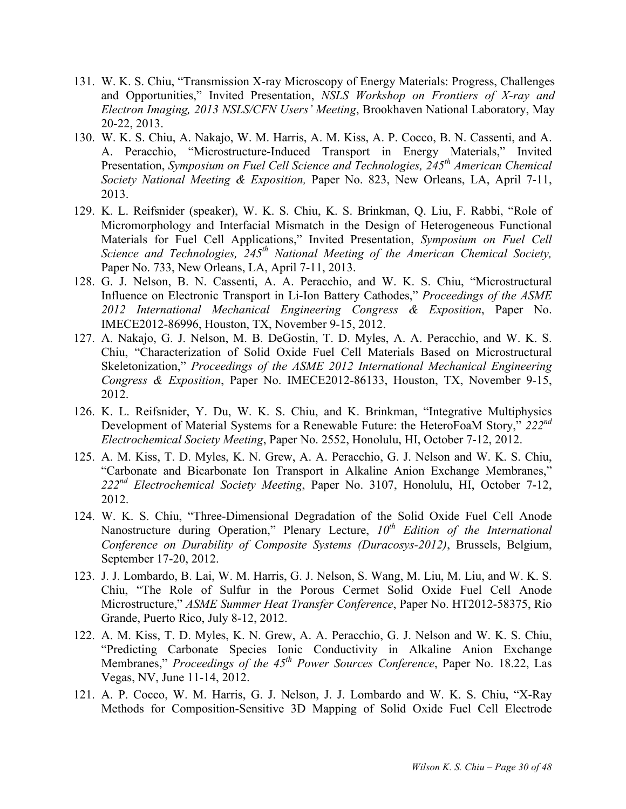- 131. W. K. S. Chiu, "Transmission X-ray Microscopy of Energy Materials: Progress, Challenges and Opportunities," Invited Presentation, *NSLS Workshop on Frontiers of X-ray and Electron Imaging, 2013 NSLS/CFN Users' Meeting*, Brookhaven National Laboratory, May 20-22, 2013.
- 130. W. K. S. Chiu, A. Nakajo, W. M. Harris, A. M. Kiss, A. P. Cocco, B. N. Cassenti, and A. A. Peracchio, "Microstructure-Induced Transport in Energy Materials," Invited Presentation, *Symposium on Fuel Cell Science and Technologies, 245th American Chemical Society National Meeting & Exposition,* Paper No. 823, New Orleans, LA, April 7-11, 2013.
- 129. K. L. Reifsnider (speaker), W. K. S. Chiu, K. S. Brinkman, Q. Liu, F. Rabbi, "Role of Micromorphology and Interfacial Mismatch in the Design of Heterogeneous Functional Materials for Fuel Cell Applications," Invited Presentation, *Symposium on Fuel Cell Science and Technologies, 245th National Meeting of the American Chemical Society,* Paper No. 733, New Orleans, LA, April 7-11, 2013.
- 128. G. J. Nelson, B. N. Cassenti, A. A. Peracchio, and W. K. S. Chiu, "Microstructural Influence on Electronic Transport in Li-Ion Battery Cathodes," *Proceedings of the ASME 2012 International Mechanical Engineering Congress & Exposition*, Paper No. IMECE2012-86996, Houston, TX, November 9-15, 2012.
- 127. A. Nakajo, G. J. Nelson, M. B. DeGostin, T. D. Myles, A. A. Peracchio, and W. K. S. Chiu, "Characterization of Solid Oxide Fuel Cell Materials Based on Microstructural Skeletonization," *Proceedings of the ASME 2012 International Mechanical Engineering Congress & Exposition*, Paper No. IMECE2012-86133, Houston, TX, November 9-15, 2012.
- 126. K. L. Reifsnider, Y. Du, W. K. S. Chiu, and K. Brinkman, "Integrative Multiphysics Development of Material Systems for a Renewable Future: the HeteroFoaM Story," *222nd Electrochemical Society Meeting*, Paper No. 2552, Honolulu, HI, October 7-12, 2012.
- 125. A. M. Kiss, T. D. Myles, K. N. Grew, A. A. Peracchio, G. J. Nelson and W. K. S. Chiu, "Carbonate and Bicarbonate Ion Transport in Alkaline Anion Exchange Membranes," *222nd Electrochemical Society Meeting*, Paper No. 3107, Honolulu, HI, October 7-12, 2012.
- 124. W. K. S. Chiu, "Three-Dimensional Degradation of the Solid Oxide Fuel Cell Anode Nanostructure during Operation," Plenary Lecture,  $10^{th}$  *Edition of the International Conference on Durability of Composite Systems (Duracosys-2012)*, Brussels, Belgium, September 17-20, 2012.
- 123. J. J. Lombardo, B. Lai, W. M. Harris, G. J. Nelson, S. Wang, M. Liu, M. Liu, and W. K. S. Chiu, "The Role of Sulfur in the Porous Cermet Solid Oxide Fuel Cell Anode Microstructure," *ASME Summer Heat Transfer Conference*, Paper No. HT2012-58375, Rio Grande, Puerto Rico, July 8-12, 2012.
- 122. A. M. Kiss, T. D. Myles, K. N. Grew, A. A. Peracchio, G. J. Nelson and W. K. S. Chiu, "Predicting Carbonate Species Ionic Conductivity in Alkaline Anion Exchange Membranes," *Proceedings of the 45th Power Sources Conference*, Paper No. 18.22, Las Vegas, NV, June 11-14, 2012.
- 121. A. P. Cocco, W. M. Harris, G. J. Nelson, J. J. Lombardo and W. K. S. Chiu, "X-Ray Methods for Composition-Sensitive 3D Mapping of Solid Oxide Fuel Cell Electrode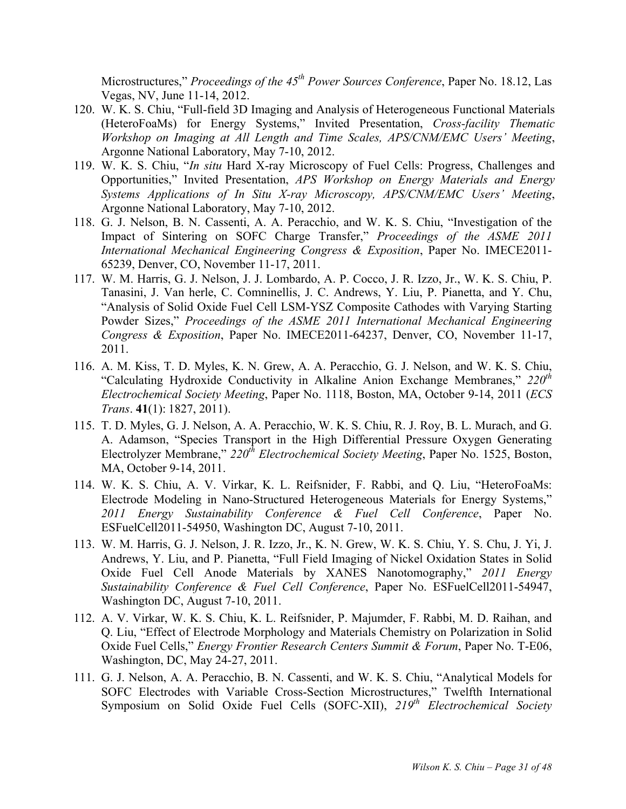Microstructures," *Proceedings of the 45th Power Sources Conference*, Paper No. 18.12, Las Vegas, NV, June 11-14, 2012.

- 120. W. K. S. Chiu, "Full-field 3D Imaging and Analysis of Heterogeneous Functional Materials (HeteroFoaMs) for Energy Systems," Invited Presentation, *Cross-facility Thematic Workshop on Imaging at All Length and Time Scales, APS/CNM/EMC Users' Meeting*, Argonne National Laboratory, May 7-10, 2012.
- 119. W. K. S. Chiu, "*In situ* Hard X-ray Microscopy of Fuel Cells: Progress, Challenges and Opportunities," Invited Presentation, *APS Workshop on Energy Materials and Energy Systems Applications of In Situ X-ray Microscopy, APS/CNM/EMC Users' Meeting*, Argonne National Laboratory, May 7-10, 2012.
- 118. G. J. Nelson, B. N. Cassenti, A. A. Peracchio, and W. K. S. Chiu, "Investigation of the Impact of Sintering on SOFC Charge Transfer," *Proceedings of the ASME 2011 International Mechanical Engineering Congress & Exposition*, Paper No. IMECE2011- 65239, Denver, CO, November 11-17, 2011.
- 117. W. M. Harris, G. J. Nelson, J. J. Lombardo, A. P. Cocco, J. R. Izzo, Jr., W. K. S. Chiu, P. Tanasini, J. Van herle, C. Comninellis, J. C. Andrews, Y. Liu, P. Pianetta, and Y. Chu, "Analysis of Solid Oxide Fuel Cell LSM-YSZ Composite Cathodes with Varying Starting Powder Sizes," *Proceedings of the ASME 2011 International Mechanical Engineering Congress & Exposition*, Paper No. IMECE2011-64237, Denver, CO, November 11-17, 2011.
- 116. A. M. Kiss, T. D. Myles, K. N. Grew, A. A. Peracchio, G. J. Nelson, and W. K. S. Chiu, "Calculating Hydroxide Conductivity in Alkaline Anion Exchange Membranes," 220<sup>th</sup> *Electrochemical Society Meeting*, Paper No. 1118, Boston, MA, October 9-14, 2011 (*ECS Trans*. **41**(1): 1827, 2011).
- 115. T. D. Myles, G. J. Nelson, A. A. Peracchio, W. K. S. Chiu, R. J. Roy, B. L. Murach, and G. A. Adamson, "Species Transport in the High Differential Pressure Oxygen Generating Electrolyzer Membrane," *220th Electrochemical Society Meeting*, Paper No. 1525, Boston, MA, October 9-14, 2011.
- 114. W. K. S. Chiu, A. V. Virkar, K. L. Reifsnider, F. Rabbi, and Q. Liu, "HeteroFoaMs: Electrode Modeling in Nano-Structured Heterogeneous Materials for Energy Systems," *2011 Energy Sustainability Conference & Fuel Cell Conference*, Paper No. ESFuelCell2011-54950, Washington DC, August 7-10, 2011.
- 113. W. M. Harris, G. J. Nelson, J. R. Izzo, Jr., K. N. Grew, W. K. S. Chiu, Y. S. Chu, J. Yi, J. Andrews, Y. Liu, and P. Pianetta, "Full Field Imaging of Nickel Oxidation States in Solid Oxide Fuel Cell Anode Materials by XANES Nanotomography," *2011 Energy Sustainability Conference & Fuel Cell Conference*, Paper No. ESFuelCell2011-54947, Washington DC, August 7-10, 2011.
- 112. A. V. Virkar, W. K. S. Chiu, K. L. Reifsnider, P. Majumder, F. Rabbi, M. D. Raihan, and Q. Liu, "Effect of Electrode Morphology and Materials Chemistry on Polarization in Solid Oxide Fuel Cells," *Energy Frontier Research Centers Summit & Forum*, Paper No. T-E06, Washington, DC, May 24-27, 2011.
- 111. G. J. Nelson, A. A. Peracchio, B. N. Cassenti, and W. K. S. Chiu, "Analytical Models for SOFC Electrodes with Variable Cross-Section Microstructures," Twelfth International Symposium on Solid Oxide Fuel Cells (SOFC-XII), *219th Electrochemical Society*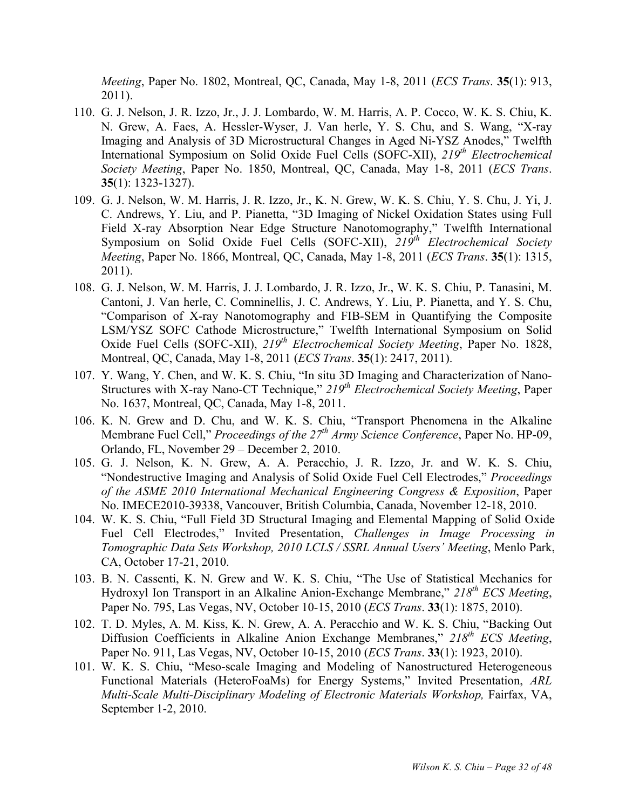*Meeting*, Paper No. 1802, Montreal, QC, Canada, May 1-8, 2011 (*ECS Trans*. **35**(1): 913, 2011).

- 110. G. J. Nelson, J. R. Izzo, Jr., J. J. Lombardo, W. M. Harris, A. P. Cocco, W. K. S. Chiu, K. N. Grew, A. Faes, A. Hessler-Wyser, J. Van herle, Y. S. Chu, and S. Wang, "X-ray Imaging and Analysis of 3D Microstructural Changes in Aged Ni-YSZ Anodes," Twelfth International Symposium on Solid Oxide Fuel Cells (SOFC-XII), *219th Electrochemical Society Meeting*, Paper No. 1850, Montreal, QC, Canada, May 1-8, 2011 (*ECS Trans*. **35**(1): 1323-1327).
- 109. G. J. Nelson, W. M. Harris, J. R. Izzo, Jr., K. N. Grew, W. K. S. Chiu, Y. S. Chu, J. Yi, J. C. Andrews, Y. Liu, and P. Pianetta, "3D Imaging of Nickel Oxidation States using Full Field X-ray Absorption Near Edge Structure Nanotomography," Twelfth International Symposium on Solid Oxide Fuel Cells (SOFC-XII), *219th Electrochemical Society Meeting*, Paper No. 1866, Montreal, QC, Canada, May 1-8, 2011 (*ECS Trans*. **35**(1): 1315, 2011).
- 108. G. J. Nelson, W. M. Harris, J. J. Lombardo, J. R. Izzo, Jr., W. K. S. Chiu, P. Tanasini, M. Cantoni, J. Van herle, C. Comninellis, J. C. Andrews, Y. Liu, P. Pianetta, and Y. S. Chu, "Comparison of X-ray Nanotomography and FIB-SEM in Quantifying the Composite LSM/YSZ SOFC Cathode Microstructure," Twelfth International Symposium on Solid Oxide Fuel Cells (SOFC-XII), *219th Electrochemical Society Meeting*, Paper No. 1828, Montreal, QC, Canada, May 1-8, 2011 (*ECS Trans*. **35**(1): 2417, 2011).
- 107. Y. Wang, Y. Chen, and W. K. S. Chiu, "In situ 3D Imaging and Characterization of Nano-Structures with X-ray Nano-CT Technique," *219th Electrochemical Society Meeting*, Paper No. 1637, Montreal, QC, Canada, May 1-8, 2011.
- 106. K. N. Grew and D. Chu, and W. K. S. Chiu, "Transport Phenomena in the Alkaline Membrane Fuel Cell," *Proceedings of the 27th Army Science Conference*, Paper No. HP-09, Orlando, FL, November 29 – December 2, 2010.
- 105. G. J. Nelson, K. N. Grew, A. A. Peracchio, J. R. Izzo, Jr. and W. K. S. Chiu, "Nondestructive Imaging and Analysis of Solid Oxide Fuel Cell Electrodes," *Proceedings of the ASME 2010 International Mechanical Engineering Congress & Exposition*, Paper No. IMECE2010-39338, Vancouver, British Columbia, Canada, November 12-18, 2010.
- 104. W. K. S. Chiu, "Full Field 3D Structural Imaging and Elemental Mapping of Solid Oxide Fuel Cell Electrodes," Invited Presentation, *Challenges in Image Processing in Tomographic Data Sets Workshop, 2010 LCLS / SSRL Annual Users' Meeting*, Menlo Park, CA, October 17-21, 2010.
- 103. B. N. Cassenti, K. N. Grew and W. K. S. Chiu, "The Use of Statistical Mechanics for Hydroxyl Ion Transport in an Alkaline Anion-Exchange Membrane," *218th ECS Meeting*, Paper No. 795, Las Vegas, NV, October 10-15, 2010 (*ECS Trans*. **33**(1): 1875, 2010).
- 102. T. D. Myles, A. M. Kiss, K. N. Grew, A. A. Peracchio and W. K. S. Chiu, "Backing Out Diffusion Coefficients in Alkaline Anion Exchange Membranes," 218<sup>th</sup> *ECS Meeting*, Paper No. 911, Las Vegas, NV, October 10-15, 2010 (*ECS Trans*. **33**(1): 1923, 2010).
- 101. W. K. S. Chiu, "Meso-scale Imaging and Modeling of Nanostructured Heterogeneous Functional Materials (HeteroFoaMs) for Energy Systems," Invited Presentation, *ARL Multi-Scale Multi-Disciplinary Modeling of Electronic Materials Workshop,* Fairfax, VA, September 1-2, 2010.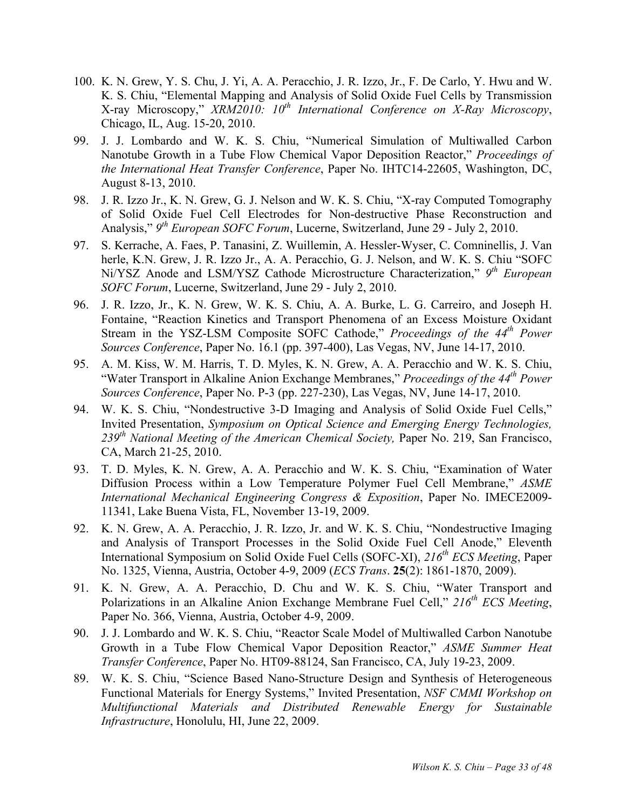- 100. K. N. Grew, Y. S. Chu, J. Yi, A. A. Peracchio, J. R. Izzo, Jr., F. De Carlo, Y. Hwu and W. K. S. Chiu, "Elemental Mapping and Analysis of Solid Oxide Fuel Cells by Transmission X-ray Microscopy," *XRM2010: 10th International Conference on X-Ray Microscopy*, Chicago, IL, Aug. 15-20, 2010.
- 99. J. J. Lombardo and W. K. S. Chiu, "Numerical Simulation of Multiwalled Carbon Nanotube Growth in a Tube Flow Chemical Vapor Deposition Reactor," *Proceedings of the International Heat Transfer Conference*, Paper No. IHTC14-22605, Washington, DC, August 8-13, 2010.
- 98. J. R. Izzo Jr., K. N. Grew, G. J. Nelson and W. K. S. Chiu, "X-ray Computed Tomography of Solid Oxide Fuel Cell Electrodes for Non-destructive Phase Reconstruction and Analysis," *9th European SOFC Forum*, Lucerne, Switzerland, June 29 - July 2, 2010.
- 97. S. Kerrache, A. Faes, P. Tanasini, Z. Wuillemin, A. Hessler-Wyser, C. Comninellis, J. Van herle, K.N. Grew, J. R. Izzo Jr., A. A. Peracchio, G. J. Nelson, and W. K. S. Chiu "SOFC Ni/YSZ Anode and LSM/YSZ Cathode Microstructure Characterization," *9th European SOFC Forum*, Lucerne, Switzerland, June 29 - July 2, 2010.
- 96. J. R. Izzo, Jr., K. N. Grew, W. K. S. Chiu, A. A. Burke, L. G. Carreiro, and Joseph H. Fontaine, "Reaction Kinetics and Transport Phenomena of an Excess Moisture Oxidant Stream in the YSZ-LSM Composite SOFC Cathode," *Proceedings of the 44th Power Sources Conference*, Paper No. 16.1 (pp. 397-400), Las Vegas, NV, June 14-17, 2010.
- 95. A. M. Kiss, W. M. Harris, T. D. Myles, K. N. Grew, A. A. Peracchio and W. K. S. Chiu, "Water Transport in Alkaline Anion Exchange Membranes," *Proceedings of the 44th Power Sources Conference*, Paper No. P-3 (pp. 227-230), Las Vegas, NV, June 14-17, 2010.
- 94. W. K. S. Chiu, "Nondestructive 3-D Imaging and Analysis of Solid Oxide Fuel Cells," Invited Presentation, *Symposium on Optical Science and Emerging Energy Technologies, 239th National Meeting of the American Chemical Society,* Paper No. 219, San Francisco, CA, March 21-25, 2010.
- 93. T. D. Myles, K. N. Grew, A. A. Peracchio and W. K. S. Chiu, "Examination of Water Diffusion Process within a Low Temperature Polymer Fuel Cell Membrane," *ASME International Mechanical Engineering Congress & Exposition*, Paper No. IMECE2009- 11341, Lake Buena Vista, FL, November 13-19, 2009.
- 92. K. N. Grew, A. A. Peracchio, J. R. Izzo, Jr. and W. K. S. Chiu, "Nondestructive Imaging and Analysis of Transport Processes in the Solid Oxide Fuel Cell Anode," Eleventh International Symposium on Solid Oxide Fuel Cells (SOFC-XI), *216th ECS Meeting*, Paper No. 1325, Vienna, Austria, October 4-9, 2009 (*ECS Trans*. **25**(2): 1861-1870, 2009).
- 91. K. N. Grew, A. A. Peracchio, D. Chu and W. K. S. Chiu, "Water Transport and Polarizations in an Alkaline Anion Exchange Membrane Fuel Cell," 216<sup>th</sup> *ECS Meeting*, Paper No. 366, Vienna, Austria, October 4-9, 2009.
- 90. J. J. Lombardo and W. K. S. Chiu, "Reactor Scale Model of Multiwalled Carbon Nanotube Growth in a Tube Flow Chemical Vapor Deposition Reactor," *ASME Summer Heat Transfer Conference*, Paper No. HT09-88124, San Francisco, CA, July 19-23, 2009.
- 89. W. K. S. Chiu, "Science Based Nano-Structure Design and Synthesis of Heterogeneous Functional Materials for Energy Systems," Invited Presentation, *NSF CMMI Workshop on Multifunctional Materials and Distributed Renewable Energy for Sustainable Infrastructure*, Honolulu, HI, June 22, 2009.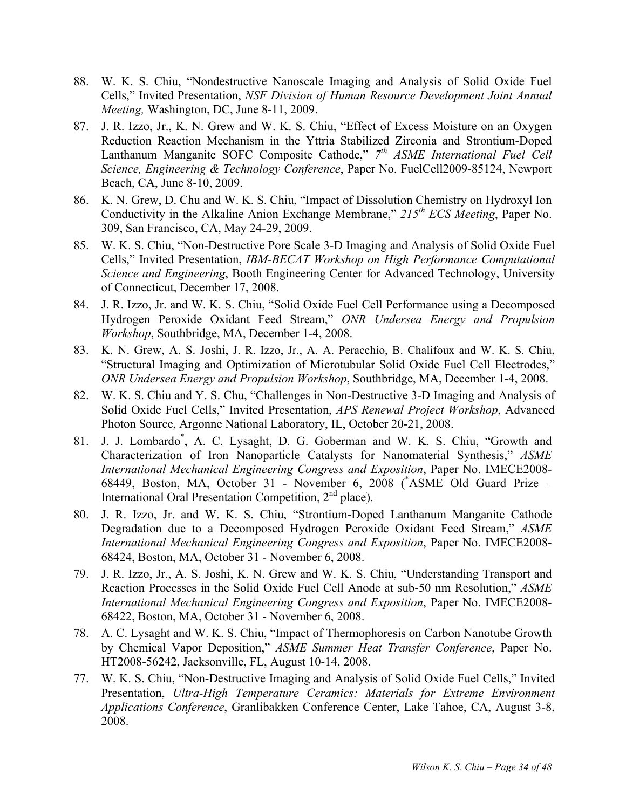- 88. W. K. S. Chiu, "Nondestructive Nanoscale Imaging and Analysis of Solid Oxide Fuel Cells," Invited Presentation, *NSF Division of Human Resource Development Joint Annual Meeting,* Washington, DC, June 8-11, 2009.
- 87. J. R. Izzo, Jr., K. N. Grew and W. K. S. Chiu, "Effect of Excess Moisture on an Oxygen Reduction Reaction Mechanism in the Yttria Stabilized Zirconia and Strontium-Doped Lanthanum Manganite SOFC Composite Cathode," *7th ASME International Fuel Cell Science, Engineering & Technology Conference*, Paper No. FuelCell2009-85124, Newport Beach, CA, June 8-10, 2009.
- 86. K. N. Grew, D. Chu and W. K. S. Chiu, "Impact of Dissolution Chemistry on Hydroxyl Ion Conductivity in the Alkaline Anion Exchange Membrane," *215th ECS Meeting*, Paper No. 309, San Francisco, CA, May 24-29, 2009.
- 85. W. K. S. Chiu, "Non-Destructive Pore Scale 3-D Imaging and Analysis of Solid Oxide Fuel Cells," Invited Presentation, *IBM-BECAT Workshop on High Performance Computational Science and Engineering*, Booth Engineering Center for Advanced Technology, University of Connecticut, December 17, 2008.
- 84. J. R. Izzo, Jr. and W. K. S. Chiu, "Solid Oxide Fuel Cell Performance using a Decomposed Hydrogen Peroxide Oxidant Feed Stream," *ONR Undersea Energy and Propulsion Workshop*, Southbridge, MA, December 1-4, 2008.
- 83. K. N. Grew, A. S. Joshi, J. R. Izzo, Jr., A. A. Peracchio, B. Chalifoux and W. K. S. Chiu, "Structural Imaging and Optimization of Microtubular Solid Oxide Fuel Cell Electrodes," *ONR Undersea Energy and Propulsion Workshop*, Southbridge, MA, December 1-4, 2008.
- 82. W. K. S. Chiu and Y. S. Chu, "Challenges in Non-Destructive 3-D Imaging and Analysis of Solid Oxide Fuel Cells," Invited Presentation, *APS Renewal Project Workshop*, Advanced Photon Source, Argonne National Laboratory, IL, October 20-21, 2008.
- 81. J. J. Lombardo\* , A. C. Lysaght, D. G. Goberman and W. K. S. Chiu, "Growth and Characterization of Iron Nanoparticle Catalysts for Nanomaterial Synthesis," *ASME International Mechanical Engineering Congress and Exposition*, Paper No. IMECE2008- 68449, Boston, MA, October 31 - November 6, 2008 ( \* ASME Old Guard Prize – International Oral Presentation Competition, 2<sup>nd</sup> place).
- 80. J. R. Izzo, Jr. and W. K. S. Chiu, "Strontium-Doped Lanthanum Manganite Cathode Degradation due to a Decomposed Hydrogen Peroxide Oxidant Feed Stream," *ASME International Mechanical Engineering Congress and Exposition*, Paper No. IMECE2008- 68424, Boston, MA, October 31 - November 6, 2008.
- 79. J. R. Izzo, Jr., A. S. Joshi, K. N. Grew and W. K. S. Chiu, "Understanding Transport and Reaction Processes in the Solid Oxide Fuel Cell Anode at sub-50 nm Resolution," *ASME International Mechanical Engineering Congress and Exposition*, Paper No. IMECE2008- 68422, Boston, MA, October 31 - November 6, 2008.
- 78. A. C. Lysaght and W. K. S. Chiu, "Impact of Thermophoresis on Carbon Nanotube Growth by Chemical Vapor Deposition," *ASME Summer Heat Transfer Conference*, Paper No. HT2008-56242, Jacksonville, FL, August 10-14, 2008.
- 77. W. K. S. Chiu, "Non-Destructive Imaging and Analysis of Solid Oxide Fuel Cells," Invited Presentation, *Ultra-High Temperature Ceramics: Materials for Extreme Environment Applications Conference*, Granlibakken Conference Center, Lake Tahoe, CA, August 3-8, 2008.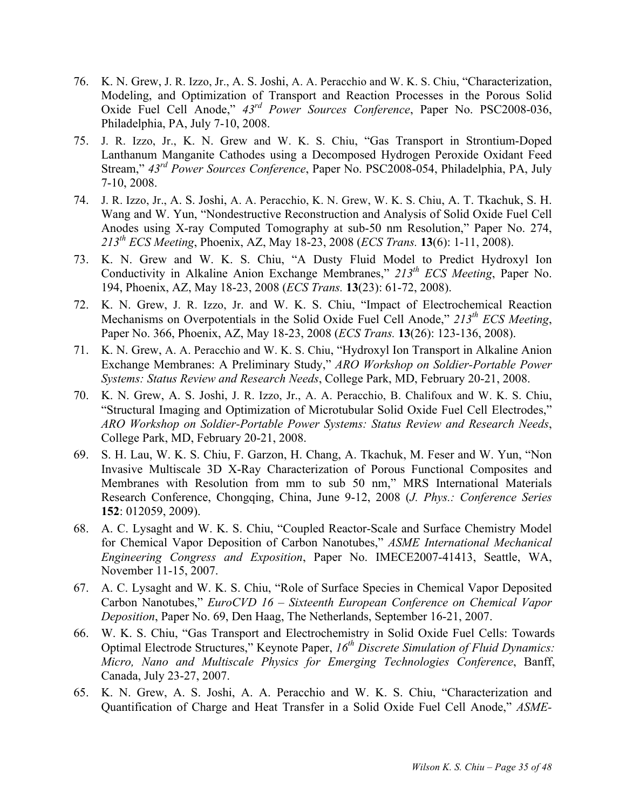- 76. K. N. Grew, J. R. Izzo, Jr., A. S. Joshi, A. A. Peracchio and W. K. S. Chiu, "Characterization, Modeling, and Optimization of Transport and Reaction Processes in the Porous Solid Oxide Fuel Cell Anode," *43rd Power Sources Conference*, Paper No. PSC2008-036, Philadelphia, PA, July 7-10, 2008.
- 75. J. R. Izzo, Jr., K. N. Grew and W. K. S. Chiu, "Gas Transport in Strontium-Doped Lanthanum Manganite Cathodes using a Decomposed Hydrogen Peroxide Oxidant Feed Stream," *43rd Power Sources Conference*, Paper No. PSC2008-054, Philadelphia, PA, July 7-10, 2008.
- 74. J. R. Izzo, Jr., A. S. Joshi, A. A. Peracchio, K. N. Grew, W. K. S. Chiu, A. T. Tkachuk, S. H. Wang and W. Yun, "Nondestructive Reconstruction and Analysis of Solid Oxide Fuel Cell Anodes using X-ray Computed Tomography at sub-50 nm Resolution," Paper No. 274, *213th ECS Meeting*, Phoenix, AZ, May 18-23, 2008 (*ECS Trans.* **13**(6): 1-11, 2008).
- 73. K. N. Grew and W. K. S. Chiu, "A Dusty Fluid Model to Predict Hydroxyl Ion Conductivity in Alkaline Anion Exchange Membranes," *213th ECS Meeting*, Paper No. 194, Phoenix, AZ, May 18-23, 2008 (*ECS Trans.* **13**(23): 61-72, 2008).
- 72. K. N. Grew, J. R. Izzo, Jr. and W. K. S. Chiu, "Impact of Electrochemical Reaction Mechanisms on Overpotentials in the Solid Oxide Fuel Cell Anode," *213th ECS Meeting*, Paper No. 366, Phoenix, AZ, May 18-23, 2008 (*ECS Trans.* **13**(26): 123-136, 2008).
- 71. K. N. Grew, A. A. Peracchio and W. K. S. Chiu, "Hydroxyl Ion Transport in Alkaline Anion Exchange Membranes: A Preliminary Study," *ARO Workshop on Soldier-Portable Power Systems: Status Review and Research Needs*, College Park, MD, February 20-21, 2008.
- 70. K. N. Grew, A. S. Joshi, J. R. Izzo, Jr., A. A. Peracchio, B. Chalifoux and W. K. S. Chiu, "Structural Imaging and Optimization of Microtubular Solid Oxide Fuel Cell Electrodes," *ARO Workshop on Soldier-Portable Power Systems: Status Review and Research Needs*, College Park, MD, February 20-21, 2008.
- 69. S. H. Lau, W. K. S. Chiu, F. Garzon, H. Chang, A. Tkachuk, M. Feser and W. Yun, "Non Invasive Multiscale 3D X-Ray Characterization of Porous Functional Composites and Membranes with Resolution from mm to sub 50 nm," MRS International Materials Research Conference, Chongqing, China, June 9-12, 2008 (*J. Phys.: Conference Series* **152**: 012059, 2009).
- 68. A. C. Lysaght and W. K. S. Chiu, "Coupled Reactor-Scale and Surface Chemistry Model for Chemical Vapor Deposition of Carbon Nanotubes," *ASME International Mechanical Engineering Congress and Exposition*, Paper No. IMECE2007-41413, Seattle, WA, November 11-15, 2007.
- 67. A. C. Lysaght and W. K. S. Chiu, "Role of Surface Species in Chemical Vapor Deposited Carbon Nanotubes," *EuroCVD 16 – Sixteenth European Conference on Chemical Vapor Deposition*, Paper No. 69, Den Haag, The Netherlands, September 16-21, 2007.
- 66. W. K. S. Chiu, "Gas Transport and Electrochemistry in Solid Oxide Fuel Cells: Towards Optimal Electrode Structures," Keynote Paper, *16th Discrete Simulation of Fluid Dynamics: Micro, Nano and Multiscale Physics for Emerging Technologies Conference*, Banff, Canada, July 23-27, 2007.
- 65. K. N. Grew, A. S. Joshi, A. A. Peracchio and W. K. S. Chiu, "Characterization and Quantification of Charge and Heat Transfer in a Solid Oxide Fuel Cell Anode," *ASME-*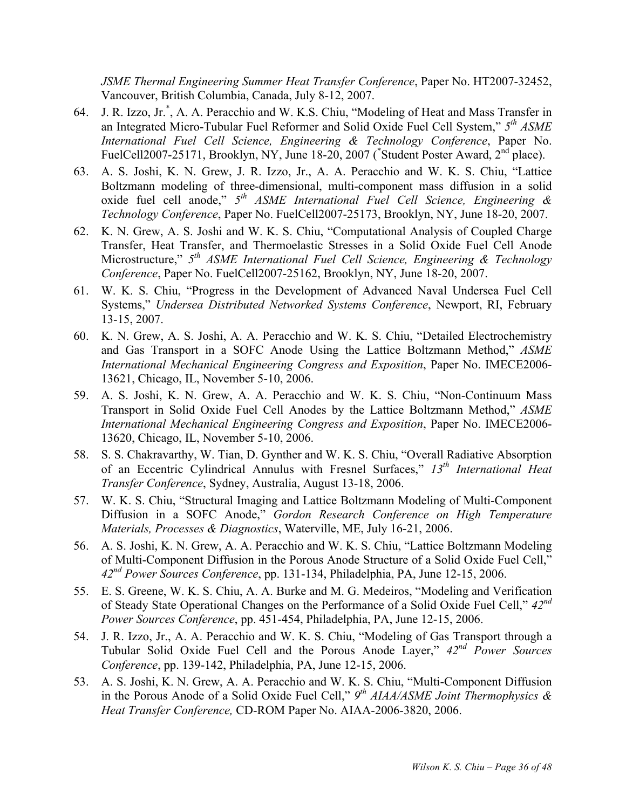*JSME Thermal Engineering Summer Heat Transfer Conference*, Paper No. HT2007-32452, Vancouver, British Columbia, Canada, July 8-12, 2007.

- 64. J. R. Izzo, Jr.\* , A. A. Peracchio and W. K.S. Chiu, "Modeling of Heat and Mass Transfer in an Integrated Micro-Tubular Fuel Reformer and Solid Oxide Fuel Cell System," *5th ASME International Fuel Cell Science, Engineering & Technology Conference*, Paper No. FuelCell2007-25171, Brooklyn, NY, June 18-20, 2007 (\*Student Poster Award,  $2<sup>nd</sup>$  place).
- 63. A. S. Joshi, K. N. Grew, J. R. Izzo, Jr., A. A. Peracchio and W. K. S. Chiu, "Lattice Boltzmann modeling of three-dimensional, multi-component mass diffusion in a solid oxide fuel cell anode," *5th ASME International Fuel Cell Science, Engineering & Technology Conference*, Paper No. FuelCell2007-25173, Brooklyn, NY, June 18-20, 2007.
- 62. K. N. Grew, A. S. Joshi and W. K. S. Chiu, "Computational Analysis of Coupled Charge Transfer, Heat Transfer, and Thermoelastic Stresses in a Solid Oxide Fuel Cell Anode Microstructure," *5th ASME International Fuel Cell Science, Engineering & Technology Conference*, Paper No. FuelCell2007-25162, Brooklyn, NY, June 18-20, 2007.
- 61. W. K. S. Chiu, "Progress in the Development of Advanced Naval Undersea Fuel Cell Systems," *Undersea Distributed Networked Systems Conference*, Newport, RI, February 13-15, 2007.
- 60. K. N. Grew, A. S. Joshi, A. A. Peracchio and W. K. S. Chiu, "Detailed Electrochemistry and Gas Transport in a SOFC Anode Using the Lattice Boltzmann Method," *ASME International Mechanical Engineering Congress and Exposition*, Paper No. IMECE2006- 13621, Chicago, IL, November 5-10, 2006.
- 59. A. S. Joshi, K. N. Grew, A. A. Peracchio and W. K. S. Chiu, "Non-Continuum Mass Transport in Solid Oxide Fuel Cell Anodes by the Lattice Boltzmann Method," *ASME International Mechanical Engineering Congress and Exposition*, Paper No. IMECE2006- 13620, Chicago, IL, November 5-10, 2006.
- 58. S. S. Chakravarthy, W. Tian, D. Gynther and W. K. S. Chiu, "Overall Radiative Absorption of an Eccentric Cylindrical Annulus with Fresnel Surfaces," *13th International Heat Transfer Conference*, Sydney, Australia, August 13-18, 2006.
- 57. W. K. S. Chiu, "Structural Imaging and Lattice Boltzmann Modeling of Multi-Component Diffusion in a SOFC Anode," *Gordon Research Conference on High Temperature Materials, Processes & Diagnostics*, Waterville, ME, July 16-21, 2006.
- 56. A. S. Joshi, K. N. Grew, A. A. Peracchio and W. K. S. Chiu, "Lattice Boltzmann Modeling of Multi-Component Diffusion in the Porous Anode Structure of a Solid Oxide Fuel Cell," *42nd Power Sources Conference*, pp. 131-134, Philadelphia, PA, June 12-15, 2006.
- 55. E. S. Greene, W. K. S. Chiu, A. A. Burke and M. G. Medeiros, "Modeling and Verification of Steady State Operational Changes on the Performance of a Solid Oxide Fuel Cell," *42nd Power Sources Conference*, pp. 451-454, Philadelphia, PA, June 12-15, 2006.
- 54. J. R. Izzo, Jr., A. A. Peracchio and W. K. S. Chiu, "Modeling of Gas Transport through a Tubular Solid Oxide Fuel Cell and the Porous Anode Layer," *42nd Power Sources Conference*, pp. 139-142, Philadelphia, PA, June 12-15, 2006.
- 53. A. S. Joshi, K. N. Grew, A. A. Peracchio and W. K. S. Chiu, "Multi-Component Diffusion in the Porous Anode of a Solid Oxide Fuel Cell," *9th AIAA/ASME Joint Thermophysics & Heat Transfer Conference,* CD-ROM Paper No. AIAA-2006-3820, 2006.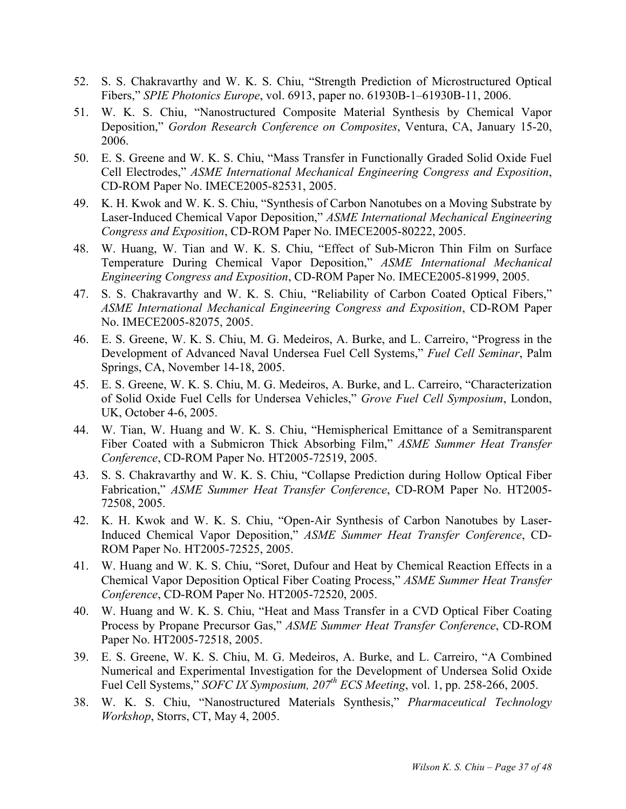- 52. S. S. Chakravarthy and W. K. S. Chiu, "Strength Prediction of Microstructured Optical Fibers," *SPIE Photonics Europe*, vol. 6913, paper no. 61930B-1–61930B-11, 2006.
- 51. W. K. S. Chiu, "Nanostructured Composite Material Synthesis by Chemical Vapor Deposition," *Gordon Research Conference on Composites*, Ventura, CA, January 15-20, 2006.
- 50. E. S. Greene and W. K. S. Chiu, "Mass Transfer in Functionally Graded Solid Oxide Fuel Cell Electrodes," *ASME International Mechanical Engineering Congress and Exposition*, CD-ROM Paper No. IMECE2005-82531, 2005.
- 49. K. H. Kwok and W. K. S. Chiu, "Synthesis of Carbon Nanotubes on a Moving Substrate by Laser-Induced Chemical Vapor Deposition," *ASME International Mechanical Engineering Congress and Exposition*, CD-ROM Paper No. IMECE2005-80222, 2005.
- 48. W. Huang, W. Tian and W. K. S. Chiu, "Effect of Sub-Micron Thin Film on Surface Temperature During Chemical Vapor Deposition," *ASME International Mechanical Engineering Congress and Exposition*, CD-ROM Paper No. IMECE2005-81999, 2005.
- 47. S. S. Chakravarthy and W. K. S. Chiu, "Reliability of Carbon Coated Optical Fibers," *ASME International Mechanical Engineering Congress and Exposition*, CD-ROM Paper No. IMECE2005-82075, 2005.
- 46. E. S. Greene, W. K. S. Chiu, M. G. Medeiros, A. Burke, and L. Carreiro, "Progress in the Development of Advanced Naval Undersea Fuel Cell Systems," *Fuel Cell Seminar*, Palm Springs, CA, November 14-18, 2005.
- 45. E. S. Greene, W. K. S. Chiu, M. G. Medeiros, A. Burke, and L. Carreiro, "Characterization of Solid Oxide Fuel Cells for Undersea Vehicles," *Grove Fuel Cell Symposium*, London, UK, October 4-6, 2005.
- 44. W. Tian, W. Huang and W. K. S. Chiu, "Hemispherical Emittance of a Semitransparent Fiber Coated with a Submicron Thick Absorbing Film," *ASME Summer Heat Transfer Conference*, CD-ROM Paper No. HT2005-72519, 2005.
- 43. S. S. Chakravarthy and W. K. S. Chiu, "Collapse Prediction during Hollow Optical Fiber Fabrication," *ASME Summer Heat Transfer Conference*, CD-ROM Paper No. HT2005- 72508, 2005.
- 42. K. H. Kwok and W. K. S. Chiu, "Open-Air Synthesis of Carbon Nanotubes by Laser-Induced Chemical Vapor Deposition," *ASME Summer Heat Transfer Conference*, CD-ROM Paper No. HT2005-72525, 2005.
- 41. W. Huang and W. K. S. Chiu, "Soret, Dufour and Heat by Chemical Reaction Effects in a Chemical Vapor Deposition Optical Fiber Coating Process," *ASME Summer Heat Transfer Conference*, CD-ROM Paper No. HT2005-72520, 2005.
- 40. W. Huang and W. K. S. Chiu, "Heat and Mass Transfer in a CVD Optical Fiber Coating Process by Propane Precursor Gas," *ASME Summer Heat Transfer Conference*, CD-ROM Paper No. HT2005-72518, 2005.
- 39. E. S. Greene, W. K. S. Chiu, M. G. Medeiros, A. Burke, and L. Carreiro, "A Combined Numerical and Experimental Investigation for the Development of Undersea Solid Oxide Fuel Cell Systems," *SOFC IX Symposium, 207th ECS Meeting*, vol. 1, pp. 258-266, 2005.
- 38. W. K. S. Chiu, "Nanostructured Materials Synthesis," *Pharmaceutical Technology Workshop*, Storrs, CT, May 4, 2005.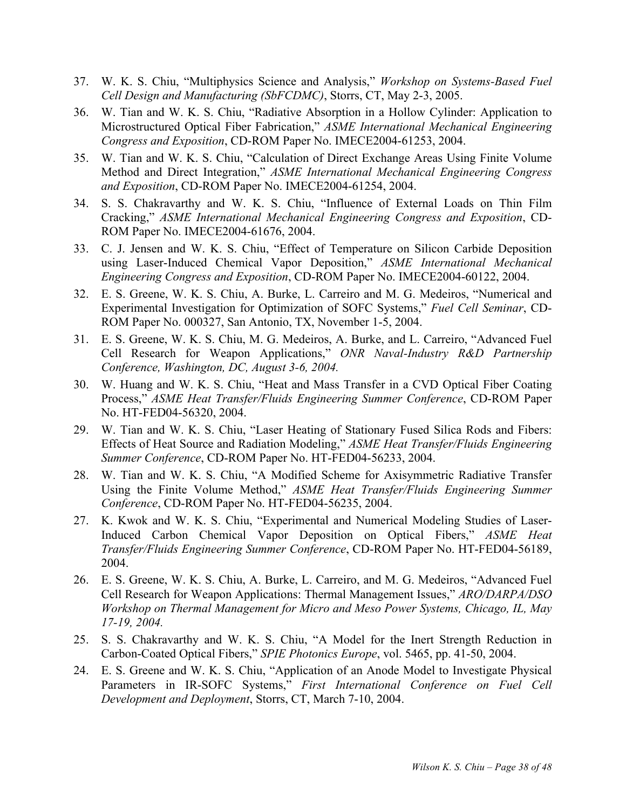- 37. W. K. S. Chiu, "Multiphysics Science and Analysis," *Workshop on Systems-Based Fuel Cell Design and Manufacturing (SbFCDMC)*, Storrs, CT, May 2-3, 2005.
- 36. W. Tian and W. K. S. Chiu, "Radiative Absorption in a Hollow Cylinder: Application to Microstructured Optical Fiber Fabrication," *ASME International Mechanical Engineering Congress and Exposition*, CD-ROM Paper No. IMECE2004-61253, 2004.
- 35. W. Tian and W. K. S. Chiu, "Calculation of Direct Exchange Areas Using Finite Volume Method and Direct Integration," *ASME International Mechanical Engineering Congress and Exposition*, CD-ROM Paper No. IMECE2004-61254, 2004.
- 34. S. S. Chakravarthy and W. K. S. Chiu, "Influence of External Loads on Thin Film Cracking," *ASME International Mechanical Engineering Congress and Exposition*, CD-ROM Paper No. IMECE2004-61676, 2004.
- 33. C. J. Jensen and W. K. S. Chiu, "Effect of Temperature on Silicon Carbide Deposition using Laser-Induced Chemical Vapor Deposition," *ASME International Mechanical Engineering Congress and Exposition*, CD-ROM Paper No. IMECE2004-60122, 2004.
- 32. E. S. Greene, W. K. S. Chiu, A. Burke, L. Carreiro and M. G. Medeiros, "Numerical and Experimental Investigation for Optimization of SOFC Systems," *Fuel Cell Seminar*, CD-ROM Paper No. 000327, San Antonio, TX, November 1-5, 2004.
- 31. E. S. Greene, W. K. S. Chiu, M. G. Medeiros, A. Burke, and L. Carreiro, "Advanced Fuel Cell Research for Weapon Applications," *ONR Naval-Industry R&D Partnership Conference, Washington, DC, August 3-6, 2004.*
- 30. W. Huang and W. K. S. Chiu, "Heat and Mass Transfer in a CVD Optical Fiber Coating Process," *ASME Heat Transfer/Fluids Engineering Summer Conference*, CD-ROM Paper No. HT-FED04-56320, 2004.
- 29. W. Tian and W. K. S. Chiu, "Laser Heating of Stationary Fused Silica Rods and Fibers: Effects of Heat Source and Radiation Modeling," *ASME Heat Transfer/Fluids Engineering Summer Conference*, CD-ROM Paper No. HT-FED04-56233, 2004.
- 28. W. Tian and W. K. S. Chiu, "A Modified Scheme for Axisymmetric Radiative Transfer Using the Finite Volume Method," *ASME Heat Transfer/Fluids Engineering Summer Conference*, CD-ROM Paper No. HT-FED04-56235, 2004.
- 27. K. Kwok and W. K. S. Chiu, "Experimental and Numerical Modeling Studies of Laser-Induced Carbon Chemical Vapor Deposition on Optical Fibers," *ASME Heat Transfer/Fluids Engineering Summer Conference*, CD-ROM Paper No. HT-FED04-56189, 2004.
- 26. E. S. Greene, W. K. S. Chiu, A. Burke, L. Carreiro, and M. G. Medeiros, "Advanced Fuel Cell Research for Weapon Applications: Thermal Management Issues," *ARO/DARPA/DSO Workshop on Thermal Management for Micro and Meso Power Systems, Chicago, IL, May 17-19, 2004.*
- 25. S. S. Chakravarthy and W. K. S. Chiu, "A Model for the Inert Strength Reduction in Carbon-Coated Optical Fibers," *SPIE Photonics Europe*, vol. 5465, pp. 41-50, 2004.
- 24. E. S. Greene and W. K. S. Chiu, "Application of an Anode Model to Investigate Physical Parameters in IR-SOFC Systems," *First International Conference on Fuel Cell Development and Deployment*, Storrs, CT, March 7-10, 2004.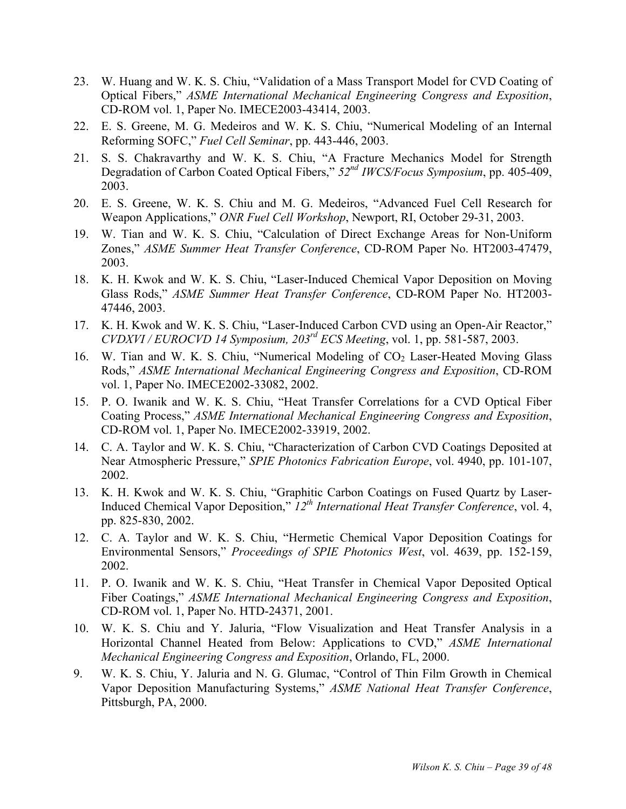- 23. W. Huang and W. K. S. Chiu, "Validation of a Mass Transport Model for CVD Coating of Optical Fibers," *ASME International Mechanical Engineering Congress and Exposition*, CD-ROM vol. 1, Paper No. IMECE2003-43414, 2003.
- 22. E. S. Greene, M. G. Medeiros and W. K. S. Chiu, "Numerical Modeling of an Internal Reforming SOFC," *Fuel Cell Seminar*, pp. 443-446, 2003.
- 21. S. S. Chakravarthy and W. K. S. Chiu, "A Fracture Mechanics Model for Strength Degradation of Carbon Coated Optical Fibers," *52nd IWCS/Focus Symposium*, pp. 405-409, 2003.
- 20. E. S. Greene, W. K. S. Chiu and M. G. Medeiros, "Advanced Fuel Cell Research for Weapon Applications," *ONR Fuel Cell Workshop*, Newport, RI, October 29-31, 2003.
- 19. W. Tian and W. K. S. Chiu, "Calculation of Direct Exchange Areas for Non-Uniform Zones," *ASME Summer Heat Transfer Conference*, CD-ROM Paper No. HT2003-47479, 2003.
- 18. K. H. Kwok and W. K. S. Chiu, "Laser-Induced Chemical Vapor Deposition on Moving Glass Rods," *ASME Summer Heat Transfer Conference*, CD-ROM Paper No. HT2003- 47446, 2003.
- 17. K. H. Kwok and W. K. S. Chiu, "Laser-Induced Carbon CVD using an Open-Air Reactor," *CVDXVI / EUROCVD 14 Symposium, 203rd ECS Meeting*, vol. 1, pp. 581-587, 2003.
- 16. W. Tian and W. K. S. Chiu, "Numerical Modeling of CO<sub>2</sub> Laser-Heated Moving Glass Rods," *ASME International Mechanical Engineering Congress and Exposition*, CD-ROM vol. 1, Paper No. IMECE2002-33082, 2002.
- 15. P. O. Iwanik and W. K. S. Chiu, "Heat Transfer Correlations for a CVD Optical Fiber Coating Process," *ASME International Mechanical Engineering Congress and Exposition*, CD-ROM vol. 1, Paper No. IMECE2002-33919, 2002.
- 14. C. A. Taylor and W. K. S. Chiu, "Characterization of Carbon CVD Coatings Deposited at Near Atmospheric Pressure," *SPIE Photonics Fabrication Europe*, vol. 4940, pp. 101-107, 2002.
- 13. K. H. Kwok and W. K. S. Chiu, "Graphitic Carbon Coatings on Fused Quartz by Laser-Induced Chemical Vapor Deposition," *12th International Heat Transfer Conference*, vol. 4, pp. 825-830, 2002.
- 12. C. A. Taylor and W. K. S. Chiu, "Hermetic Chemical Vapor Deposition Coatings for Environmental Sensors," *Proceedings of SPIE Photonics West*, vol. 4639, pp. 152-159, 2002.
- 11. P. O. Iwanik and W. K. S. Chiu, "Heat Transfer in Chemical Vapor Deposited Optical Fiber Coatings," *ASME International Mechanical Engineering Congress and Exposition*, CD-ROM vol. 1, Paper No. HTD-24371, 2001.
- 10. W. K. S. Chiu and Y. Jaluria, "Flow Visualization and Heat Transfer Analysis in a Horizontal Channel Heated from Below: Applications to CVD," *ASME International Mechanical Engineering Congress and Exposition*, Orlando, FL, 2000.
- 9. W. K. S. Chiu, Y. Jaluria and N. G. Glumac, "Control of Thin Film Growth in Chemical Vapor Deposition Manufacturing Systems," *ASME National Heat Transfer Conference*, Pittsburgh, PA, 2000.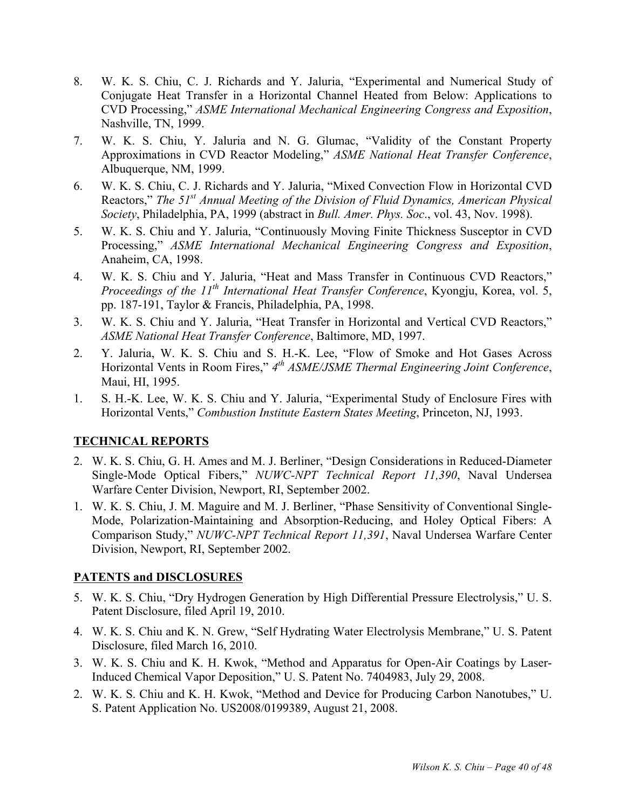- 8. W. K. S. Chiu, C. J. Richards and Y. Jaluria, "Experimental and Numerical Study of Conjugate Heat Transfer in a Horizontal Channel Heated from Below: Applications to CVD Processing," *ASME International Mechanical Engineering Congress and Exposition*, Nashville, TN, 1999.
- 7. W. K. S. Chiu, Y. Jaluria and N. G. Glumac, "Validity of the Constant Property Approximations in CVD Reactor Modeling," *ASME National Heat Transfer Conference*, Albuquerque, NM, 1999.
- 6. W. K. S. Chiu, C. J. Richards and Y. Jaluria, "Mixed Convection Flow in Horizontal CVD Reactors," *The 51st Annual Meeting of the Division of Fluid Dynamics, American Physical Society*, Philadelphia, PA, 1999 (abstract in *Bull. Amer. Phys. Soc*., vol. 43, Nov. 1998).
- 5. W. K. S. Chiu and Y. Jaluria, "Continuously Moving Finite Thickness Susceptor in CVD Processing," *ASME International Mechanical Engineering Congress and Exposition*, Anaheim, CA, 1998.
- 4. W. K. S. Chiu and Y. Jaluria, "Heat and Mass Transfer in Continuous CVD Reactors," *Proceedings of the 11th International Heat Transfer Conference*, Kyongju, Korea, vol. 5, pp. 187-191, Taylor & Francis, Philadelphia, PA, 1998.
- 3. W. K. S. Chiu and Y. Jaluria, "Heat Transfer in Horizontal and Vertical CVD Reactors," *ASME National Heat Transfer Conference*, Baltimore, MD, 1997.
- 2. Y. Jaluria, W. K. S. Chiu and S. H.-K. Lee, "Flow of Smoke and Hot Gases Across Horizontal Vents in Room Fires," *4th ASME/JSME Thermal Engineering Joint Conference*, Maui, HI, 1995.
- 1. S. H.-K. Lee, W. K. S. Chiu and Y. Jaluria, "Experimental Study of Enclosure Fires with Horizontal Vents," *Combustion Institute Eastern States Meeting*, Princeton, NJ, 1993.

## **TECHNICAL REPORTS**

- 2. W. K. S. Chiu, G. H. Ames and M. J. Berliner, "Design Considerations in Reduced-Diameter Single-Mode Optical Fibers," *NUWC-NPT Technical Report 11,390*, Naval Undersea Warfare Center Division, Newport, RI, September 2002.
- 1. W. K. S. Chiu, J. M. Maguire and M. J. Berliner, "Phase Sensitivity of Conventional Single-Mode, Polarization-Maintaining and Absorption-Reducing, and Holey Optical Fibers: A Comparison Study," *NUWC-NPT Technical Report 11,391*, Naval Undersea Warfare Center Division, Newport, RI, September 2002.

### **PATENTS and DISCLOSURES**

- 5. W. K. S. Chiu, "Dry Hydrogen Generation by High Differential Pressure Electrolysis," U. S. Patent Disclosure, filed April 19, 2010.
- 4. W. K. S. Chiu and K. N. Grew, "Self Hydrating Water Electrolysis Membrane," U. S. Patent Disclosure, filed March 16, 2010.
- 3. W. K. S. Chiu and K. H. Kwok, "Method and Apparatus for Open-Air Coatings by Laser-Induced Chemical Vapor Deposition," U. S. Patent No. 7404983, July 29, 2008.
- 2. W. K. S. Chiu and K. H. Kwok, "Method and Device for Producing Carbon Nanotubes," U. S. Patent Application No. US2008/0199389, August 21, 2008.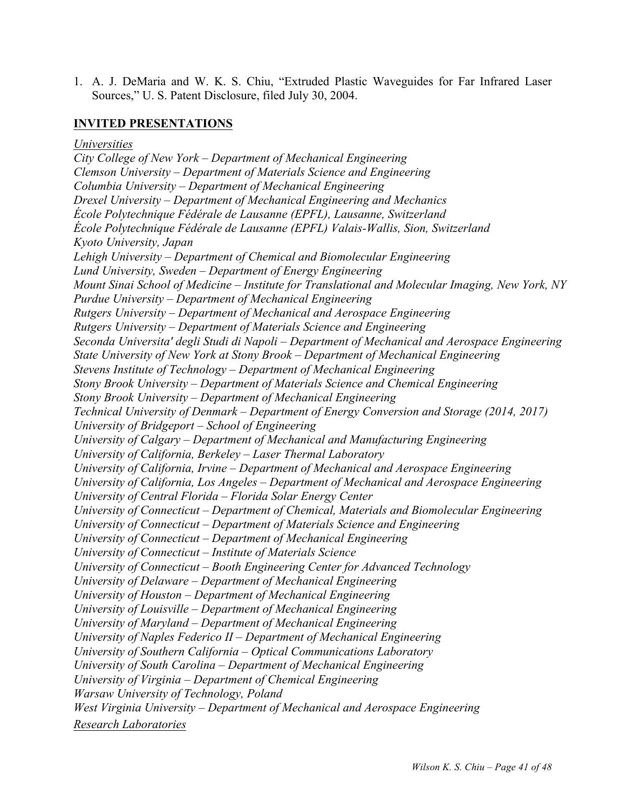1. A. J. DeMaria and W. K. S. Chiu, "Extruded Plastic Waveguides for Far Infrared Laser Sources," U. S. Patent Disclosure, filed July 30, 2004.

### **INVITED PRESENTATIONS**

#### *Universities*

*City College of New York – Department of Mechanical Engineering Clemson University – Department of Materials Science and Engineering Columbia University – Department of Mechanical Engineering Drexel University – Department of Mechanical Engineering and Mechanics École Polytechnique Fédérale de Lausanne (EPFL), Lausanne, Switzerland École Polytechnique Fédérale de Lausanne (EPFL) Valais-Wallis, Sion, Switzerland Kyoto University, Japan Lehigh University – Department of Chemical and Biomolecular Engineering Lund University, Sweden – Department of Energy Engineering Mount Sinai School of Medicine – Institute for Translational and Molecular Imaging, New York, NY Purdue University – Department of Mechanical Engineering Rutgers University – Department of Mechanical and Aerospace Engineering Rutgers University – Department of Materials Science and Engineering Seconda Universita' degli Studi di Napoli – Department of Mechanical and Aerospace Engineering State University of New York at Stony Brook – Department of Mechanical Engineering Stevens Institute of Technology – Department of Mechanical Engineering Stony Brook University – Department of Materials Science and Chemical Engineering Stony Brook University – Department of Mechanical Engineering Technical University of Denmark – Department of Energy Conversion and Storage (2014, 2017) University of Bridgeport – School of Engineering University of Calgary – Department of Mechanical and Manufacturing Engineering University of California, Berkeley – Laser Thermal Laboratory University of California, Irvine – Department of Mechanical and Aerospace Engineering University of California, Los Angeles – Department of Mechanical and Aerospace Engineering University of Central Florida – Florida Solar Energy Center University of Connecticut – Department of Chemical, Materials and Biomolecular Engineering University of Connecticut – Department of Materials Science and Engineering University of Connecticut – Department of Mechanical Engineering University of Connecticut – Institute of Materials Science University of Connecticut – Booth Engineering Center for Advanced Technology University of Delaware – Department of Mechanical Engineering University of Houston – Department of Mechanical Engineering University of Louisville – Department of Mechanical Engineering University of Maryland – Department of Mechanical Engineering University of Naples Federico II – Department of Mechanical Engineering University of Southern California – Optical Communications Laboratory University of South Carolina – Department of Mechanical Engineering University of Virginia – Department of Chemical Engineering Warsaw University of Technology, Poland West Virginia University – Department of Mechanical and Aerospace Engineering Research Laboratories*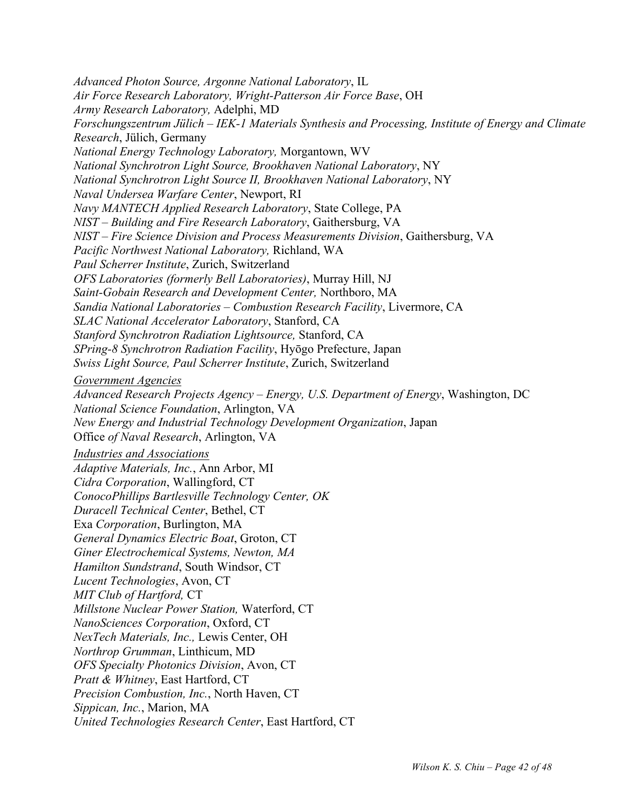*Advanced Photon Source, Argonne National Laboratory*, IL *Air Force Research Laboratory, Wright-Patterson Air Force Base*, OH *Army Research Laboratory,* Adelphi, MD *Forschungszentrum Jülich – IEK-1 Materials Synthesis and Processing, Institute of Energy and Climate Research*, Jülich, Germany *National Energy Technology Laboratory,* Morgantown, WV *National Synchrotron Light Source, Brookhaven National Laboratory*, NY *National Synchrotron Light Source II, Brookhaven National Laboratory*, NY *Naval Undersea Warfare Center*, Newport, RI *Navy MANTECH Applied Research Laboratory*, State College, PA *NIST – Building and Fire Research Laboratory*, Gaithersburg, VA *NIST – Fire Science Division and Process Measurements Division*, Gaithersburg, VA *Pacific Northwest National Laboratory,* Richland, WA *Paul Scherrer Institute*, Zurich, Switzerland *OFS Laboratories (formerly Bell Laboratories)*, Murray Hill, NJ *Saint-Gobain Research and Development Center,* Northboro, MA *Sandia National Laboratories – Combustion Research Facility*, Livermore, CA *SLAC National Accelerator Laboratory*, Stanford, CA *Stanford Synchrotron Radiation Lightsource,* Stanford, CA *SPring-8 Synchrotron Radiation Facility*, Hyōgo Prefecture, Japan *Swiss Light Source, Paul Scherrer Institute*, Zurich, Switzerland *Government Agencies Advanced Research Projects Agency – Energy, U.S. Department of Energy*, Washington, DC *National Science Foundation*, Arlington, VA *New Energy and Industrial Technology Development Organization*, Japan Office *of Naval Research*, Arlington, VA *Industries and Associations Adaptive Materials, Inc.*, Ann Arbor, MI *Cidra Corporation*, Wallingford, CT *ConocoPhillips Bartlesville Technology Center, OK Duracell Technical Center*, Bethel, CT Exa *Corporation*, Burlington, MA *General Dynamics Electric Boat*, Groton, CT *Giner Electrochemical Systems, Newton, MA Hamilton Sundstrand*, South Windsor, CT *Lucent Technologies*, Avon, CT *MIT Club of Hartford,* CT *Millstone Nuclear Power Station,* Waterford, CT *NanoSciences Corporation*, Oxford, CT *NexTech Materials, Inc.,* Lewis Center, OH *Northrop Grumman*, Linthicum, MD *OFS Specialty Photonics Division*, Avon, CT *Pratt & Whitney*, East Hartford, CT *Precision Combustion, Inc.*, North Haven, CT *Sippican, Inc.*, Marion, MA *United Technologies Research Center*, East Hartford, CT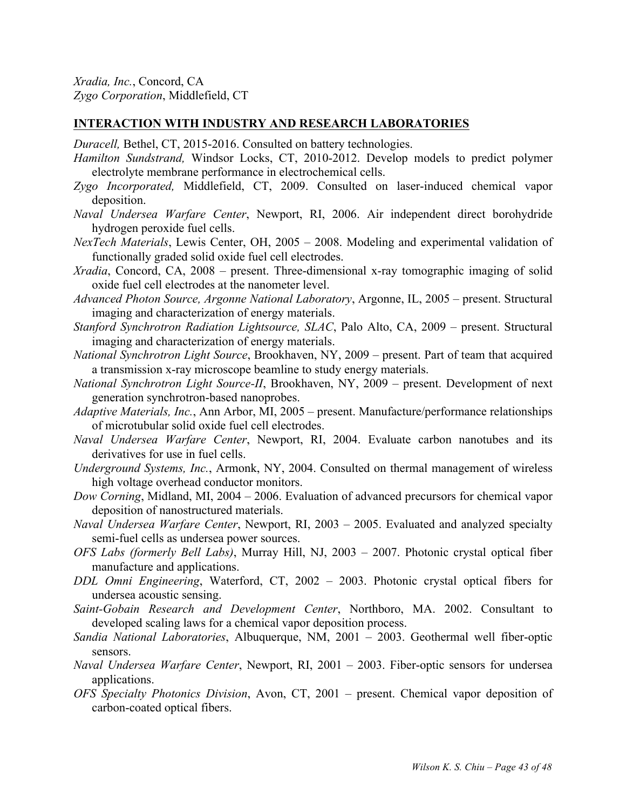#### **INTERACTION WITH INDUSTRY AND RESEARCH LABORATORIES**

*Duracell,* Bethel, CT, 2015-2016. Consulted on battery technologies.

- *Hamilton Sundstrand,* Windsor Locks, CT, 2010-2012. Develop models to predict polymer electrolyte membrane performance in electrochemical cells.
- *Zygo Incorporated,* Middlefield, CT, 2009. Consulted on laser-induced chemical vapor deposition.
- *Naval Undersea Warfare Center*, Newport, RI, 2006. Air independent direct borohydride hydrogen peroxide fuel cells.
- *NexTech Materials*, Lewis Center, OH, 2005 2008. Modeling and experimental validation of functionally graded solid oxide fuel cell electrodes.
- *Xradia*, Concord, CA, 2008 present. Three-dimensional x-ray tomographic imaging of solid oxide fuel cell electrodes at the nanometer level.
- *Advanced Photon Source, Argonne National Laboratory*, Argonne, IL, 2005 present. Structural imaging and characterization of energy materials.
- *Stanford Synchrotron Radiation Lightsource, SLAC*, Palo Alto, CA, 2009 present. Structural imaging and characterization of energy materials.
- *National Synchrotron Light Source*, Brookhaven, NY, 2009 present. Part of team that acquired a transmission x-ray microscope beamline to study energy materials.
- *National Synchrotron Light Source-II*, Brookhaven, NY, 2009 present. Development of next generation synchrotron-based nanoprobes.
- *Adaptive Materials, Inc.*, Ann Arbor, MI, 2005 present. Manufacture/performance relationships of microtubular solid oxide fuel cell electrodes.
- *Naval Undersea Warfare Center*, Newport, RI, 2004. Evaluate carbon nanotubes and its derivatives for use in fuel cells.
- *Underground Systems, Inc.*, Armonk, NY, 2004. Consulted on thermal management of wireless high voltage overhead conductor monitors.
- *Dow Corning*, Midland, MI, 2004 2006. Evaluation of advanced precursors for chemical vapor deposition of nanostructured materials.
- *Naval Undersea Warfare Center*, Newport, RI, 2003 2005. Evaluated and analyzed specialty semi-fuel cells as undersea power sources.
- *OFS Labs (formerly Bell Labs)*, Murray Hill, NJ, 2003 2007. Photonic crystal optical fiber manufacture and applications.
- *DDL Omni Engineering*, Waterford, CT, 2002 2003. Photonic crystal optical fibers for undersea acoustic sensing.
- *Saint-Gobain Research and Development Center*, Northboro, MA. 2002. Consultant to developed scaling laws for a chemical vapor deposition process.
- *Sandia National Laboratories*, Albuquerque, NM, 2001 2003. Geothermal well fiber-optic sensors.
- *Naval Undersea Warfare Center*, Newport, RI, 2001 2003. Fiber-optic sensors for undersea applications.
- *OFS Specialty Photonics Division*, Avon, CT, 2001 present. Chemical vapor deposition of carbon-coated optical fibers.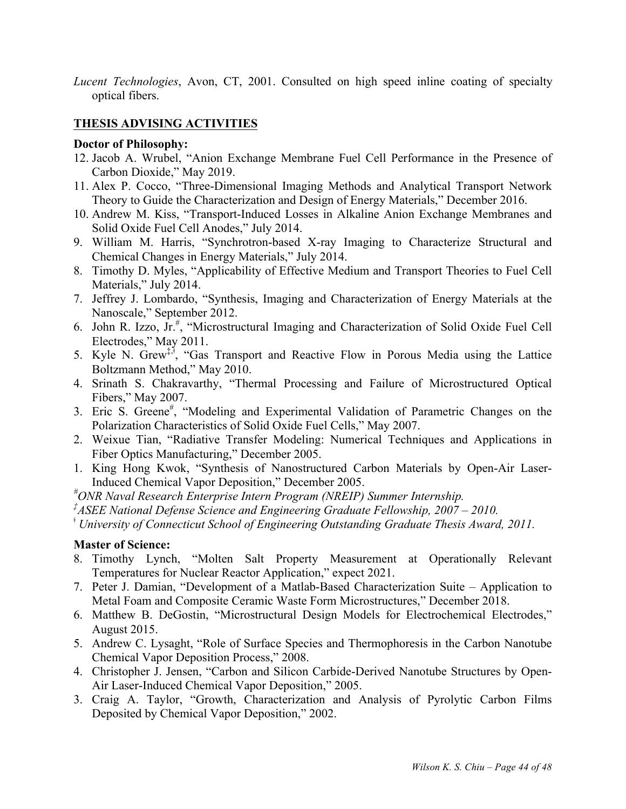*Lucent Technologies*, Avon, CT, 2001. Consulted on high speed inline coating of specialty optical fibers.

### **THESIS ADVISING ACTIVITIES**

### **Doctor of Philosophy:**

- 12. Jacob A. Wrubel, "Anion Exchange Membrane Fuel Cell Performance in the Presence of Carbon Dioxide," May 2019.
- 11. Alex P. Cocco, "Three-Dimensional Imaging Methods and Analytical Transport Network Theory to Guide the Characterization and Design of Energy Materials," December 2016.
- 10. Andrew M. Kiss, "Transport-Induced Losses in Alkaline Anion Exchange Membranes and Solid Oxide Fuel Cell Anodes," July 2014.
- 9. William M. Harris, "Synchrotron-based X-ray Imaging to Characterize Structural and Chemical Changes in Energy Materials," July 2014.
- 8. Timothy D. Myles, "Applicability of Effective Medium and Transport Theories to Fuel Cell Materials," July 2014.
- 7. Jeffrey J. Lombardo, "Synthesis, Imaging and Characterization of Energy Materials at the Nanoscale," September 2012.
- 6. John R. Izzo, Jr.<sup>#</sup>, "Microstructural Imaging and Characterization of Solid Oxide Fuel Cell Electrodes," May 2011.
- 5. Kyle N. Grew<sup>‡, $\ddagger$ </sup>, "Gas Transport and Reactive Flow in Porous Media using the Lattice Boltzmann Method," May 2010.
- 4. Srinath S. Chakravarthy, "Thermal Processing and Failure of Microstructured Optical Fibers," May 2007.
- 3. Eric S. Greene<sup>#</sup>, "Modeling and Experimental Validation of Parametric Changes on the Polarization Characteristics of Solid Oxide Fuel Cells," May 2007.
- 2. Weixue Tian, "Radiative Transfer Modeling: Numerical Techniques and Applications in Fiber Optics Manufacturing," December 2005.
- 1. King Hong Kwok, "Synthesis of Nanostructured Carbon Materials by Open-Air Laser-Induced Chemical Vapor Deposition," December 2005.
- *# ONR Naval Research Enterprise Intern Program (NREIP) Summer Internship. ‡*

*ASEE National Defense Science and Engineering Graduate Fellowship, 2007 – 2010.*

ǂ *University of Connecticut School of Engineering Outstanding Graduate Thesis Award, 2011.*

### **Master of Science:**

- 8. Timothy Lynch, "Molten Salt Property Measurement at Operationally Relevant Temperatures for Nuclear Reactor Application," expect 2021.
- 7. Peter J. Damian, "Development of a Matlab-Based Characterization Suite Application to Metal Foam and Composite Ceramic Waste Form Microstructures," December 2018.
- 6. Matthew B. DeGostin, "Microstructural Design Models for Electrochemical Electrodes," August 2015.
- 5. Andrew C. Lysaght, "Role of Surface Species and Thermophoresis in the Carbon Nanotube Chemical Vapor Deposition Process," 2008.
- 4. Christopher J. Jensen, "Carbon and Silicon Carbide-Derived Nanotube Structures by Open-Air Laser-Induced Chemical Vapor Deposition," 2005.
- 3. Craig A. Taylor, "Growth, Characterization and Analysis of Pyrolytic Carbon Films Deposited by Chemical Vapor Deposition," 2002.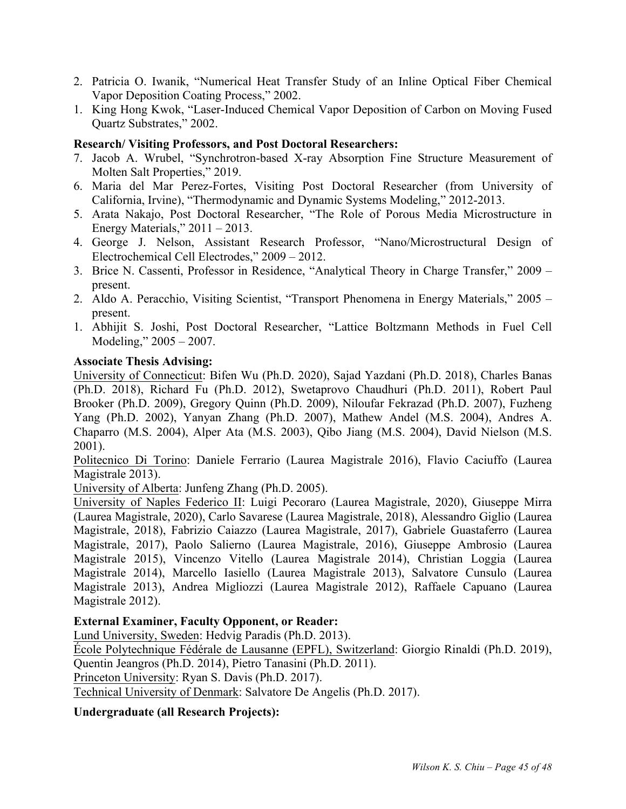- 2. Patricia O. Iwanik, "Numerical Heat Transfer Study of an Inline Optical Fiber Chemical Vapor Deposition Coating Process," 2002.
- 1. King Hong Kwok, "Laser-Induced Chemical Vapor Deposition of Carbon on Moving Fused Quartz Substrates," 2002.

#### **Research/ Visiting Professors, and Post Doctoral Researchers:**

- 7. Jacob A. Wrubel, "Synchrotron-based X-ray Absorption Fine Structure Measurement of Molten Salt Properties," 2019.
- 6. Maria del Mar Perez-Fortes, Visiting Post Doctoral Researcher (from University of California, Irvine), "Thermodynamic and Dynamic Systems Modeling," 2012-2013.
- 5. Arata Nakajo, Post Doctoral Researcher, "The Role of Porous Media Microstructure in Energy Materials,"  $2011 - 2013$ .
- 4. George J. Nelson, Assistant Research Professor, "Nano/Microstructural Design of Electrochemical Cell Electrodes," 2009 – 2012.
- 3. Brice N. Cassenti, Professor in Residence, "Analytical Theory in Charge Transfer," 2009 present.
- 2. Aldo A. Peracchio, Visiting Scientist, "Transport Phenomena in Energy Materials," 2005 present.
- 1. Abhijit S. Joshi, Post Doctoral Researcher, "Lattice Boltzmann Methods in Fuel Cell Modeling," 2005 – 2007.

#### **Associate Thesis Advising:**

University of Connecticut: Bifen Wu (Ph.D. 2020), Sajad Yazdani (Ph.D. 2018), Charles Banas (Ph.D. 2018), Richard Fu (Ph.D. 2012), Swetaprovo Chaudhuri (Ph.D. 2011), Robert Paul Brooker (Ph.D. 2009), Gregory Quinn (Ph.D. 2009), Niloufar Fekrazad (Ph.D. 2007), Fuzheng Yang (Ph.D. 2002), Yanyan Zhang (Ph.D. 2007), Mathew Andel (M.S. 2004), Andres A. Chaparro (M.S. 2004), Alper Ata (M.S. 2003), Qibo Jiang (M.S. 2004), David Nielson (M.S. 2001).

Politecnico Di Torino: Daniele Ferrario (Laurea Magistrale 2016), Flavio Caciuffo (Laurea Magistrale 2013).

University of Alberta: Junfeng Zhang (Ph.D. 2005).

University of Naples Federico II: Luigi Pecoraro (Laurea Magistrale, 2020), Giuseppe Mirra (Laurea Magistrale, 2020), Carlo Savarese (Laurea Magistrale, 2018), Alessandro Giglio (Laurea Magistrale, 2018), Fabrizio Caiazzo (Laurea Magistrale, 2017), Gabriele Guastaferro (Laurea Magistrale, 2017), Paolo Salierno (Laurea Magistrale, 2016), Giuseppe Ambrosio (Laurea Magistrale 2015), Vincenzo Vitello (Laurea Magistrale 2014), Christian Loggia (Laurea Magistrale 2014), Marcello Iasiello (Laurea Magistrale 2013), Salvatore Cunsulo (Laurea Magistrale 2013), Andrea Migliozzi (Laurea Magistrale 2012), Raffaele Capuano (Laurea Magistrale 2012).

### **External Examiner, Faculty Opponent, or Reader:**

Lund University, Sweden: Hedvig Paradis (Ph.D. 2013).

École Polytechnique Fédérale de Lausanne (EPFL), Switzerland: Giorgio Rinaldi (Ph.D. 2019), Quentin Jeangros (Ph.D. 2014), Pietro Tanasini (Ph.D. 2011).

Princeton University: Ryan S. Davis (Ph.D. 2017).

Technical University of Denmark: Salvatore De Angelis (Ph.D. 2017).

### **Undergraduate (all Research Projects):**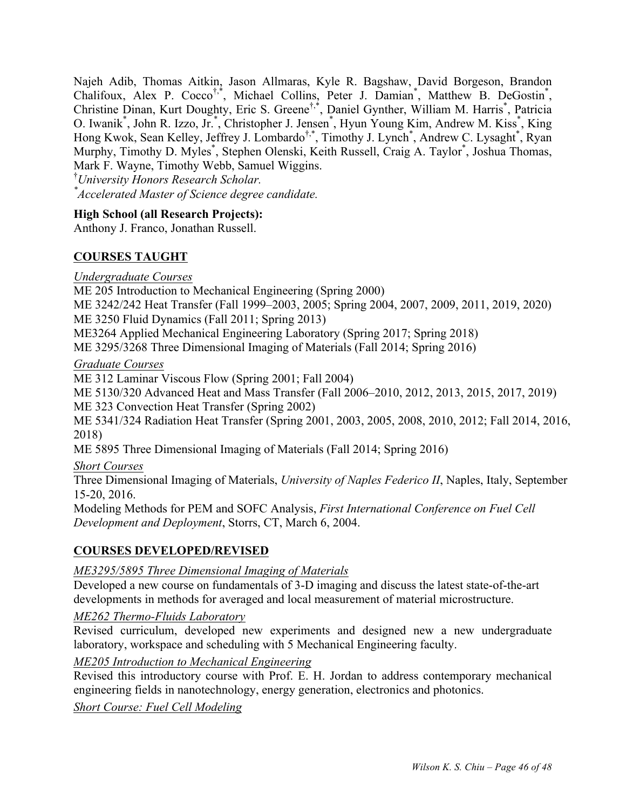Najeh Adib, Thomas Aitkin, Jason Allmaras, Kyle R. Bagshaw, David Borgeson, Brandon Chalifoux, Alex P. Cocco<sup>†,\*</sup>, Michael Collins, Peter J. Damian<sup>\*</sup>, Matthew B. DeGostin<sup>\*</sup>, Christine Dinan, Kurt Doughty, Eric S. Greene†,\*, Daniel Gynther, William M. Harris\* , Patricia O. Iwanik<sup>\*</sup>, John R. Izzo, Jr.<sup>\*</sup>, Christopher J. Jensen<sup>\*</sup>, Hyun Young Kim, Andrew M. Kiss<sup>\*</sup>, King Hong Kwok, Sean Kelley, Jeffrey J. Lombardo<sup>†,\*</sup>, Timothy J. Lynch<sup>\*</sup>, Andrew C. Lysaght<sup>\*</sup>, Ryan Murphy, Timothy D. Myles<sup>\*</sup>, Stephen Olenski, Keith Russell, Craig A. Taylor<sup>\*</sup>, Joshua Thomas, Mark F. Wayne, Timothy Webb, Samuel Wiggins. †

*University Honors Research Scholar. \**

*Accelerated Master of Science degree candidate.*

#### **High School (all Research Projects):**

Anthony J. Franco, Jonathan Russell.

### **COURSES TAUGHT**

#### *Undergraduate Courses*

ME 205 Introduction to Mechanical Engineering (Spring 2000)

ME 3242/242 Heat Transfer (Fall 1999–2003, 2005; Spring 2004, 2007, 2009, 2011, 2019, 2020)

ME 3250 Fluid Dynamics (Fall 2011; Spring 2013)

ME3264 Applied Mechanical Engineering Laboratory (Spring 2017; Spring 2018)

ME 3295/3268 Three Dimensional Imaging of Materials (Fall 2014; Spring 2016)

#### *Graduate Courses*

ME 312 Laminar Viscous Flow (Spring 2001; Fall 2004)

ME 5130/320 Advanced Heat and Mass Transfer (Fall 2006–2010, 2012, 2013, 2015, 2017, 2019) ME 323 Convection Heat Transfer (Spring 2002)

ME 5341/324 Radiation Heat Transfer (Spring 2001, 2003, 2005, 2008, 2010, 2012; Fall 2014, 2016, 2018)

ME 5895 Three Dimensional Imaging of Materials (Fall 2014; Spring 2016)

*Short Courses*

Three Dimensional Imaging of Materials, *University of Naples Federico II*, Naples, Italy, September 15-20, 2016.

Modeling Methods for PEM and SOFC Analysis, *First International Conference on Fuel Cell Development and Deployment*, Storrs, CT, March 6, 2004.

### **COURSES DEVELOPED/REVISED**

#### *ME3295/5895 Three Dimensional Imaging of Materials*

Developed a new course on fundamentals of 3-D imaging and discuss the latest state-of-the-art developments in methods for averaged and local measurement of material microstructure.

#### *ME262 Thermo-Fluids Laboratory*

Revised curriculum, developed new experiments and designed new a new undergraduate laboratory, workspace and scheduling with 5 Mechanical Engineering faculty.

#### *ME205 Introduction to Mechanical Engineering*

Revised this introductory course with Prof. E. H. Jordan to address contemporary mechanical engineering fields in nanotechnology, energy generation, electronics and photonics.

*Short Course: Fuel Cell Modeling*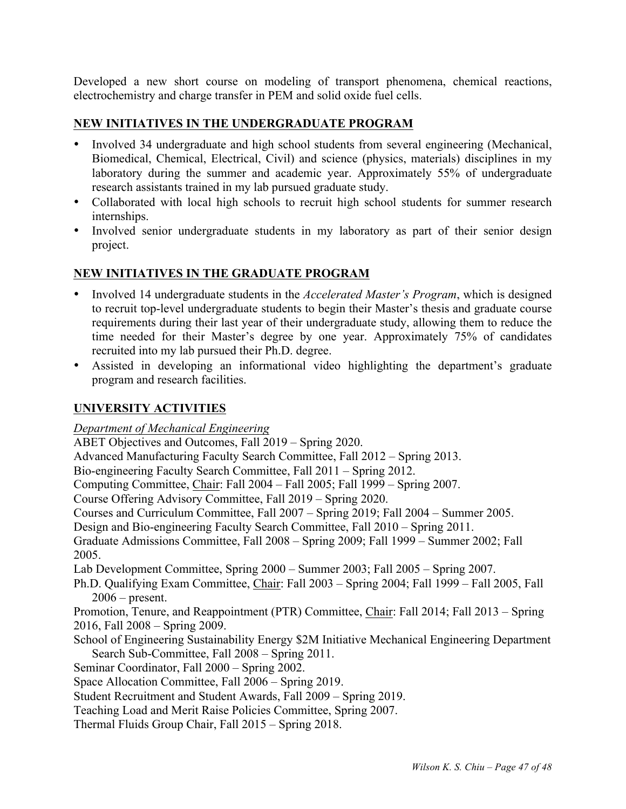Developed a new short course on modeling of transport phenomena, chemical reactions, electrochemistry and charge transfer in PEM and solid oxide fuel cells.

### **NEW INITIATIVES IN THE UNDERGRADUATE PROGRAM**

- Involved 34 undergraduate and high school students from several engineering (Mechanical, Biomedical, Chemical, Electrical, Civil) and science (physics, materials) disciplines in my laboratory during the summer and academic year. Approximately 55% of undergraduate research assistants trained in my lab pursued graduate study.
- Collaborated with local high schools to recruit high school students for summer research internships.
- Involved senior undergraduate students in my laboratory as part of their senior design project.

### **NEW INITIATIVES IN THE GRADUATE PROGRAM**

- Involved 14 undergraduate students in the *Accelerated Master's Program*, which is designed to recruit top-level undergraduate students to begin their Master's thesis and graduate course requirements during their last year of their undergraduate study, allowing them to reduce the time needed for their Master's degree by one year. Approximately 75% of candidates recruited into my lab pursued their Ph.D. degree.
- Assisted in developing an informational video highlighting the department's graduate program and research facilities.

### **UNIVERSITY ACTIVITIES**

### *Department of Mechanical Engineering*

ABET Objectives and Outcomes, Fall 2019 – Spring 2020. Advanced Manufacturing Faculty Search Committee, Fall 2012 – Spring 2013. Bio-engineering Faculty Search Committee, Fall 2011 – Spring 2012. Computing Committee, Chair: Fall 2004 – Fall 2005; Fall 1999 – Spring 2007. Course Offering Advisory Committee, Fall 2019 – Spring 2020. Courses and Curriculum Committee, Fall 2007 – Spring 2019; Fall 2004 – Summer 2005. Design and Bio-engineering Faculty Search Committee, Fall 2010 – Spring 2011. Graduate Admissions Committee, Fall 2008 – Spring 2009; Fall 1999 – Summer 2002; Fall 2005. Lab Development Committee, Spring 2000 – Summer 2003; Fall 2005 – Spring 2007. Ph.D. Qualifying Exam Committee, Chair: Fall 2003 – Spring 2004; Fall 1999 – Fall 2005, Fall  $2006$  – present. Promotion, Tenure, and Reappointment (PTR) Committee, Chair: Fall 2014; Fall 2013 – Spring 2016, Fall 2008 – Spring 2009. School of Engineering Sustainability Energy \$2M Initiative Mechanical Engineering Department Search Sub-Committee, Fall 2008 – Spring 2011. Seminar Coordinator, Fall 2000 – Spring 2002. Space Allocation Committee, Fall 2006 – Spring 2019. Student Recruitment and Student Awards, Fall 2009 – Spring 2019. Teaching Load and Merit Raise Policies Committee, Spring 2007. Thermal Fluids Group Chair, Fall 2015 – Spring 2018.